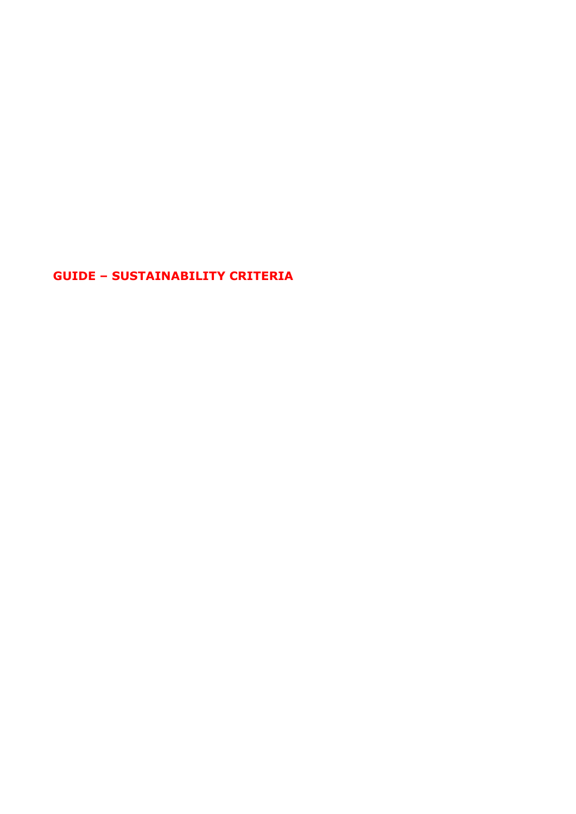<span id="page-0-0"></span>**GUIDE – SUSTAINABILITY CRITERIA**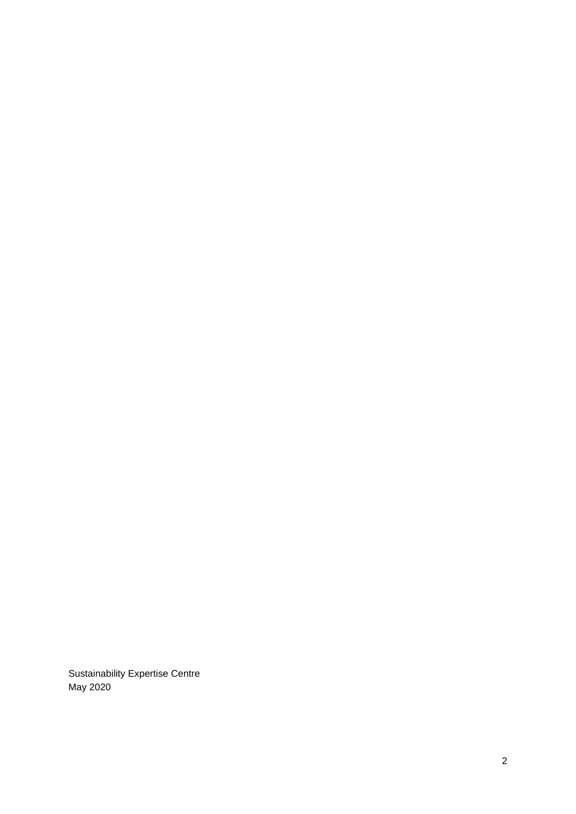Sustainability Expertise Centre May 2020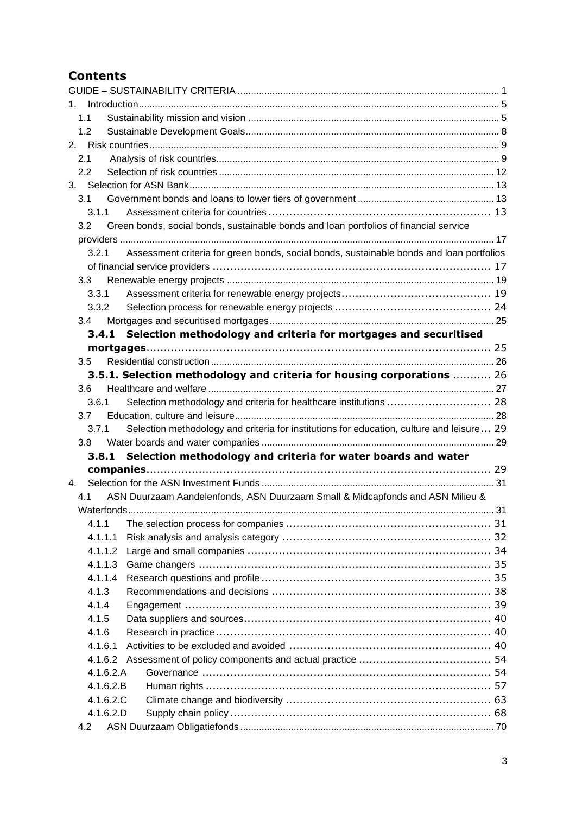# **Contents**

| 1. |         |           |                                                                                           |  |
|----|---------|-----------|-------------------------------------------------------------------------------------------|--|
|    | 1.1     |           |                                                                                           |  |
|    | 1.2     |           |                                                                                           |  |
|    |         |           |                                                                                           |  |
|    | 2.1     |           |                                                                                           |  |
|    | 2.2     |           |                                                                                           |  |
|    |         |           |                                                                                           |  |
|    | 3.1     |           |                                                                                           |  |
|    | 3.1.1   |           |                                                                                           |  |
|    | 3.2     |           | Green bonds, social bonds, sustainable bonds and loan portfolios of financial service     |  |
|    |         |           |                                                                                           |  |
|    | 3.2.1   |           | Assessment criteria for green bonds, social bonds, sustainable bonds and loan portfolios  |  |
|    |         |           |                                                                                           |  |
|    | 3.3     |           |                                                                                           |  |
|    | 3.3.1   |           |                                                                                           |  |
|    | 3.3.2   |           |                                                                                           |  |
|    | 3.4     |           |                                                                                           |  |
|    |         |           | 3.4.1 Selection methodology and criteria for mortgages and securitised                    |  |
|    |         |           |                                                                                           |  |
|    | 3.5     |           |                                                                                           |  |
|    |         |           | 3.5.1. Selection methodology and criteria for housing corporations  26                    |  |
|    | 3.6     |           |                                                                                           |  |
|    | 3.6.1   |           |                                                                                           |  |
|    | 3.7     |           |                                                                                           |  |
|    | 3.7.1   |           | Selection methodology and criteria for institutions for education, culture and leisure 29 |  |
|    | 3.8     |           |                                                                                           |  |
|    |         |           | 3.8.1 Selection methodology and criteria for water boards and water                       |  |
|    |         |           |                                                                                           |  |
| 4. |         |           |                                                                                           |  |
|    | 4.1     |           | ASN Duurzaam Aandelenfonds, ASN Duurzaam Small & Midcapfonds and ASN Milieu &             |  |
|    |         |           |                                                                                           |  |
|    | 4.1.1   |           |                                                                                           |  |
|    | 4.1.1.1 |           |                                                                                           |  |
|    | 4.1.1.2 |           |                                                                                           |  |
|    | 4.1.1.3 |           |                                                                                           |  |
|    | 4.1.1.4 |           |                                                                                           |  |
|    | 4.1.3   |           |                                                                                           |  |
|    | 4.1.4   |           |                                                                                           |  |
|    | 4.1.5   |           |                                                                                           |  |
|    | 4.1.6   |           |                                                                                           |  |
|    | 4.1.6.1 |           |                                                                                           |  |
|    |         |           |                                                                                           |  |
|    | 4.1.6.2 |           |                                                                                           |  |
|    |         | 4.1.6.2.A |                                                                                           |  |
|    |         | 4.1.6.2.B |                                                                                           |  |
|    |         | 4.1.6.2.C |                                                                                           |  |
|    |         | 4.1.6.2.D |                                                                                           |  |
|    | 4.2     |           |                                                                                           |  |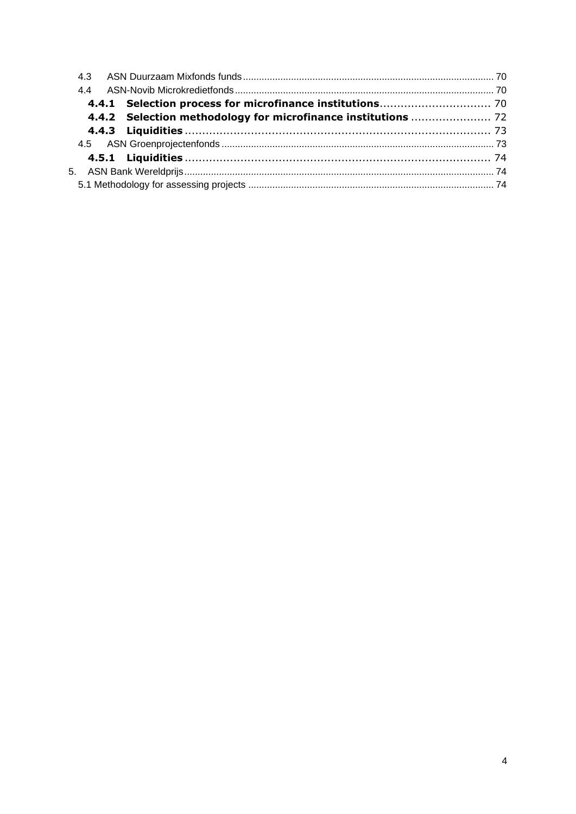| 4.4.2 Selection methodology for microfinance institutions  72 |  |
|---------------------------------------------------------------|--|
|                                                               |  |
|                                                               |  |
|                                                               |  |
|                                                               |  |
|                                                               |  |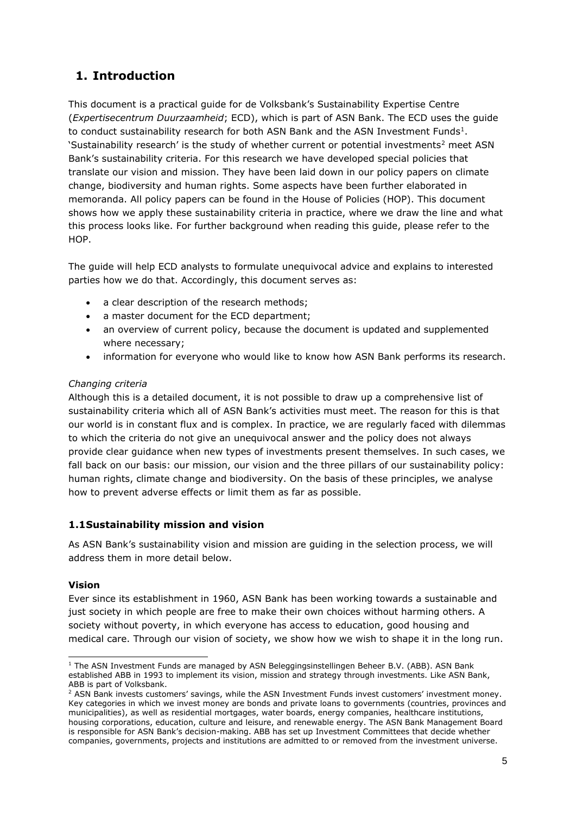# <span id="page-4-0"></span>**1. Introduction**

This document is a practical guide for de Volksbank's Sustainability Expertise Centre (*Expertisecentrum Duurzaamheid*; ECD), which is part of ASN Bank. The ECD uses the guide to conduct sustainability research for both ASN Bank and the ASN Investment Funds<sup>1</sup>. 'Sustainability research' is the study of whether current or potential investments<sup>2</sup> meet ASN Bank's sustainability criteria. For this research we have developed special policies that translate our vision and mission. They have been laid down in our policy papers on climate change, biodiversity and human rights. Some aspects have been further elaborated in memoranda. All policy papers can be found in the House of Policies (HOP). This document shows how we apply these sustainability criteria in practice, where we draw the line and what this process looks like. For further background when reading this guide, please refer to the HOP.

The guide will help ECD analysts to formulate unequivocal advice and explains to interested parties how we do that. Accordingly, this document serves as:

- a clear description of the research methods;
- a master document for the ECD department;
- an overview of current policy, because the document is updated and supplemented where necessary;
- information for everyone who would like to know how ASN Bank performs its research.

# *Changing criteria*

Although this is a detailed document, it is not possible to draw up a comprehensive list of sustainability criteria which all of ASN Bank's activities must meet. The reason for this is that our world is in constant flux and is complex. In practice, we are regularly faced with dilemmas to which the criteria do not give an unequivocal answer and the policy does not always provide clear guidance when new types of investments present themselves. In such cases, we fall back on our basis: our mission, our vision and the three pillars of our sustainability policy: human rights, climate change and biodiversity. On the basis of these principles, we analyse how to prevent adverse effects or limit them as far as possible.

# <span id="page-4-1"></span>**1.1Sustainability mission and vision**

As ASN Bank's sustainability vision and mission are guiding in the selection process, we will address them in more detail below.

# **Vision**

Ever since its establishment in 1960, ASN Bank has been working towards a sustainable and just society in which people are free to make their own choices without harming others. A society without poverty, in which everyone has access to education, good housing and medical care. Through our vision of society, we show how we wish to shape it in the long run.

<sup>&</sup>lt;sup>1</sup> The ASN Investment Funds are managed by ASN Beleggingsinstellingen Beheer B.V. (ABB). ASN Bank established ABB in 1993 to implement its vision, mission and strategy through investments. Like ASN Bank, ABB is part of Volksbank.

<sup>2</sup> ASN Bank invests customers' savings, while the ASN Investment Funds invest customers' investment money. Key categories in which we invest money are bonds and private loans to governments (countries, provinces and municipalities), as well as residential mortgages, water boards, energy companies, healthcare institutions, housing corporations, education, culture and leisure, and renewable energy. The ASN Bank Management Board is responsible for ASN Bank's decision-making. ABB has set up Investment Committees that decide whether companies, governments, projects and institutions are admitted to or removed from the investment universe.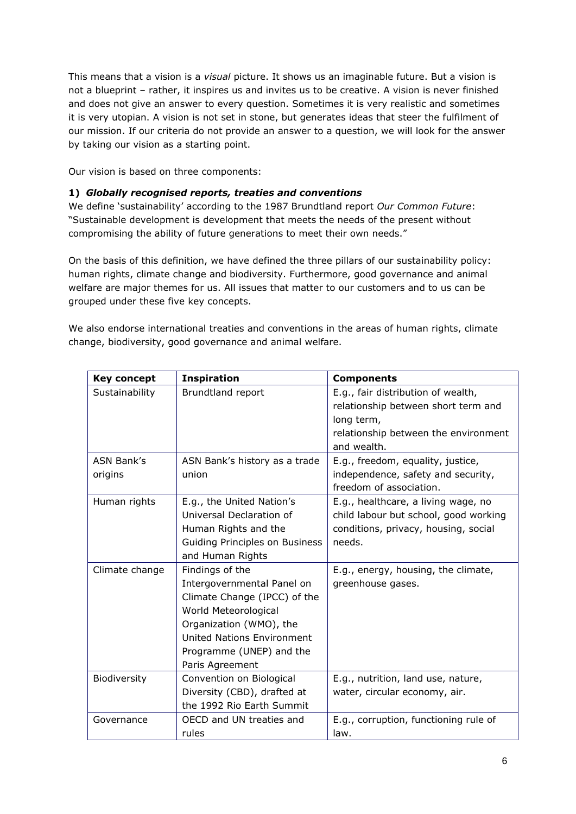This means that a vision is a *visual* picture. It shows us an imaginable future. But a vision is not a blueprint – rather, it inspires us and invites us to be creative. A vision is never finished and does not give an answer to every question. Sometimes it is very realistic and sometimes it is very utopian. A vision is not set in stone, but generates ideas that steer the fulfilment of our mission. If our criteria do not provide an answer to a question, we will look for the answer by taking our vision as a starting point.

Our vision is based on three components:

### **1)** *Globally recognised reports, treaties and conventions*

We define 'sustainability' according to the 1987 Brundtland report *Our Common Future*: "Sustainable development is development that meets the needs of the present without compromising the ability of future generations to meet their own needs."

On the basis of this definition, we have defined the three pillars of our sustainability policy: human rights, climate change and biodiversity. Furthermore, good governance and animal welfare are major themes for us. All issues that matter to our customers and to us can be grouped under these five key concepts.

We also endorse international treaties and conventions in the areas of human rights, climate change, biodiversity, good governance and animal welfare.

| <b>Key concept</b> | <b>Inspiration</b>                | <b>Components</b>                     |
|--------------------|-----------------------------------|---------------------------------------|
| Sustainability     | Brundtland report                 | E.g., fair distribution of wealth,    |
|                    |                                   | relationship between short term and   |
|                    |                                   | long term,                            |
|                    |                                   | relationship between the environment  |
|                    |                                   | and wealth.                           |
| <b>ASN Bank's</b>  | ASN Bank's history as a trade     | E.g., freedom, equality, justice,     |
| origins            | union                             | independence, safety and security,    |
|                    |                                   | freedom of association.               |
| Human rights       | E.g., the United Nation's         | E.g., healthcare, a living wage, no   |
|                    | Universal Declaration of          | child labour but school, good working |
|                    | Human Rights and the              | conditions, privacy, housing, social  |
|                    | Guiding Principles on Business    | needs.                                |
|                    | and Human Rights                  |                                       |
| Climate change     | Findings of the                   | E.g., energy, housing, the climate,   |
|                    | Intergovernmental Panel on        | greenhouse gases.                     |
|                    | Climate Change (IPCC) of the      |                                       |
|                    | World Meteorological              |                                       |
|                    | Organization (WMO), the           |                                       |
|                    | <b>United Nations Environment</b> |                                       |
|                    | Programme (UNEP) and the          |                                       |
|                    | Paris Agreement                   |                                       |
| Biodiversity       | Convention on Biological          | E.g., nutrition, land use, nature,    |
|                    | Diversity (CBD), drafted at       | water, circular economy, air.         |
|                    | the 1992 Rio Earth Summit         |                                       |
| Governance         | OECD and UN treaties and          | E.g., corruption, functioning rule of |
|                    | rules                             | law.                                  |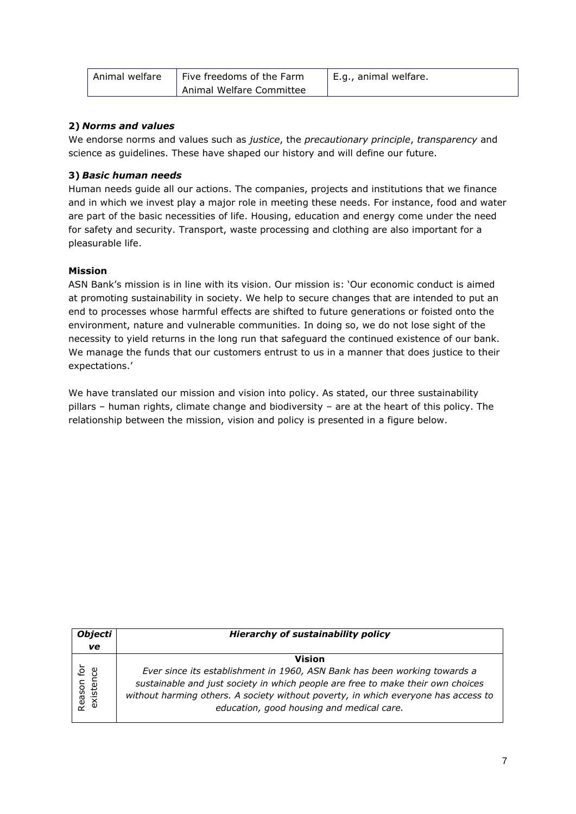| Animal welfare | Five freedoms of the Farm | E.g., animal welfare. |  |  |
|----------------|---------------------------|-----------------------|--|--|
|                | Animal Welfare Committee  |                       |  |  |

# **2)** *Norms and values*

We endorse norms and values such as *justice*, the *precautionary principle*, *transparency* and science as guidelines. These have shaped our history and will define our future.

# **3)** *Basic human needs*

Human needs guide all our actions. The companies, projects and institutions that we finance and in which we invest play a major role in meeting these needs. For instance, food and water are part of the basic necessities of life. Housing, education and energy come under the need for safety and security. Transport, waste processing and clothing are also important for a pleasurable life.

# **Mission**

ASN Bank's mission is in line with its vision. Our mission is: 'Our economic conduct is aimed at promoting sustainability in society. We help to secure changes that are intended to put an end to processes whose harmful effects are shifted to future generations or foisted onto the environment, nature and vulnerable communities. In doing so, we do not lose sight of the necessity to yield returns in the long run that safeguard the continued existence of our bank. We manage the funds that our customers entrust to us in a manner that does justice to their expectations.'

We have translated our mission and vision into policy. As stated, our three sustainability pillars – human rights, climate change and biodiversity – are at the heart of this policy. The relationship between the mission, vision and policy is presented in a figure below.

| <b>Objecti</b>          | <b>Hierarchy of sustainability policy</b>                                          |  |  |  |  |
|-------------------------|------------------------------------------------------------------------------------|--|--|--|--|
| ve                      |                                                                                    |  |  |  |  |
|                         | Vision                                                                             |  |  |  |  |
| Reason for<br>existence | Ever since its establishment in 1960, ASN Bank has been working towards a          |  |  |  |  |
|                         | sustainable and just society in which people are free to make their own choices    |  |  |  |  |
|                         | without harming others. A society without poverty, in which everyone has access to |  |  |  |  |
|                         | education, good housing and medical care.                                          |  |  |  |  |
|                         |                                                                                    |  |  |  |  |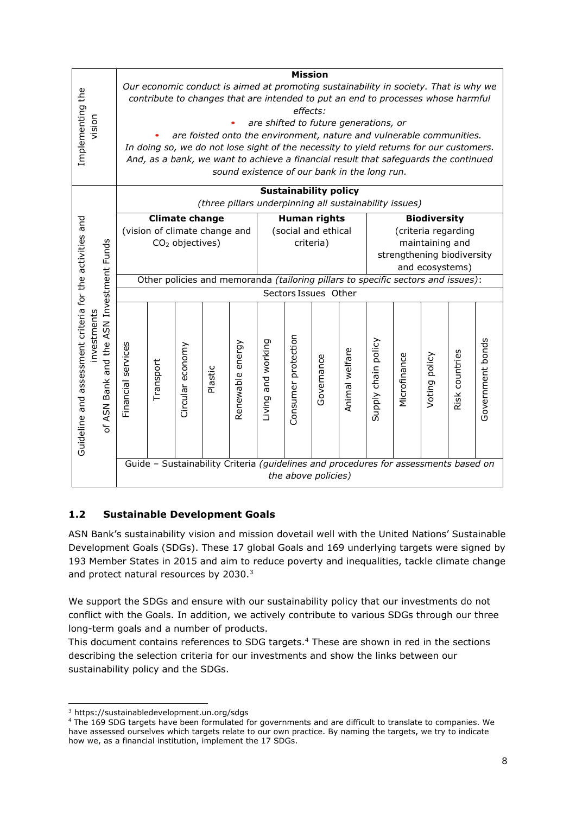|                                                                                                      |                                                                                                                                                                |                                       |                             |                               |                                                                                      |                    | <b>Mission</b>               |            |                 |                                               |              |                     |                |                  |
|------------------------------------------------------------------------------------------------------|----------------------------------------------------------------------------------------------------------------------------------------------------------------|---------------------------------------|-----------------------------|-------------------------------|--------------------------------------------------------------------------------------|--------------------|------------------------------|------------|-----------------|-----------------------------------------------|--------------|---------------------|----------------|------------------|
|                                                                                                      |                                                                                                                                                                |                                       |                             |                               | Our economic conduct is aimed at promoting sustainability in society. That is why we |                    |                              |            |                 |                                               |              |                     |                |                  |
| Implementing the                                                                                     | contribute to changes that are intended to put an end to processes whose harmful                                                                               |                                       |                             |                               |                                                                                      |                    |                              |            |                 |                                               |              |                     |                |                  |
|                                                                                                      | effects:                                                                                                                                                       |                                       |                             |                               |                                                                                      |                    |                              |            |                 |                                               |              |                     |                |                  |
| vision                                                                                               |                                                                                                                                                                | are shifted to future generations, or |                             |                               |                                                                                      |                    |                              |            |                 |                                               |              |                     |                |                  |
|                                                                                                      | are foisted onto the environment, nature and vulnerable communities.<br>In doing so, we do not lose sight of the necessity to yield returns for our customers. |                                       |                             |                               |                                                                                      |                    |                              |            |                 |                                               |              |                     |                |                  |
|                                                                                                      |                                                                                                                                                                |                                       |                             |                               |                                                                                      |                    |                              |            |                 |                                               |              |                     |                |                  |
|                                                                                                      |                                                                                                                                                                |                                       |                             |                               | And, as a bank, we want to achieve a financial result that safeguards the continued  |                    |                              |            |                 |                                               |              |                     |                |                  |
|                                                                                                      |                                                                                                                                                                |                                       |                             |                               | sound existence of our bank in the long run.                                         |                    |                              |            |                 |                                               |              |                     |                |                  |
|                                                                                                      |                                                                                                                                                                |                                       |                             |                               |                                                                                      |                    | <b>Sustainability policy</b> |            |                 |                                               |              |                     |                |                  |
|                                                                                                      |                                                                                                                                                                |                                       |                             |                               | (three pillars underpinning all sustainability issues)                               |                    |                              |            |                 |                                               |              |                     |                |                  |
|                                                                                                      |                                                                                                                                                                |                                       | <b>Climate change</b>       |                               |                                                                                      |                    | <b>Human rights</b>          |            |                 |                                               |              | <b>Biodiversity</b> |                |                  |
|                                                                                                      |                                                                                                                                                                |                                       |                             | (vision of climate change and |                                                                                      |                    | (social and ethical          |            |                 | (criteria regarding                           |              |                     |                |                  |
|                                                                                                      |                                                                                                                                                                |                                       | CO <sub>2</sub> objectives) |                               |                                                                                      | criteria)          |                              |            | maintaining and |                                               |              |                     |                |                  |
|                                                                                                      |                                                                                                                                                                |                                       |                             |                               |                                                                                      |                    |                              |            |                 | strengthening biodiversity<br>and ecosystems) |              |                     |                |                  |
| Guideline and assessment criteria for the activities and<br>of ASN Bank and the ASN Investment Funds |                                                                                                                                                                |                                       |                             |                               |                                                                                      |                    |                              |            |                 |                                               |              |                     |                |                  |
|                                                                                                      | Other policies and memoranda (tailoring pillars to specific sectors and issues):                                                                               |                                       |                             |                               |                                                                                      |                    |                              |            |                 |                                               |              |                     |                |                  |
|                                                                                                      | Sectors Issues Other                                                                                                                                           |                                       |                             |                               |                                                                                      |                    |                              |            |                 |                                               |              |                     |                |                  |
|                                                                                                      |                                                                                                                                                                |                                       |                             |                               |                                                                                      |                    |                              |            |                 |                                               |              |                     |                |                  |
| investments                                                                                          |                                                                                                                                                                |                                       |                             |                               |                                                                                      |                    |                              |            |                 |                                               |              |                     |                |                  |
|                                                                                                      |                                                                                                                                                                |                                       |                             |                               |                                                                                      |                    |                              |            |                 |                                               |              |                     |                |                  |
|                                                                                                      | Financial services                                                                                                                                             |                                       | Circular economy            |                               | energy                                                                               | Living and working |                              |            |                 | Supply chain policy                           |              |                     |                | Government bonds |
|                                                                                                      |                                                                                                                                                                | Transport                             |                             |                               |                                                                                      |                    |                              | Governance |                 |                                               | Microfinance | Voting policy       |                |                  |
|                                                                                                      |                                                                                                                                                                |                                       |                             | Plastic                       |                                                                                      |                    |                              |            |                 |                                               |              |                     |                |                  |
|                                                                                                      |                                                                                                                                                                |                                       |                             |                               |                                                                                      |                    |                              |            |                 |                                               |              |                     |                |                  |
|                                                                                                      |                                                                                                                                                                |                                       |                             |                               | Renewable                                                                            |                    |                              |            | Animal welfare  |                                               |              |                     | Risk countries |                  |
|                                                                                                      |                                                                                                                                                                |                                       |                             |                               |                                                                                      |                    | Consumer protection          |            |                 |                                               |              |                     |                |                  |
|                                                                                                      |                                                                                                                                                                |                                       |                             |                               |                                                                                      |                    |                              |            |                 |                                               |              |                     |                |                  |
|                                                                                                      |                                                                                                                                                                |                                       |                             |                               |                                                                                      |                    |                              |            |                 |                                               |              |                     |                |                  |
|                                                                                                      |                                                                                                                                                                |                                       |                             |                               | Guide - Sustainability Criteria (guidelines and procedures for assessments based on  |                    |                              |            |                 |                                               |              |                     |                |                  |
|                                                                                                      |                                                                                                                                                                |                                       |                             |                               |                                                                                      |                    |                              |            |                 |                                               |              |                     |                |                  |
|                                                                                                      | the above policies)                                                                                                                                            |                                       |                             |                               |                                                                                      |                    |                              |            |                 |                                               |              |                     |                |                  |

# <span id="page-7-0"></span>**1.2 Sustainable Development Goals**

ASN Bank's sustainability vision and mission dovetail well with the United Nations' Sustainable Development Goals (SDGs). These 17 global Goals and 169 underlying targets were signed by 193 Member States in 2015 and aim to reduce poverty and inequalities, tackle climate change and protect natural resources by 2030.<sup>3</sup>

We support the SDGs and ensure with our sustainability policy that our investments do not conflict with the Goals. In addition, we actively contribute to various SDGs through our three long-term goals and a number of products.

This document contains references to SDG targets.<sup>4</sup> These are shown in red in the sections describing the selection criteria for our investments and show the links between our sustainability policy and the SDGs.

<sup>3</sup> https://sustainabledevelopment.un.org/sdgs

<sup>4</sup> The 169 SDG targets have been formulated for governments and are difficult to translate to companies. We have assessed ourselves which targets relate to our own practice. By naming the targets, we try to indicate how we, as a financial institution, implement the 17 SDGs.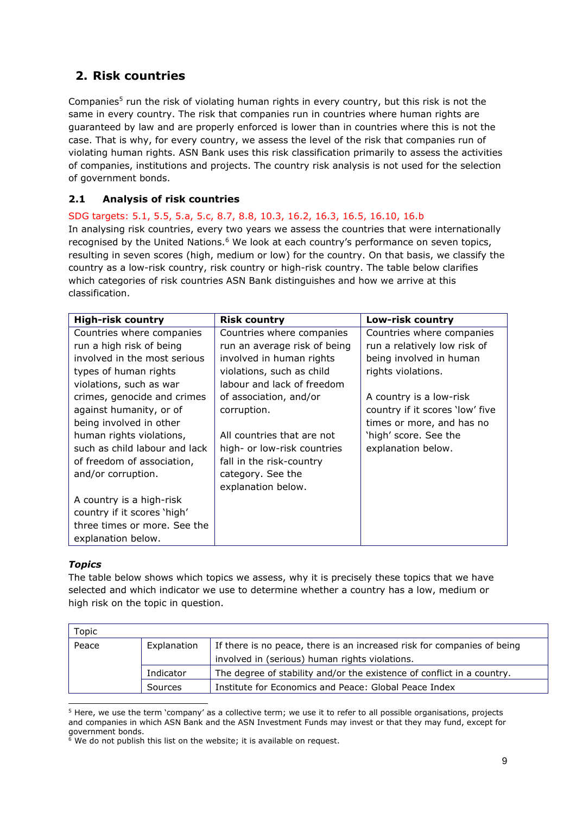# <span id="page-8-0"></span>**2. Risk countries**

Companies<sup>5</sup> run the risk of violating human rights in every country, but this risk is not the same in every country. The risk that companies run in countries where human rights are guaranteed by law and are properly enforced is lower than in countries where this is not the case. That is why, for every country, we assess the level of the risk that companies run of violating human rights. ASN Bank uses this risk classification primarily to assess the activities of companies, institutions and projects. The country risk analysis is not used for the selection of government bonds.

# <span id="page-8-1"></span>**2.1 Analysis of risk countries**

SDG targets: 5.1, 5.5, 5.a, 5.c, 8.7, 8.8, 10.3, 16.2, 16.3, 16.5, 16.10, 16.b In analysing risk countries, every two years we assess the countries that were internationally recognised by the United Nations.<sup>6</sup> We look at each country's performance on seven topics, resulting in seven scores (high, medium or low) for the country. On that basis, we classify the country as a low-risk country, risk country or high-risk country. The table below clarifies which categories of risk countries ASN Bank distinguishes and how we arrive at this classification.

| <b>High-risk country</b>      | <b>Risk country</b>          | Low-risk country                |
|-------------------------------|------------------------------|---------------------------------|
| Countries where companies     | Countries where companies    | Countries where companies       |
| run a high risk of being      | run an average risk of being | run a relatively low risk of    |
| involved in the most serious  | involved in human rights     | being involved in human         |
| types of human rights         | violations, such as child    | rights violations.              |
| violations, such as war       | labour and lack of freedom   |                                 |
| crimes, genocide and crimes   | of association, and/or       | A country is a low-risk         |
| against humanity, or of       | corruption.                  | country if it scores 'low' five |
| being involved in other       |                              | times or more, and has no       |
| human rights violations,      | All countries that are not   | 'high' score. See the           |
| such as child labour and lack | high- or low-risk countries  | explanation below.              |
| of freedom of association,    | fall in the risk-country     |                                 |
| and/or corruption.            | category. See the            |                                 |
|                               | explanation below.           |                                 |
| A country is a high-risk      |                              |                                 |
| country if it scores 'high'   |                              |                                 |
| three times or more. See the  |                              |                                 |
| explanation below.            |                              |                                 |

# *Topics*

The table below shows which topics we assess, why it is precisely these topics that we have selected and which indicator we use to determine whether a country has a low, medium or high risk on the topic in question.

| Topic |             |                                                                         |  |  |  |
|-------|-------------|-------------------------------------------------------------------------|--|--|--|
| Peace | Explanation | If there is no peace, there is an increased risk for companies of being |  |  |  |
|       |             | involved in (serious) human rights violations.                          |  |  |  |
|       | Indicator   | The degree of stability and/or the existence of conflict in a country.  |  |  |  |
|       | Sources     | Institute for Economics and Peace: Global Peace Index                   |  |  |  |

<sup>5</sup> Here, we use the term 'company' as a collective term; we use it to refer to all possible organisations, projects and companies in which ASN Bank and the ASN Investment Funds may invest or that they may fund, except for government bonds.

 $\frac{6}{9}$  We do not publish this list on the website; it is available on request.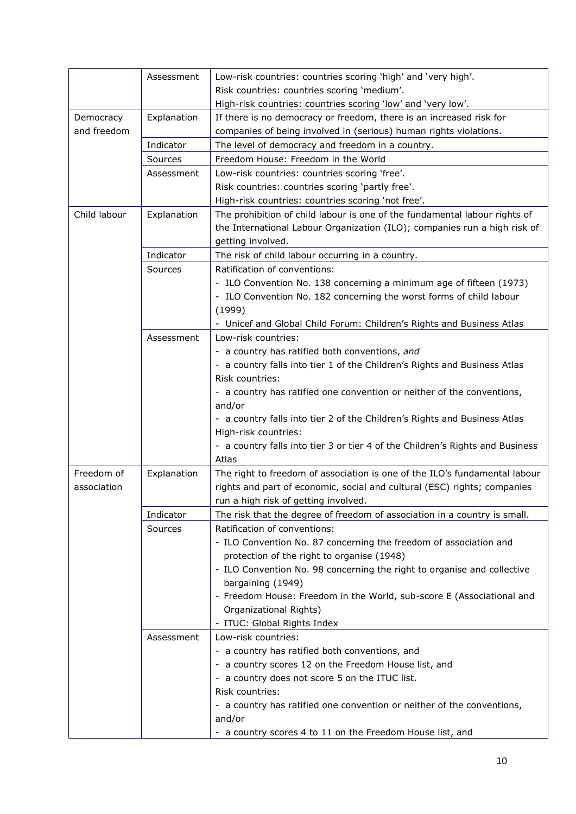|              | Assessment  | Low-risk countries: countries scoring 'high' and 'very high'.                 |
|--------------|-------------|-------------------------------------------------------------------------------|
|              |             | Risk countries: countries scoring 'medium'.                                   |
|              |             | High-risk countries: countries scoring 'low' and 'very low'.                  |
| Democracy    | Explanation | If there is no democracy or freedom, there is an increased risk for           |
| and freedom  |             | companies of being involved in (serious) human rights violations.             |
|              | Indicator   | The level of democracy and freedom in a country.                              |
|              |             |                                                                               |
|              | Sources     | Freedom House: Freedom in the World                                           |
|              | Assessment  | Low-risk countries: countries scoring 'free'.                                 |
|              |             | Risk countries: countries scoring 'partly free'.                              |
|              |             | High-risk countries: countries scoring 'not free'.                            |
| Child labour | Explanation | The prohibition of child labour is one of the fundamental labour rights of    |
|              |             | the International Labour Organization (ILO); companies run a high risk of     |
|              |             | getting involved.                                                             |
|              | Indicator   | The risk of child labour occurring in a country.                              |
|              | Sources     | Ratification of conventions:                                                  |
|              |             | - ILO Convention No. 138 concerning a minimum age of fifteen (1973)           |
|              |             | - ILO Convention No. 182 concerning the worst forms of child labour           |
|              |             | (1999)                                                                        |
|              |             | - Unicef and Global Child Forum: Children's Rights and Business Atlas         |
|              | Assessment  | Low-risk countries:                                                           |
|              |             | - a country has ratified both conventions, and                                |
|              |             | - a country falls into tier 1 of the Children's Rights and Business Atlas     |
|              |             | Risk countries:                                                               |
|              |             | - a country has ratified one convention or neither of the conventions,        |
|              |             | and/or                                                                        |
|              |             | - a country falls into tier 2 of the Children's Rights and Business Atlas     |
|              |             | High-risk countries:                                                          |
|              |             | - a country falls into tier 3 or tier 4 of the Children's Rights and Business |
|              |             | Atlas                                                                         |
| Freedom of   | Explanation | The right to freedom of association is one of the ILO's fundamental labour    |
| association  |             | rights and part of economic, social and cultural (ESC) rights; companies      |
|              |             | run a high risk of getting involved.                                          |
|              | Indicator   | The risk that the degree of freedom of association in a country is small.     |
|              | Sources     | Ratification of conventions:                                                  |
|              |             | - ILO Convention No. 87 concerning the freedom of association and             |
|              |             | protection of the right to organise (1948)                                    |
|              |             |                                                                               |
|              |             | - ILO Convention No. 98 concerning the right to organise and collective       |
|              |             | bargaining (1949)                                                             |
|              |             | - Freedom House: Freedom in the World, sub-score E (Associational and         |
|              |             | Organizational Rights)                                                        |
|              |             | - ITUC: Global Rights Index                                                   |
|              | Assessment  | Low-risk countries:                                                           |
|              |             | - a country has ratified both conventions, and                                |
|              |             | - a country scores 12 on the Freedom House list, and                          |
|              |             | - a country does not score 5 on the ITUC list.                                |
|              |             | Risk countries:                                                               |
|              |             | - a country has ratified one convention or neither of the conventions,        |
|              |             | and/or                                                                        |
|              |             | - a country scores 4 to 11 on the Freedom House list, and                     |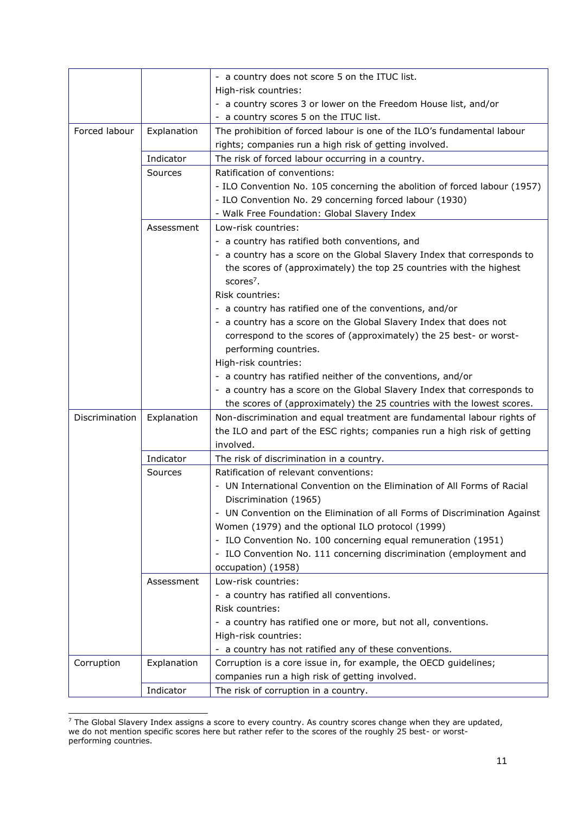|                |             | - a country does not score 5 on the ITUC list.                            |
|----------------|-------------|---------------------------------------------------------------------------|
|                |             | High-risk countries:                                                      |
|                |             | - a country scores 3 or lower on the Freedom House list, and/or           |
|                |             | - a country scores 5 on the ITUC list.                                    |
| Forced labour  | Explanation | The prohibition of forced labour is one of the ILO's fundamental labour   |
|                |             | rights; companies run a high risk of getting involved.                    |
|                | Indicator   | The risk of forced labour occurring in a country.                         |
|                | Sources     | Ratification of conventions:                                              |
|                |             | - ILO Convention No. 105 concerning the abolition of forced labour (1957) |
|                |             | - ILO Convention No. 29 concerning forced labour (1930)                   |
|                |             | - Walk Free Foundation: Global Slavery Index                              |
|                | Assessment  | Low-risk countries:                                                       |
|                |             | - a country has ratified both conventions, and                            |
|                |             | - a country has a score on the Global Slavery Index that corresponds to   |
|                |             | the scores of (approximately) the top 25 countries with the highest       |
|                |             | scores <sup>7</sup> .                                                     |
|                |             | <b>Risk countries:</b>                                                    |
|                |             | - a country has ratified one of the conventions, and/or                   |
|                |             | - a country has a score on the Global Slavery Index that does not         |
|                |             | correspond to the scores of (approximately) the 25 best- or worst-        |
|                |             | performing countries.                                                     |
|                |             | High-risk countries:                                                      |
|                |             |                                                                           |
|                |             | - a country has ratified neither of the conventions, and/or               |
|                |             | - a country has a score on the Global Slavery Index that corresponds to   |
|                |             | the scores of (approximately) the 25 countries with the lowest scores.    |
| Discrimination | Explanation | Non-discrimination and equal treatment are fundamental labour rights of   |
|                |             | the ILO and part of the ESC rights; companies run a high risk of getting  |
|                |             | involved.                                                                 |
|                | Indicator   | The risk of discrimination in a country.                                  |
|                | Sources     | Ratification of relevant conventions:                                     |
|                |             | - UN International Convention on the Elimination of All Forms of Racial   |
|                |             | Discrimination (1965)                                                     |
|                |             | - UN Convention on the Elimination of all Forms of Discrimination Against |
|                |             | Women (1979) and the optional ILO protocol (1999)                         |
|                |             | - ILO Convention No. 100 concerning equal remuneration (1951)             |
|                |             | - ILO Convention No. 111 concerning discrimination (employment and        |
|                |             | occupation) (1958)                                                        |
|                | Assessment  | Low-risk countries:                                                       |
|                |             | - a country has ratified all conventions.                                 |
|                |             | Risk countries:                                                           |
|                |             | - a country has ratified one or more, but not all, conventions.           |
|                |             | High-risk countries:                                                      |
|                |             | - a country has not ratified any of these conventions.                    |
| Corruption     | Explanation | Corruption is a core issue in, for example, the OECD guidelines;          |
|                |             | companies run a high risk of getting involved.                            |
|                | Indicator   | The risk of corruption in a country.                                      |

 $<sup>7</sup>$  The Global Slavery Index assigns a score to every country. As country scores change when they are updated,</sup> we do not mention specific scores here but rather refer to the scores of the roughly 25 best- or worstperforming countries.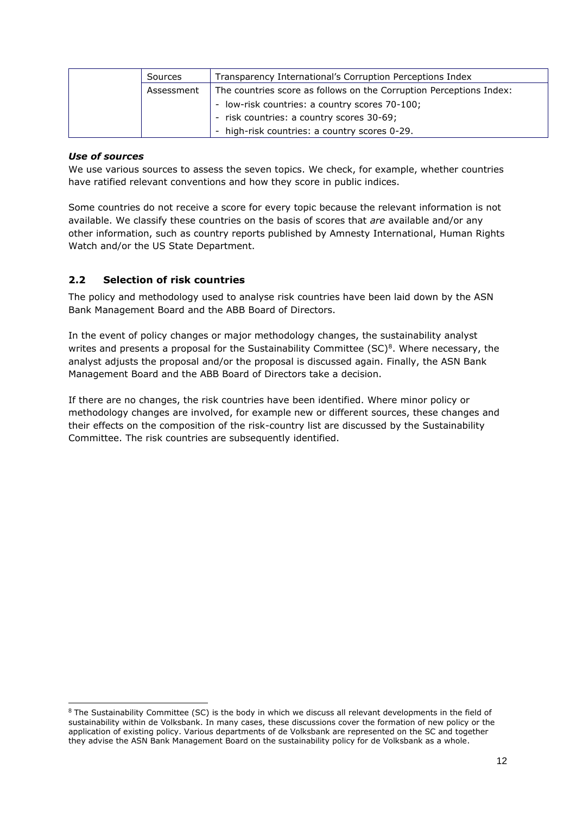| Sources    | Transparency International's Corruption Perceptions Index           |
|------------|---------------------------------------------------------------------|
| Assessment | The countries score as follows on the Corruption Perceptions Index: |
|            | - low-risk countries: a country scores 70-100;                      |
|            | - risk countries: a country scores 30-69;                           |
|            | - high-risk countries: a country scores 0-29.                       |

### *Use of sources*

We use various sources to assess the seven topics. We check, for example, whether countries have ratified relevant conventions and how they score in public indices.

Some countries do not receive a score for every topic because the relevant information is not available. We classify these countries on the basis of scores that *are* available and/or any other information, such as country reports published by Amnesty International, Human Rights Watch and/or the US State Department.

# <span id="page-11-0"></span>**2.2 Selection of risk countries**

The policy and methodology used to analyse risk countries have been laid down by the ASN Bank Management Board and the ABB Board of Directors.

In the event of policy changes or major methodology changes, the sustainability analyst writes and presents a proposal for the Sustainability Committee  $(SC)^8$ . Where necessary, the analyst adjusts the proposal and/or the proposal is discussed again. Finally, the ASN Bank Management Board and the ABB Board of Directors take a decision.

If there are no changes, the risk countries have been identified. Where minor policy or methodology changes are involved, for example new or different sources, these changes and their effects on the composition of the risk-country list are discussed by the Sustainability Committee. The risk countries are subsequently identified.

<sup>&</sup>lt;sup>8</sup> The Sustainability Committee (SC) is the body in which we discuss all relevant developments in the field of sustainability within de Volksbank. In many cases, these discussions cover the formation of new policy or the application of existing policy. Various departments of de Volksbank are represented on the SC and together they advise the ASN Bank Management Board on the sustainability policy for de Volksbank as a whole.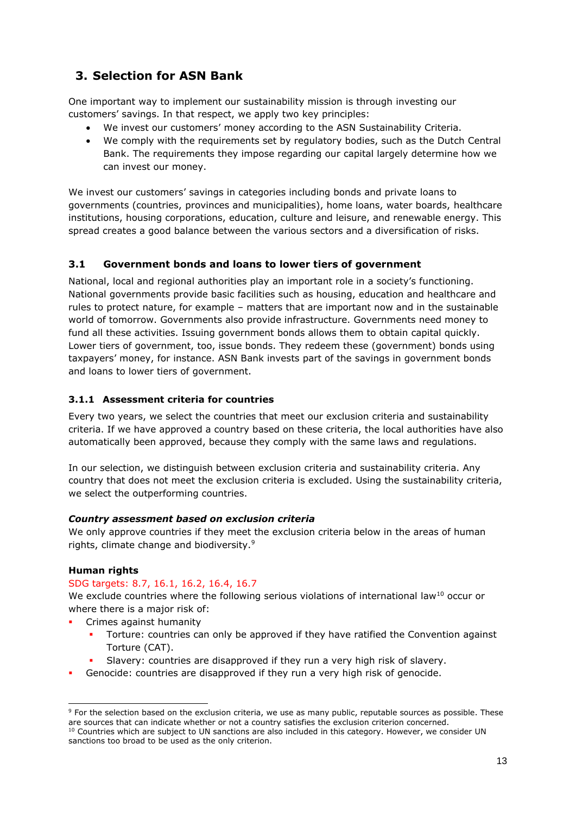# <span id="page-12-0"></span>**3. Selection for ASN Bank**

One important way to implement our sustainability mission is through investing our customers' savings. In that respect, we apply two key principles:

- We invest our customers' money according to the ASN Sustainability Criteria.
- We comply with the requirements set by regulatory bodies, such as the Dutch Central Bank. The requirements they impose regarding our capital largely determine how we can invest our money.

We invest our customers' savings in categories including bonds and private loans to governments (countries, provinces and municipalities), home loans, water boards, healthcare institutions, housing corporations, education, culture and leisure, and renewable energy. This spread creates a good balance between the various sectors and a diversification of risks.

# <span id="page-12-1"></span>**3.1 Government bonds and loans to lower tiers of government**

National, local and regional authorities play an important role in a society's functioning. National governments provide basic facilities such as housing, education and healthcare and rules to protect nature, for example – matters that are important now and in the sustainable world of tomorrow. Governments also provide infrastructure. Governments need money to fund all these activities. Issuing government bonds allows them to obtain capital quickly. Lower tiers of government, too, issue bonds. They redeem these (government) bonds using taxpayers' money, for instance. ASN Bank invests part of the savings in government bonds and loans to lower tiers of government.

# <span id="page-12-2"></span>**3.1.1 Assessment criteria for countries**

Every two years, we select the countries that meet our exclusion criteria and sustainability criteria. If we have approved a country based on these criteria, the local authorities have also automatically been approved, because they comply with the same laws and regulations.

In our selection, we distinguish between exclusion criteria and sustainability criteria. Any country that does not meet the exclusion criteria is excluded. Using the sustainability criteria, we select the outperforming countries.

### *Country assessment based on exclusion criteria*

We only approve countries if they meet the exclusion criteria below in the areas of human rights, climate change and biodiversity.<sup>9</sup>

# **Human rights**

### SDG targets: 8.7, 16.1, 16.2, 16.4, 16.7

We exclude countries where the following serious violations of international law<sup>10</sup> occur or where there is a major risk of:

- Crimes against humanity
	- Torture: countries can only be approved if they have ratified the Convention against Torture (CAT).
	- Slavery: countries are disapproved if they run a very high risk of slavery.
- Genocide: countries are disapproved if they run a very high risk of genocide.

<sup>&</sup>lt;sup>9</sup> For the selection based on the exclusion criteria, we use as many public, reputable sources as possible. These are sources that can indicate whether or not a country satisfies the exclusion criterion concerned. <sup>10</sup> Countries which are subject to UN sanctions are also included in this category. However, we consider UN sanctions too broad to be used as the only criterion.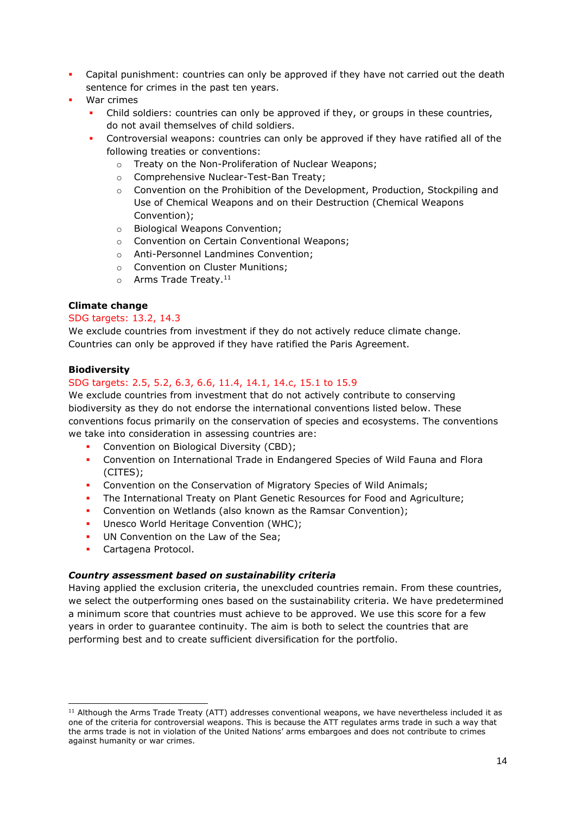- Capital punishment: countries can only be approved if they have not carried out the death sentence for crimes in the past ten years.
- War crimes
	- Child soldiers: countries can only be approved if they, or groups in these countries, do not avail themselves of child soldiers.
	- Controversial weapons: countries can only be approved if they have ratified all of the following treaties or conventions:
		- o Treaty on the Non-Proliferation of Nuclear Weapons;
		- o Comprehensive Nuclear-Test-Ban Treaty;
		- $\circ$  Convention on the Prohibition of the Development, Production, Stockpiling and Use of Chemical Weapons and on their Destruction (Chemical Weapons Convention);
		- o Biological Weapons Convention;
		- o Convention on Certain Conventional Weapons;
		- o Anti-Personnel Landmines Convention;
		- o Convention on Cluster Munitions;
		- $\circ$  Arms Trade Treaty.<sup>11</sup>

### **Climate change**

### SDG targets: 13.2, 14.3

We exclude countries from investment if they do not actively reduce climate change. Countries can only be approved if they have ratified the Paris Agreement.

### **Biodiversity**

# SDG targets: 2.5, 5.2, 6.3, 6.6, 11.4, 14.1, 14.c, 15.1 to 15.9

We exclude countries from investment that do not actively contribute to conserving biodiversity as they do not endorse the international conventions listed below. These conventions focus primarily on the conservation of species and ecosystems. The conventions we take into consideration in assessing countries are:

- Convention on Biological Diversity (CBD);
- Convention on International Trade in Endangered Species of Wild Fauna and Flora (CITES);
- Convention on the Conservation of Migratory Species of Wild Animals;
- The International Treaty on Plant Genetic Resources for Food and Agriculture;
- Convention on Wetlands (also known as the Ramsar Convention);
- Unesco World Heritage Convention (WHC);
- UN Convention on the Law of the Sea;
- Cartagena Protocol.

### *Country assessment based on sustainability criteria*

Having applied the exclusion criteria, the unexcluded countries remain. From these countries, we select the outperforming ones based on the sustainability criteria. We have predetermined a minimum score that countries must achieve to be approved. We use this score for a few years in order to guarantee continuity. The aim is both to select the countries that are performing best and to create sufficient diversification for the portfolio.

<sup>&</sup>lt;sup>11</sup> Although the Arms Trade Treaty (ATT) addresses conventional weapons, we have nevertheless included it as one of the criteria for controversial weapons. This is because the ATT regulates arms trade in such a way that the arms trade is not in violation of the United Nations' arms embargoes and does not contribute to crimes against humanity or war crimes.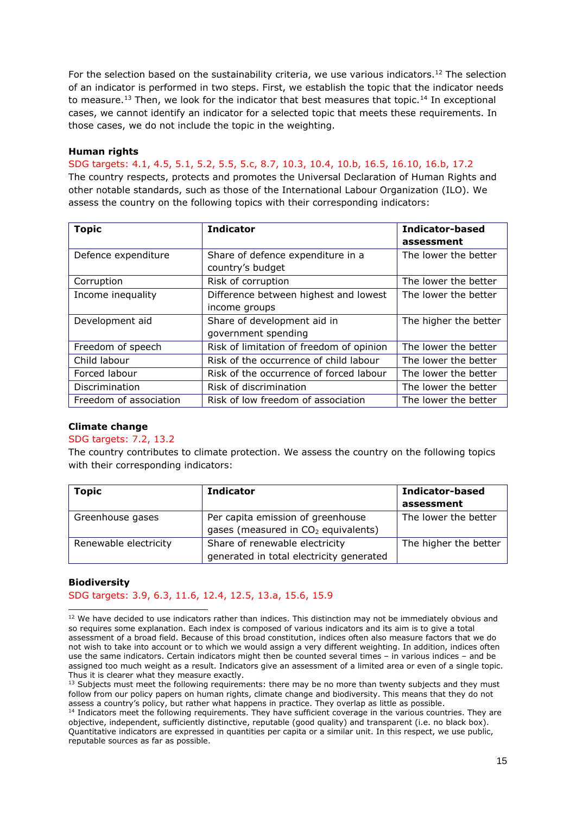For the selection based on the sustainability criteria, we use various indicators.<sup>12</sup> The selection of an indicator is performed in two steps. First, we establish the topic that the indicator needs to measure.<sup>13</sup> Then, we look for the indicator that best measures that topic.<sup>14</sup> In exceptional cases, we cannot identify an indicator for a selected topic that meets these requirements. In those cases, we do not include the topic in the weighting.

### **Human rights**

SDG targets: 4.1, 4.5, 5.1, 5.2, 5.5, 5.c, 8.7, 10.3, 10.4, 10.b, 16.5, 16.10, 16.b, 17.2

The country respects, protects and promotes the Universal Declaration of Human Rights and other notable standards, such as those of the International Labour Organization (ILO). We assess the country on the following topics with their corresponding indicators:

| <b>Topic</b>           | <b>Indicator</b>                         | <b>Indicator-based</b> |  |  |
|------------------------|------------------------------------------|------------------------|--|--|
|                        |                                          | assessment             |  |  |
| Defence expenditure    | Share of defence expenditure in a        | The lower the better   |  |  |
|                        | country's budget                         |                        |  |  |
| Corruption             | Risk of corruption                       | The lower the better   |  |  |
| Income inequality      | Difference between highest and lowest    | The lower the better   |  |  |
|                        | income groups                            |                        |  |  |
| Development aid        | Share of development aid in              | The higher the better  |  |  |
|                        | government spending                      |                        |  |  |
| Freedom of speech      | Risk of limitation of freedom of opinion | The lower the better   |  |  |
| Child labour           | Risk of the occurrence of child labour   | The lower the better   |  |  |
| Forced labour          | Risk of the occurrence of forced labour  | The lower the better   |  |  |
| Discrimination         | Risk of discrimination                   | The lower the better   |  |  |
| Freedom of association | Risk of low freedom of association       | The lower the better   |  |  |

### **Climate change**

### SDG targets: 7.2, 13.2

The country contributes to climate protection. We assess the country on the following topics with their corresponding indicators:

| <b>Topic</b>          | <b>Indicator</b>                                | Indicator-based       |
|-----------------------|-------------------------------------------------|-----------------------|
|                       |                                                 | assessment            |
| Greenhouse gases      | Per capita emission of greenhouse               | The lower the better  |
|                       | gases (measured in CO <sub>2</sub> equivalents) |                       |
| Renewable electricity | Share of renewable electricity                  | The higher the better |
|                       | generated in total electricity generated        |                       |

### **Biodiversity**

SDG targets: 3.9, 6.3, 11.6, 12.4, 12.5, 13.a, 15.6, 15.9

<sup>&</sup>lt;sup>12</sup> We have decided to use indicators rather than indices. This distinction may not be immediately obvious and so requires some explanation. Each index is composed of various indicators and its aim is to give a total assessment of a broad field. Because of this broad constitution, indices often also measure factors that we do not wish to take into account or to which we would assign a very different weighting. In addition, indices often use the same indicators. Certain indicators might then be counted several times – in various indices – and be assigned too much weight as a result. Indicators give an assessment of a limited area or even of a single topic. Thus it is clearer what they measure exactly.

 $<sup>13</sup>$  Subjects must meet the following requirements: there may be no more than twenty subjects and they must</sup> follow from our policy papers on human rights, climate change and biodiversity. This means that they do not assess a country's policy, but rather what happens in practice. They overlap as little as possible.

<sup>&</sup>lt;sup>14</sup> Indicators meet the following requirements. They have sufficient coverage in the various countries. They are objective, independent, sufficiently distinctive, reputable (good quality) and transparent (i.e. no black box). Quantitative indicators are expressed in quantities per capita or a similar unit. In this respect, we use public, reputable sources as far as possible.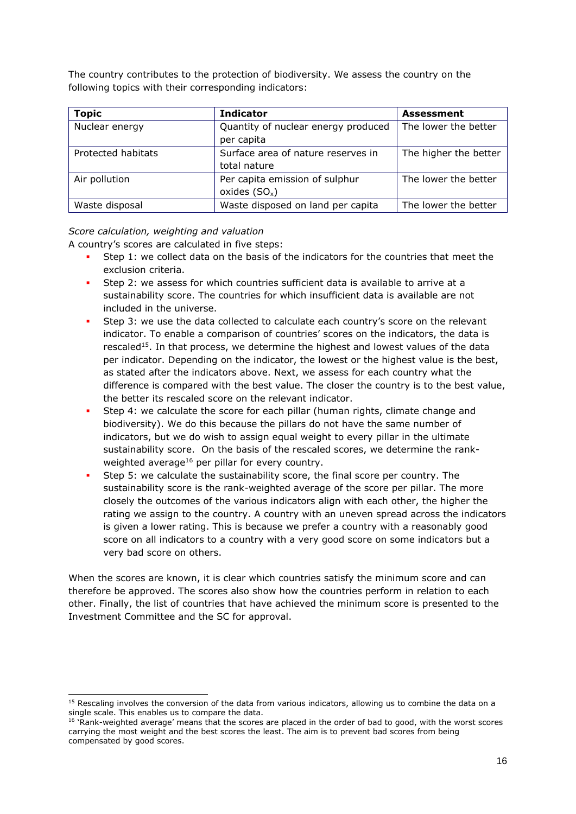The country contributes to the protection of biodiversity. We assess the country on the following topics with their corresponding indicators:

| <b>Topic</b>       | <b>Indicator</b>                    | <b>Assessment</b>     |
|--------------------|-------------------------------------|-----------------------|
| Nuclear energy     | Quantity of nuclear energy produced | The lower the better  |
|                    | per capita                          |                       |
| Protected habitats | Surface area of nature reserves in  | The higher the better |
|                    | total nature                        |                       |
| Air pollution      | Per capita emission of sulphur      | The lower the better  |
|                    | oxides $(SO_x)$                     |                       |
| Waste disposal     | Waste disposed on land per capita   | The lower the better  |

### *Score calculation, weighting and valuation*

A country's scores are calculated in five steps:

- Step 1: we collect data on the basis of the indicators for the countries that meet the exclusion criteria.
- Step 2: we assess for which countries sufficient data is available to arrive at a sustainability score. The countries for which insufficient data is available are not included in the universe.
- Step 3: we use the data collected to calculate each country's score on the relevant indicator. To enable a comparison of countries' scores on the indicators, the data is rescaled<sup>15</sup>. In that process, we determine the highest and lowest values of the data per indicator. Depending on the indicator, the lowest or the highest value is the best, as stated after the indicators above. Next, we assess for each country what the difference is compared with the best value. The closer the country is to the best value, the better its rescaled score on the relevant indicator.
- Step 4: we calculate the score for each pillar (human rights, climate change and biodiversity). We do this because the pillars do not have the same number of indicators, but we do wish to assign equal weight to every pillar in the ultimate sustainability score. On the basis of the rescaled scores, we determine the rankweighted average<sup>16</sup> per pillar for every country.
- Step 5: we calculate the sustainability score, the final score per country. The sustainability score is the rank-weighted average of the score per pillar. The more closely the outcomes of the various indicators align with each other, the higher the rating we assign to the country. A country with an uneven spread across the indicators is given a lower rating. This is because we prefer a country with a reasonably good score on all indicators to a country with a very good score on some indicators but a very bad score on others.

When the scores are known, it is clear which countries satisfy the minimum score and can therefore be approved. The scores also show how the countries perform in relation to each other. Finally, the list of countries that have achieved the minimum score is presented to the Investment Committee and the SC for approval.

<sup>&</sup>lt;sup>15</sup> Rescaling involves the conversion of the data from various indicators, allowing us to combine the data on a single scale. This enables us to compare the data.

 $16$  'Rank-weighted average' means that the scores are placed in the order of bad to good, with the worst scores carrying the most weight and the best scores the least. The aim is to prevent bad scores from being compensated by good scores.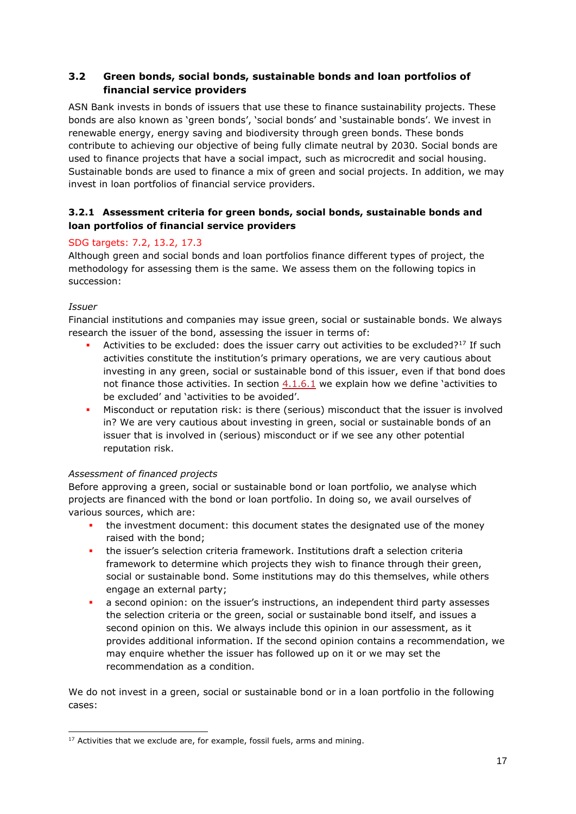# <span id="page-16-0"></span>**3.2 Green bonds, social bonds, sustainable bonds and loan portfolios of financial service providers**

ASN Bank invests in bonds of issuers that use these to finance sustainability projects. These bonds are also known as 'green bonds', 'social bonds' and 'sustainable bonds'. We invest in renewable energy, energy saving and biodiversity through green bonds. These bonds contribute to achieving our objective of being fully climate neutral by 2030. Social bonds are used to finance projects that have a social impact, such as microcredit and social housing. Sustainable bonds are used to finance a mix of green and social projects. In addition, we may invest in loan portfolios of financial service providers.

# <span id="page-16-1"></span>**3.2.1 Assessment criteria for green bonds, social bonds, sustainable bonds and loan portfolios of financial service providers**

# SDG targets: 7.2, 13.2, 17.3

Although green and social bonds and loan portfolios finance different types of project, the methodology for assessing them is the same. We assess them on the following topics in succession:

### *Issuer*

Financial institutions and companies may issue green, social or sustainable bonds. We always research the issuer of the bond, assessing the issuer in terms of:

- Activities to be excluded: does the issuer carry out activities to be excluded?<sup>17</sup> If such activities constitute the institution's primary operations, we are very cautious about investing in any green, social or sustainable bond of this issuer, even if that bond does not finance those activities. In section  $4.1.6.1$  we explain how we define 'activities to be excluded' and 'activities to be avoided'.
- Misconduct or reputation risk: is there (serious) misconduct that the issuer is involved in? We are very cautious about investing in green, social or sustainable bonds of an issuer that is involved in (serious) misconduct or if we see any other potential reputation risk.

# *Assessment of financed projects*

Before approving a green, social or sustainable bond or loan portfolio, we analyse which projects are financed with the bond or loan portfolio. In doing so, we avail ourselves of various sources, which are:

- the investment document: this document states the designated use of the money raised with the bond;
- the issuer's selection criteria framework. Institutions draft a selection criteria framework to determine which projects they wish to finance through their green, social or sustainable bond. Some institutions may do this themselves, while others engage an external party;
- a second opinion: on the issuer's instructions, an independent third party assesses the selection criteria or the green, social or sustainable bond itself, and issues a second opinion on this. We always include this opinion in our assessment, as it provides additional information. If the second opinion contains a recommendation, we may enquire whether the issuer has followed up on it or we may set the recommendation as a condition.

We do not invest in a green, social or sustainable bond or in a loan portfolio in the following cases:

 $17$  Activities that we exclude are, for example, fossil fuels, arms and mining.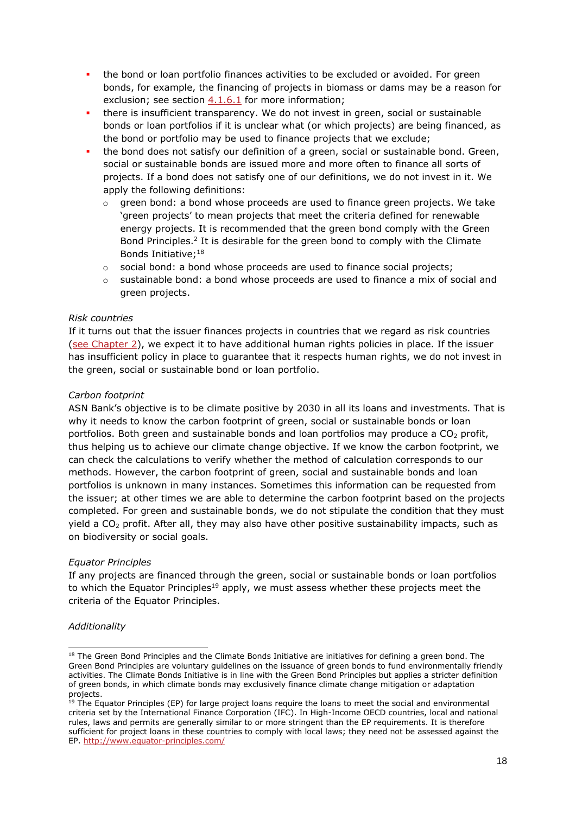- **.** the bond or loan portfolio finances activities to be excluded or avoided. For green bonds, for example, the financing of projects in biomass or dams may be a reason for exclusion; see section [4.1.6.1](#page-39-2) for more information;
- there is insufficient transparency. We do not invest in green, social or sustainable bonds or loan portfolios if it is unclear what (or which projects) are being financed, as the bond or portfolio may be used to finance projects that we exclude;
- the bond does not satisfy our definition of a green, social or sustainable bond. Green, social or sustainable bonds are issued more and more often to finance all sorts of projects. If a bond does not satisfy one of our definitions, we do not invest in it. We apply the following definitions:
	- $\circ$  green bond: a bond whose proceeds are used to finance green projects. We take 'green projects' to mean projects that meet the criteria defined for renewable energy projects. It is recommended that the green bond comply with the Green Bond Principles.<sup>2</sup> It is desirable for the green bond to comply with the Climate Bonds Initiative;<sup>18</sup>
	- $\circ$  social bond: a bond whose proceeds are used to finance social projects;
	- $\circ$  sustainable bond: a bond whose proceeds are used to finance a mix of social and green projects.

### *Risk countries*

If it turns out that the issuer finances projects in countries that we regard as risk countries [\(see Chapter 2\)](#page-8-0), we expect it to have additional human rights policies in place. If the issuer has insufficient policy in place to guarantee that it respects human rights, we do not invest in the green, social or sustainable bond or loan portfolio.

### *Carbon footprint*

ASN Bank's objective is to be climate positive by 2030 in all its loans and investments. That is why it needs to know the carbon footprint of green, social or sustainable bonds or loan portfolios. Both green and sustainable bonds and loan portfolios may produce a  $CO<sub>2</sub>$  profit, thus helping us to achieve our climate change objective. If we know the carbon footprint, we can check the calculations to verify whether the method of calculation corresponds to our methods. However, the carbon footprint of green, social and sustainable bonds and loan portfolios is unknown in many instances. Sometimes this information can be requested from the issuer; at other times we are able to determine the carbon footprint based on the projects completed. For green and sustainable bonds, we do not stipulate the condition that they must yield a CO<sub>2</sub> profit. After all, they may also have other positive sustainability impacts, such as on biodiversity or social goals.

### *Equator Principles*

If any projects are financed through the green, social or sustainable bonds or loan portfolios to which the Equator Principles<sup>19</sup> apply, we must assess whether these projects meet the criteria of the Equator Principles.

### *Additionality*

<sup>&</sup>lt;sup>18</sup> The Green Bond Principles and the Climate Bonds Initiative are initiatives for defining a green bond. The Green Bond Principles are voluntary guidelines on the issuance of green bonds to fund environmentally friendly activities. The Climate Bonds Initiative is in line with the Green Bond Principles but applies a stricter definition of green bonds, in which climate bonds may exclusively finance climate change mitigation or adaptation projects.

<sup>&</sup>lt;sup>19</sup> The Equator Principles (EP) for large project loans require the loans to meet the social and environmental criteria set by the International Finance Corporation (IFC). In High-Income OECD countries, local and national rules, laws and permits are generally similar to or more stringent than the EP requirements. It is therefore sufficient for project loans in these countries to comply with local laws; they need not be assessed against the EP.<http://www.equator-principles.com/>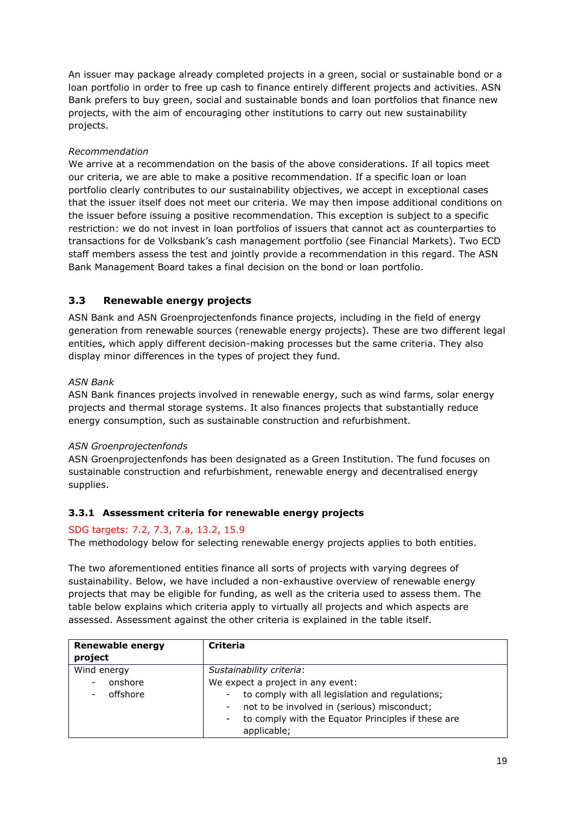An issuer may package already completed projects in a green, social or sustainable bond or a loan portfolio in order to free up cash to finance entirely different projects and activities. ASN Bank prefers to buy green, social and sustainable bonds and loan portfolios that finance new projects, with the aim of encouraging other institutions to carry out new sustainability projects.

# *Recommendation*

We arrive at a recommendation on the basis of the above considerations. If all topics meet our criteria, we are able to make a positive recommendation. If a specific loan or loan portfolio clearly contributes to our sustainability objectives, we accept in exceptional cases that the issuer itself does not meet our criteria. We may then impose additional conditions on the issuer before issuing a positive recommendation. This exception is subject to a specific restriction: we do not invest in loan portfolios of issuers that cannot act as counterparties to transactions for de Volksbank's cash management portfolio (see Financial Markets). Two ECD staff members assess the test and jointly provide a recommendation in this regard. The ASN Bank Management Board takes a final decision on the bond or loan portfolio.

# <span id="page-18-0"></span>**3.3 Renewable energy projects**

ASN Bank and ASN Groenprojectenfonds finance projects, including in the field of energy generation from renewable sources (renewable energy projects). These are two different legal entities, which apply different decision-making processes but the same criteria. They also display minor differences in the types of project they fund.

### *ASN Bank*

ASN Bank finances projects involved in renewable energy, such as wind farms, solar energy projects and thermal storage systems. It also finances projects that substantially reduce energy consumption, such as sustainable construction and refurbishment.

### *ASN Groenprojectenfonds*

ASN Groenprojectenfonds has been designated as a Green Institution. The fund focuses on sustainable construction and refurbishment, renewable energy and decentralised energy supplies.

# <span id="page-18-1"></span>**3.3.1 Assessment criteria for renewable energy projects**

### SDG targets: 7.2, 7.3, 7.a, 13.2, 15.9

The methodology below for selecting renewable energy projects applies to both entities.

The two aforementioned entities finance all sorts of projects with varying degrees of sustainability. Below, we have included a non-exhaustive overview of renewable energy projects that may be eligible for funding, as well as the criteria used to assess them. The table below explains which criteria apply to virtually all projects and which aspects are assessed. Assessment against the other criteria is explained in the table itself.

| <b>Renewable energy</b><br>project      | <b>Criteria</b>                                                                                                                                                 |
|-----------------------------------------|-----------------------------------------------------------------------------------------------------------------------------------------------------------------|
| Wind energy<br>onshore<br>-<br>offshore | Sustainability criteria:<br>We expect a project in any event:<br>to comply with all legislation and regulations;<br>not to be involved in (serious) misconduct; |
|                                         | to comply with the Equator Principles if these are<br>applicable;                                                                                               |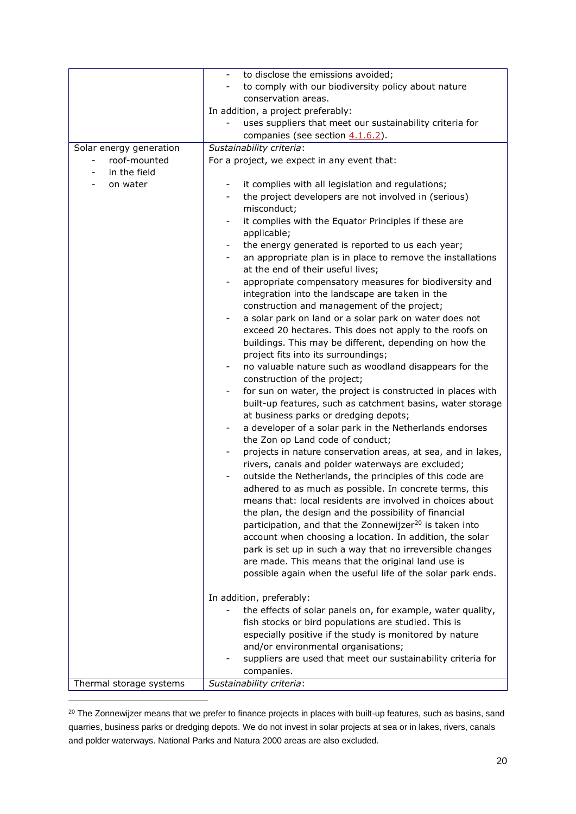|                         | to disclose the emissions avoided;<br>$\overline{\phantom{a}}$                                        |  |  |
|-------------------------|-------------------------------------------------------------------------------------------------------|--|--|
|                         | to comply with our biodiversity policy about nature                                                   |  |  |
|                         | conservation areas.                                                                                   |  |  |
|                         | In addition, a project preferably:                                                                    |  |  |
|                         | uses suppliers that meet our sustainability criteria for                                              |  |  |
|                         | companies (see section 4.1.6.2).                                                                      |  |  |
| Solar energy generation | Sustainability criteria:                                                                              |  |  |
| roof-mounted            | For a project, we expect in any event that:                                                           |  |  |
| in the field            |                                                                                                       |  |  |
| on water                | it complies with all legislation and regulations;                                                     |  |  |
|                         | the project developers are not involved in (serious)                                                  |  |  |
|                         | misconduct;                                                                                           |  |  |
|                         | it complies with the Equator Principles if these are<br>$\overline{\phantom{a}}$                      |  |  |
|                         | applicable;                                                                                           |  |  |
|                         | the energy generated is reported to us each year;                                                     |  |  |
|                         | an appropriate plan is in place to remove the installations                                           |  |  |
|                         | at the end of their useful lives;                                                                     |  |  |
|                         | appropriate compensatory measures for biodiversity and                                                |  |  |
|                         | integration into the landscape are taken in the                                                       |  |  |
|                         | construction and management of the project;<br>a solar park on land or a solar park on water does not |  |  |
|                         | exceed 20 hectares. This does not apply to the roofs on                                               |  |  |
|                         | buildings. This may be different, depending on how the                                                |  |  |
|                         | project fits into its surroundings;                                                                   |  |  |
|                         | no valuable nature such as woodland disappears for the                                                |  |  |
|                         | construction of the project;                                                                          |  |  |
|                         | for sun on water, the project is constructed in places with                                           |  |  |
|                         | built-up features, such as catchment basins, water storage                                            |  |  |
|                         | at business parks or dredging depots;                                                                 |  |  |
|                         | a developer of a solar park in the Netherlands endorses<br>$\overline{\phantom{a}}$                   |  |  |
|                         | the Zon op Land code of conduct;                                                                      |  |  |
|                         | projects in nature conservation areas, at sea, and in lakes,                                          |  |  |
|                         | rivers, canals and polder waterways are excluded;                                                     |  |  |
|                         | outside the Netherlands, the principles of this code are                                              |  |  |
|                         | adhered to as much as possible. In concrete terms, this                                               |  |  |
|                         | means that: local residents are involved in choices about                                             |  |  |
|                         | the plan, the design and the possibility of financial                                                 |  |  |
|                         | participation, and that the Zonnewijzer <sup>20</sup> is taken into                                   |  |  |
|                         | account when choosing a location. In addition, the solar                                              |  |  |
|                         | park is set up in such a way that no irreversible changes                                             |  |  |
|                         | are made. This means that the original land use is                                                    |  |  |
|                         | possible again when the useful life of the solar park ends.                                           |  |  |
|                         | In addition, preferably:                                                                              |  |  |
|                         | the effects of solar panels on, for example, water quality,                                           |  |  |
|                         | fish stocks or bird populations are studied. This is                                                  |  |  |
|                         | especially positive if the study is monitored by nature                                               |  |  |
|                         | and/or environmental organisations;                                                                   |  |  |
|                         | suppliers are used that meet our sustainability criteria for                                          |  |  |
|                         | companies.                                                                                            |  |  |
| Thermal storage systems | Sustainability criteria:                                                                              |  |  |

<sup>20</sup> The Zonnewijzer means that we prefer to finance projects in places with built-up features, such as basins, sand quarries, business parks or dredging depots. We do not invest in solar projects at sea or in lakes, rivers, canals and polder waterways. National Parks and Natura 2000 areas are also excluded.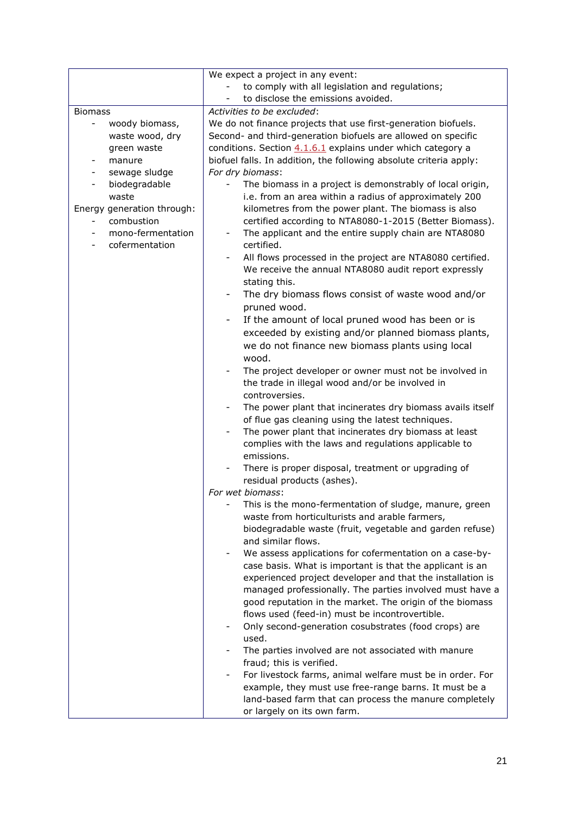|                                                                               | We expect a project in any event:                                                                                                                                                                                                               |  |
|-------------------------------------------------------------------------------|-------------------------------------------------------------------------------------------------------------------------------------------------------------------------------------------------------------------------------------------------|--|
|                                                                               | to comply with all legislation and regulations;                                                                                                                                                                                                 |  |
|                                                                               | to disclose the emissions avoided.                                                                                                                                                                                                              |  |
| <b>Biomass</b>                                                                | Activities to be excluded:                                                                                                                                                                                                                      |  |
| woody biomass,<br>$\overline{\phantom{0}}$                                    | We do not finance projects that use first-generation biofuels.                                                                                                                                                                                  |  |
| waste wood, dry                                                               | Second- and third-generation biofuels are allowed on specific                                                                                                                                                                                   |  |
| green waste                                                                   | conditions. Section 4.1.6.1 explains under which category a                                                                                                                                                                                     |  |
| manure                                                                        | biofuel falls. In addition, the following absolute criteria apply:                                                                                                                                                                              |  |
| sewage sludge                                                                 | For dry biomass:                                                                                                                                                                                                                                |  |
| biodegradable<br>waste<br>Energy generation through:                          | The biomass in a project is demonstrably of local origin,<br>i.e. from an area within a radius of approximately 200<br>kilometres from the power plant. The biomass is also                                                                     |  |
| combustion<br>$\overline{\phantom{a}}$<br>mono-fermentation<br>cofermentation | certified according to NTA8080-1-2015 (Better Biomass).<br>The applicant and the entire supply chain are NTA8080<br>certified.                                                                                                                  |  |
|                                                                               | All flows processed in the project are NTA8080 certified.<br>We receive the annual NTA8080 audit report expressly<br>stating this.                                                                                                              |  |
|                                                                               | The dry biomass flows consist of waste wood and/or<br>pruned wood.                                                                                                                                                                              |  |
|                                                                               | If the amount of local pruned wood has been or is<br>$\blacksquare$<br>exceeded by existing and/or planned biomass plants,<br>we do not finance new biomass plants using local<br>wood.                                                         |  |
|                                                                               | The project developer or owner must not be involved in<br>the trade in illegal wood and/or be involved in<br>controversies.                                                                                                                     |  |
|                                                                               | The power plant that incinerates dry biomass avails itself<br>of flue gas cleaning using the latest techniques.                                                                                                                                 |  |
|                                                                               | The power plant that incinerates dry biomass at least                                                                                                                                                                                           |  |
|                                                                               | complies with the laws and regulations applicable to<br>emissions.                                                                                                                                                                              |  |
|                                                                               | There is proper disposal, treatment or upgrading of<br>residual products (ashes).                                                                                                                                                               |  |
|                                                                               | For wet biomass:                                                                                                                                                                                                                                |  |
|                                                                               | This is the mono-fermentation of sludge, manure, green<br>waste from horticulturists and arable farmers,                                                                                                                                        |  |
|                                                                               | biodegradable waste (fruit, vegetable and garden refuse)<br>and similar flows.                                                                                                                                                                  |  |
|                                                                               | We assess applications for cofermentation on a case-by-                                                                                                                                                                                         |  |
|                                                                               | case basis. What is important is that the applicant is an<br>experienced project developer and that the installation is<br>managed professionally. The parties involved must have a<br>good reputation in the market. The origin of the biomass |  |
|                                                                               | flows used (feed-in) must be incontrovertible.<br>Only second-generation cosubstrates (food crops) are<br>used.                                                                                                                                 |  |
|                                                                               | The parties involved are not associated with manure                                                                                                                                                                                             |  |
|                                                                               | fraud; this is verified.<br>For livestock farms, animal welfare must be in order. For<br>example, they must use free-range barns. It must be a<br>land-based farm that can process the manure completely<br>or largely on its own farm.         |  |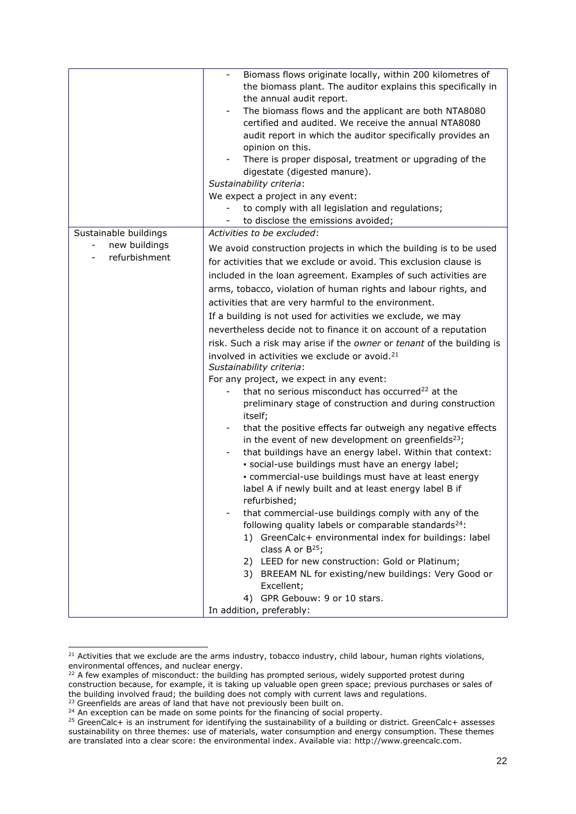|                                | Biomass flows originate locally, within 200 kilometres of<br>the biomass plant. The auditor explains this specifically in<br>the annual audit report.<br>The biomass flows and the applicant are both NTA8080<br>certified and audited. We receive the annual NTA8080<br>audit report in which the auditor specifically provides an<br>opinion on this.<br>There is proper disposal, treatment or upgrading of the<br>digestate (digested manure).<br>Sustainability criteria:<br>We expect a project in any event:<br>to comply with all legislation and regulations;<br>to disclose the emissions avoided;<br>-                                                                                                                                                                                                                                                                                                                                                                                                                                                                                                                                                                                                                                                                                                                                                                                                                                                                                                                                                                                                                                    |
|--------------------------------|------------------------------------------------------------------------------------------------------------------------------------------------------------------------------------------------------------------------------------------------------------------------------------------------------------------------------------------------------------------------------------------------------------------------------------------------------------------------------------------------------------------------------------------------------------------------------------------------------------------------------------------------------------------------------------------------------------------------------------------------------------------------------------------------------------------------------------------------------------------------------------------------------------------------------------------------------------------------------------------------------------------------------------------------------------------------------------------------------------------------------------------------------------------------------------------------------------------------------------------------------------------------------------------------------------------------------------------------------------------------------------------------------------------------------------------------------------------------------------------------------------------------------------------------------------------------------------------------------------------------------------------------------|
| Sustainable buildings          | Activities to be excluded:                                                                                                                                                                                                                                                                                                                                                                                                                                                                                                                                                                                                                                                                                                                                                                                                                                                                                                                                                                                                                                                                                                                                                                                                                                                                                                                                                                                                                                                                                                                                                                                                                           |
| new buildings<br>refurbishment | We avoid construction projects in which the building is to be used<br>for activities that we exclude or avoid. This exclusion clause is<br>included in the loan agreement. Examples of such activities are<br>arms, tobacco, violation of human rights and labour rights, and<br>activities that are very harmful to the environment.<br>If a building is not used for activities we exclude, we may<br>nevertheless decide not to finance it on account of a reputation<br>risk. Such a risk may arise if the owner or tenant of the building is<br>involved in activities we exclude or avoid. <sup>21</sup><br>Sustainability criteria:<br>For any project, we expect in any event:<br>that no serious misconduct has occurred <sup>22</sup> at the<br>preliminary stage of construction and during construction<br>itself;<br>that the positive effects far outweigh any negative effects<br>$\overline{\phantom{a}}$<br>in the event of new development on greenfields <sup>23</sup> ;<br>that buildings have an energy label. Within that context:<br>$\overline{\phantom{a}}$<br>· social-use buildings must have an energy label;<br>· commercial-use buildings must have at least energy<br>label A if newly built and at least energy label B if<br>refurbished;<br>that commercial-use buildings comply with any of the<br>following quality labels or comparable standards <sup>24</sup> :<br>1) GreenCalc+ environmental index for buildings: label<br>class A or $B^{25}$ ;<br>2) LEED for new construction: Gold or Platinum;<br>3) BREEAM NL for existing/new buildings: Very Good or<br>Excellent;<br>4) GPR Gebouw: 9 or 10 stars. |
|                                | In addition, preferably:                                                                                                                                                                                                                                                                                                                                                                                                                                                                                                                                                                                                                                                                                                                                                                                                                                                                                                                                                                                                                                                                                                                                                                                                                                                                                                                                                                                                                                                                                                                                                                                                                             |

<sup>&</sup>lt;sup>21</sup> Activities that we exclude are the arms industry, tobacco industry, child labour, human rights violations, environmental offences, and nuclear energy.

 $22$  A few examples of misconduct: the building has prompted serious, widely supported protest during construction because, for example, it is taking up valuable open green space; previous purchases or sales of the building involved fraud; the building does not comply with current laws and regulations.

<sup>&</sup>lt;sup>23</sup> Greenfields are areas of land that have not previously been built on.

<sup>&</sup>lt;sup>24</sup> An exception can be made on some points for the financing of social property.

<sup>25</sup> GreenCalc+ is an instrument for identifying the sustainability of a building or district. GreenCalc+ assesses sustainability on three themes: use of materials, water consumption and energy consumption. These themes are translated into a clear score: the environmental index. Available via: http://www.greencalc.com.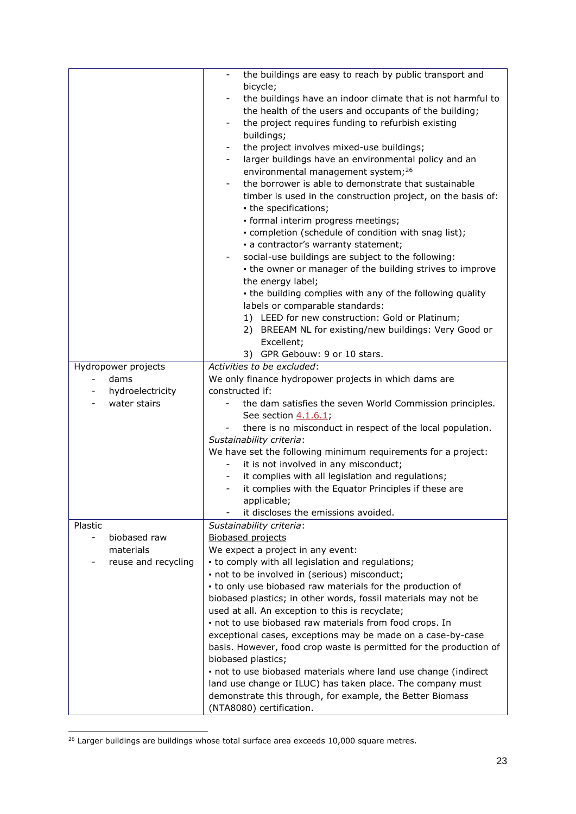|                                                         | the buildings are easy to reach by public transport and<br>$\overline{\phantom{a}}$<br>bicycle;<br>the buildings have an indoor climate that is not harmful to<br>the health of the users and occupants of the building;<br>the project requires funding to refurbish existing                                                                                                                                                                                 |
|---------------------------------------------------------|----------------------------------------------------------------------------------------------------------------------------------------------------------------------------------------------------------------------------------------------------------------------------------------------------------------------------------------------------------------------------------------------------------------------------------------------------------------|
|                                                         | buildings;<br>the project involves mixed-use buildings;<br>$\overline{\phantom{a}}$<br>larger buildings have an environmental policy and an<br>environmental management system; <sup>26</sup><br>the borrower is able to demonstrate that sustainable<br>timber is used in the construction project, on the basis of:<br>- the specifications;<br>· formal interim progress meetings;                                                                          |
|                                                         | - completion (schedule of condition with snag list);<br>- a contractor's warranty statement;<br>social-use buildings are subject to the following:<br>- the owner or manager of the building strives to improve<br>the energy label;<br>- the building complies with any of the following quality<br>labels or comparable standards:<br>1) LEED for new construction: Gold or Platinum;<br>2) BREEAM NL for existing/new buildings: Very Good or<br>Excellent; |
|                                                         | 3) GPR Gebouw: 9 or 10 stars.<br>Activities to be excluded:                                                                                                                                                                                                                                                                                                                                                                                                    |
| Hydropower projects<br>dams<br>$\overline{\phantom{a}}$ | We only finance hydropower projects in which dams are                                                                                                                                                                                                                                                                                                                                                                                                          |
| hydroelectricity<br>$\overline{\phantom{a}}$            | constructed if:                                                                                                                                                                                                                                                                                                                                                                                                                                                |
| water stairs                                            | the dam satisfies the seven World Commission principles.                                                                                                                                                                                                                                                                                                                                                                                                       |
|                                                         | See section 4.1.6.1;                                                                                                                                                                                                                                                                                                                                                                                                                                           |
|                                                         | there is no misconduct in respect of the local population.                                                                                                                                                                                                                                                                                                                                                                                                     |
|                                                         | Sustainability criteria:                                                                                                                                                                                                                                                                                                                                                                                                                                       |
|                                                         | We have set the following minimum requirements for a project:                                                                                                                                                                                                                                                                                                                                                                                                  |
|                                                         | it is not involved in any misconduct;<br>$\sim$                                                                                                                                                                                                                                                                                                                                                                                                                |
|                                                         | it complies with all legislation and regulations;                                                                                                                                                                                                                                                                                                                                                                                                              |
|                                                         | it complies with the Equator Principles if these are                                                                                                                                                                                                                                                                                                                                                                                                           |
|                                                         | applicable;                                                                                                                                                                                                                                                                                                                                                                                                                                                    |
|                                                         | it discloses the emissions avoided.                                                                                                                                                                                                                                                                                                                                                                                                                            |
| Plastic<br>biobased raw                                 | Sustainability criteria:<br><b>Biobased projects</b>                                                                                                                                                                                                                                                                                                                                                                                                           |
| materials                                               | We expect a project in any event:                                                                                                                                                                                                                                                                                                                                                                                                                              |
| reuse and recycling                                     | - to comply with all legislation and regulations;                                                                                                                                                                                                                                                                                                                                                                                                              |
|                                                         | - not to be involved in (serious) misconduct;                                                                                                                                                                                                                                                                                                                                                                                                                  |
|                                                         | • to only use biobased raw materials for the production of                                                                                                                                                                                                                                                                                                                                                                                                     |
|                                                         | biobased plastics; in other words, fossil materials may not be                                                                                                                                                                                                                                                                                                                                                                                                 |
|                                                         | used at all. An exception to this is recyclate;                                                                                                                                                                                                                                                                                                                                                                                                                |
|                                                         | - not to use biobased raw materials from food crops. In                                                                                                                                                                                                                                                                                                                                                                                                        |
|                                                         | exceptional cases, exceptions may be made on a case-by-case                                                                                                                                                                                                                                                                                                                                                                                                    |
|                                                         | basis. However, food crop waste is permitted for the production of                                                                                                                                                                                                                                                                                                                                                                                             |
|                                                         | biobased plastics;                                                                                                                                                                                                                                                                                                                                                                                                                                             |
|                                                         | - not to use biobased materials where land use change (indirect                                                                                                                                                                                                                                                                                                                                                                                                |
|                                                         | land use change or ILUC) has taken place. The company must                                                                                                                                                                                                                                                                                                                                                                                                     |
|                                                         | demonstrate this through, for example, the Better Biomass<br>(NTA8080) certification.                                                                                                                                                                                                                                                                                                                                                                          |
|                                                         |                                                                                                                                                                                                                                                                                                                                                                                                                                                                |

<sup>&</sup>lt;sup>26</sup> Larger buildings are buildings whose total surface area exceeds 10,000 square metres.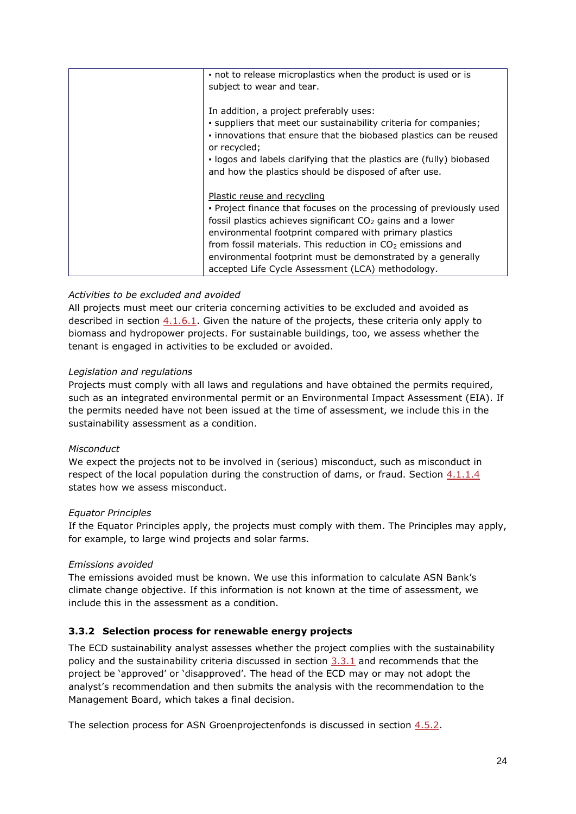| not to release microplastics when the product is used or is                        |
|------------------------------------------------------------------------------------|
| subject to wear and tear.                                                          |
|                                                                                    |
| In addition, a project preferably uses:                                            |
| . suppliers that meet our sustainability criteria for companies;                   |
| . innovations that ensure that the biobased plastics can be reused<br>or recycled; |
| . logos and labels clarifying that the plastics are (fully) biobased               |
| and how the plastics should be disposed of after use.                              |
|                                                                                    |
| <b>Plastic reuse and recycling</b>                                                 |
| . Project finance that focuses on the processing of previously used                |
| fossil plastics achieves significant CO <sub>2</sub> gains and a lower             |
| environmental footprint compared with primary plastics                             |
| from fossil materials. This reduction in $CO2$ emissions and                       |
| environmental footprint must be demonstrated by a generally                        |
| accepted Life Cycle Assessment (LCA) methodology.                                  |

# *Activities to be excluded and avoided*

All projects must meet our criteria concerning activities to be excluded and avoided as described in section  $4.1.6.1$ . Given the nature of the projects, these criteria only apply to biomass and hydropower projects. For sustainable buildings, too, we assess whether the tenant is engaged in activities to be excluded or avoided.

### *Legislation and regulations*

Projects must comply with all laws and regulations and have obtained the permits required, such as an integrated environmental permit or an Environmental Impact Assessment (EIA). If the permits needed have not been issued at the time of assessment, we include this in the sustainability assessment as a condition.

### *Misconduct*

We expect the projects not to be involved in (serious) misconduct, such as misconduct in respect of the local population during the construction of dams, or fraud. Section [4.1.1.4](#page-34-1) states how we assess misconduct.

### *Equator Principles*

If the Equator Principles apply, the projects must comply with them. The Principles may apply, for example, to large wind projects and solar farms.

### *Emissions avoided*

The emissions avoided must be known. We use this information to calculate ASN Bank's climate change objective. If this information is not known at the time of assessment, we include this in the assessment as a condition.

### <span id="page-23-0"></span>**3.3.2 Selection process for renewable energy projects**

The ECD sustainability analyst assesses whether the project complies with the sustainability policy and the sustainability criteria discussed in section [3.3.1](#page-18-1) and recommends that the project be 'approved' or 'disapproved'. The head of the ECD may or may not adopt the analyst's recommendation and then submits the analysis with the recommendation to the Management Board, which takes a final decision.

The selection process for ASN Groenprojectenfonds is discussed in section [4.5.2.](#page-72-1)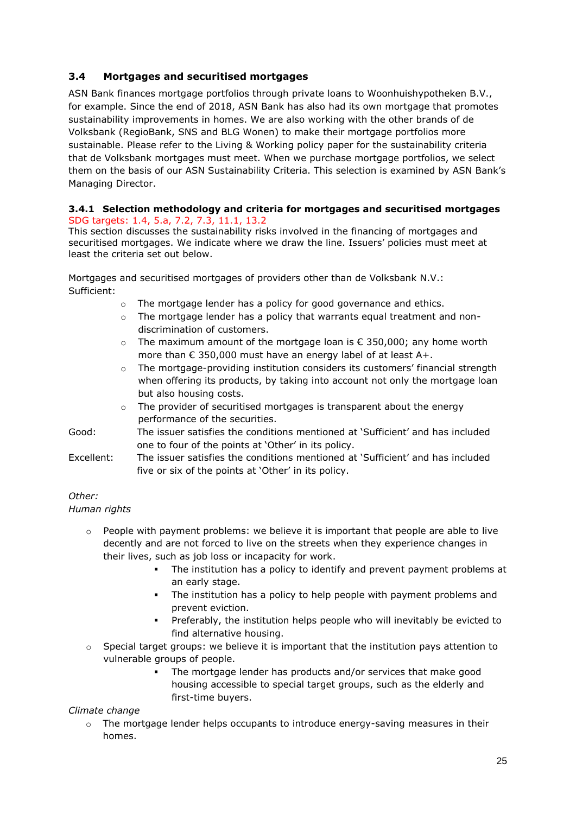# <span id="page-24-0"></span>**3.4 Mortgages and securitised mortgages**

ASN Bank finances mortgage portfolios through private loans to Woonhuishypotheken B.V., for example. Since the end of 2018, ASN Bank has also had its own mortgage that promotes sustainability improvements in homes. We are also working with the other brands of de Volksbank (RegioBank, SNS and BLG Wonen) to make their mortgage portfolios more sustainable. Please refer to the Living & Working policy paper for the sustainability criteria that de Volksbank mortgages must meet. When we purchase mortgage portfolios, we select them on the basis of our ASN Sustainability Criteria. This selection is examined by ASN Bank's Managing Director.

### <span id="page-24-1"></span>**3.4.1 Selection methodology and criteria for mortgages and securitised mortgages** SDG targets: 1.4, 5.a, 7.2, 7.3, 11.1, 13.2

This section discusses the sustainability risks involved in the financing of mortgages and securitised mortgages. We indicate where we draw the line. Issuers' policies must meet at least the criteria set out below.

Mortgages and securitised mortgages of providers other than de Volksbank N.V.: Sufficient:

- o The mortgage lender has a policy for good governance and ethics.
- $\circ$  The mortgage lender has a policy that warrants equal treatment and nondiscrimination of customers.
- $\circ$  The maximum amount of the mortgage loan is  $\epsilon$  350,000; any home worth more than  $\epsilon$  350,000 must have an energy label of at least A+.
- $\circ$  The mortgage-providing institution considers its customers' financial strength when offering its products, by taking into account not only the mortgage loan but also housing costs.
- o The provider of securitised mortgages is transparent about the energy performance of the securities.
- Good: The issuer satisfies the conditions mentioned at 'Sufficient' and has included one to four of the points at 'Other' in its policy.
- Excellent: The issuer satisfies the conditions mentioned at 'Sufficient' and has included five or six of the points at 'Other' in its policy.

# *Other:*

### *Human rights*

- $\circ$  People with payment problems: we believe it is important that people are able to live decently and are not forced to live on the streets when they experience changes in their lives, such as job loss or incapacity for work.
	- The institution has a policy to identify and prevent payment problems at an early stage.
	- The institution has a policy to help people with payment problems and prevent eviction.
	- Preferably, the institution helps people who will inevitably be evicted to find alternative housing.
- $\circ$  Special target groups: we believe it is important that the institution pays attention to vulnerable groups of people.
	- The mortgage lender has products and/or services that make good housing accessible to special target groups, such as the elderly and first-time buyers.

### *Climate change*

 $\circ$  The mortgage lender helps occupants to introduce energy-saving measures in their homes.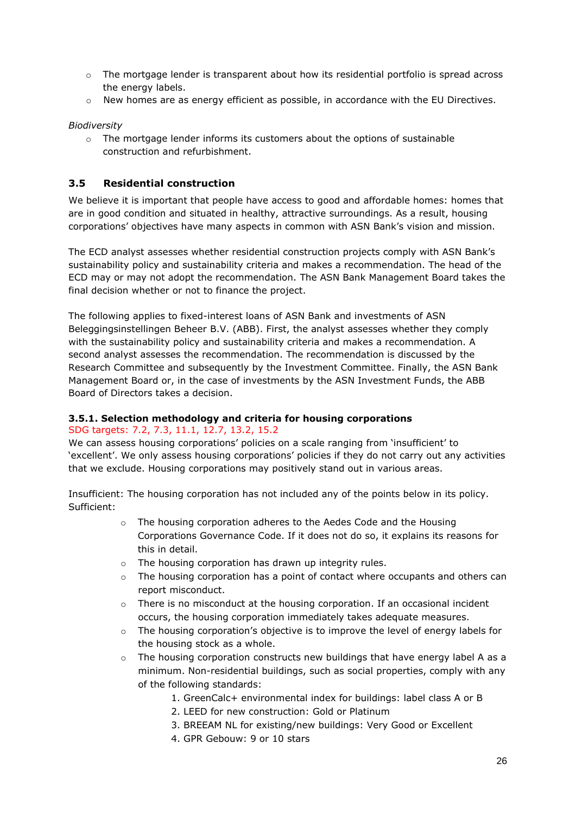- $\circ$  The mortgage lender is transparent about how its residential portfolio is spread across the energy labels.
- o New homes are as energy efficient as possible, in accordance with the EU Directives.

### *Biodiversity*

 $\circ$  The mortgage lender informs its customers about the options of sustainable construction and refurbishment.

### <span id="page-25-0"></span>**3.5 Residential construction**

We believe it is important that people have access to good and affordable homes: homes that are in good condition and situated in healthy, attractive surroundings. As a result, housing corporations' objectives have many aspects in common with ASN Bank's vision and mission.

The ECD analyst assesses whether residential construction projects comply with ASN Bank's sustainability policy and sustainability criteria and makes a recommendation. The head of the ECD may or may not adopt the recommendation. The ASN Bank Management Board takes the final decision whether or not to finance the project.

The following applies to fixed-interest loans of ASN Bank and investments of ASN Beleggingsinstellingen Beheer B.V. (ABB). First, the analyst assesses whether they comply with the sustainability policy and sustainability criteria and makes a recommendation. A second analyst assesses the recommendation. The recommendation is discussed by the Research Committee and subsequently by the Investment Committee. Finally, the ASN Bank Management Board or, in the case of investments by the ASN Investment Funds, the ABB Board of Directors takes a decision.

### <span id="page-25-1"></span>**3.5.1. Selection methodology and criteria for housing corporations**

### SDG targets: 7.2, 7.3, 11.1, 12.7, 13.2, 15.2

We can assess housing corporations' policies on a scale ranging from 'insufficient' to 'excellent'. We only assess housing corporations' policies if they do not carry out any activities that we exclude. Housing corporations may positively stand out in various areas.

Insufficient: The housing corporation has not included any of the points below in its policy. Sufficient:

- o The housing corporation adheres to the Aedes Code and the Housing Corporations Governance Code. If it does not do so, it explains its reasons for this in detail.
- o The housing corporation has drawn up integrity rules.
- $\circ$  The housing corporation has a point of contact where occupants and others can report misconduct.
- $\circ$  There is no misconduct at the housing corporation. If an occasional incident occurs, the housing corporation immediately takes adequate measures.
- $\circ$  The housing corporation's objective is to improve the level of energy labels for the housing stock as a whole.
- $\circ$  The housing corporation constructs new buildings that have energy label A as a minimum. Non-residential buildings, such as social properties, comply with any of the following standards:
	- 1. GreenCalc+ environmental index for buildings: label class A or B
	- 2. LEED for new construction: Gold or Platinum
	- 3. BREEAM NL for existing/new buildings: Very Good or Excellent
	- 4. GPR Gebouw: 9 or 10 stars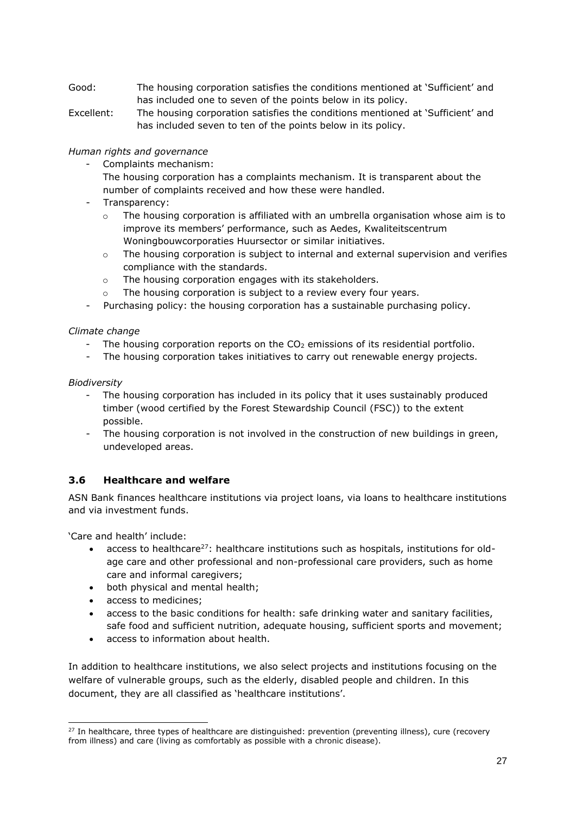- Good: The housing corporation satisfies the conditions mentioned at 'Sufficient' and has included one to seven of the points below in its policy.
- Excellent: The housing corporation satisfies the conditions mentioned at 'Sufficient' and has included seven to ten of the points below in its policy.

*Human rights and governance*

- Complaints mechanism:
	- The housing corporation has a complaints mechanism. It is transparent about the number of complaints received and how these were handled.
- Transparency:
	- $\circ$  The housing corporation is affiliated with an umbrella organisation whose aim is to improve its members' performance, such as Aedes, Kwaliteitscentrum Woningbouwcorporaties Huursector or similar initiatives.
	- $\circ$  The housing corporation is subject to internal and external supervision and verifies compliance with the standards.
	- o The housing corporation engages with its stakeholders.
	- The housing corporation is subject to a review every four years.
- Purchasing policy: the housing corporation has a sustainable purchasing policy.

### *Climate change*

- The housing corporation reports on the  $CO<sub>2</sub>$  emissions of its residential portfolio.
- The housing corporation takes initiatives to carry out renewable energy projects.

### *Biodiversity*

- The housing corporation has included in its policy that it uses sustainably produced timber (wood certified by the Forest Stewardship Council (FSC)) to the extent possible.
- The housing corporation is not involved in the construction of new buildings in green, undeveloped areas.

# <span id="page-26-0"></span>**3.6 Healthcare and welfare**

ASN Bank finances healthcare institutions via project loans, via loans to healthcare institutions and via investment funds.

'Care and health' include:

- access to healthcare<sup>27</sup>: healthcare institutions such as hospitals, institutions for oldage care and other professional and non-professional care providers, such as home care and informal caregivers;
- both physical and mental health;
- access to medicines;
- access to the basic conditions for health: safe drinking water and sanitary facilities, safe food and sufficient nutrition, adequate housing, sufficient sports and movement;
- access to information about health.

In addition to healthcare institutions, we also select projects and institutions focusing on the welfare of vulnerable groups, such as the elderly, disabled people and children. In this document, they are all classified as 'healthcare institutions'.

<sup>&</sup>lt;sup>27</sup> In healthcare, three types of healthcare are distinguished: prevention (preventing illness), cure (recovery from illness) and care (living as comfortably as possible with a chronic disease).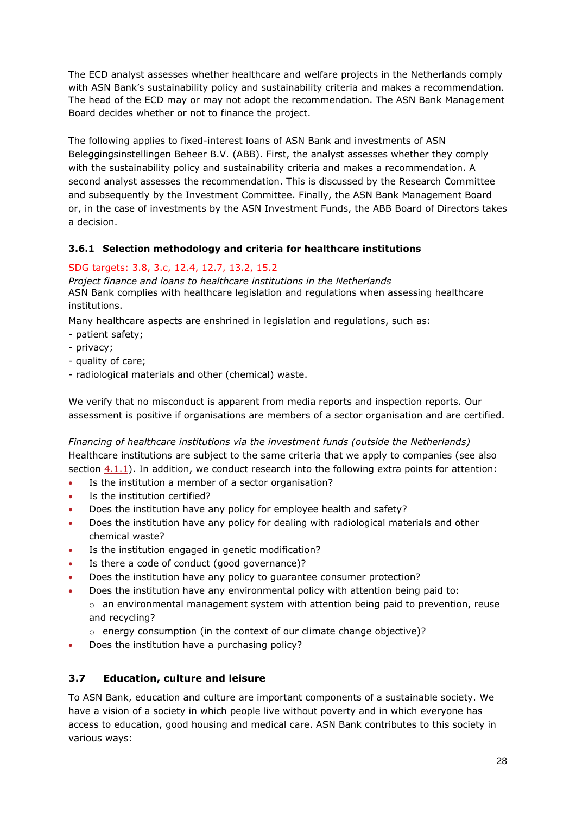The ECD analyst assesses whether healthcare and welfare projects in the Netherlands comply with ASN Bank's sustainability policy and sustainability criteria and makes a recommendation. The head of the ECD may or may not adopt the recommendation. The ASN Bank Management Board decides whether or not to finance the project.

The following applies to fixed-interest loans of ASN Bank and investments of ASN Beleggingsinstellingen Beheer B.V. (ABB). First, the analyst assesses whether they comply with the sustainability policy and sustainability criteria and makes a recommendation. A second analyst assesses the recommendation. This is discussed by the Research Committee and subsequently by the Investment Committee. Finally, the ASN Bank Management Board or, in the case of investments by the ASN Investment Funds, the ABB Board of Directors takes a decision.

# <span id="page-27-0"></span>**3.6.1 Selection methodology and criteria for healthcare institutions**

# SDG targets: 3.8, 3.c, 12.4, 12.7, 13.2, 15.2

*Project finance and loans to healthcare institutions in the Netherlands* ASN Bank complies with healthcare legislation and regulations when assessing healthcare institutions.

Many healthcare aspects are enshrined in legislation and regulations, such as:

- patient safety;
- privacy;
- quality of care;
- radiological materials and other (chemical) waste.

We verify that no misconduct is apparent from media reports and inspection reports. Our assessment is positive if organisations are members of a sector organisation and are certified.

*Financing of healthcare institutions via the investment funds (outside the Netherlands)*  Healthcare institutions are subject to the same criteria that we apply to companies (see also section [4.1.1\)](#page-30-2). In addition, we conduct research into the following extra points for attention:

- Is the institution a member of a sector organisation?
- Is the institution certified?
- Does the institution have any policy for employee health and safety?
- Does the institution have any policy for dealing with radiological materials and other chemical waste?
- Is the institution engaged in genetic modification?
- Is there a code of conduct (good governance)?
- Does the institution have any policy to guarantee consumer protection?
- Does the institution have any environmental policy with attention being paid to:  $\circ$  an environmental management system with attention being paid to prevention, reuse and recycling?
	- $\circ$  energy consumption (in the context of our climate change objective)?
- Does the institution have a purchasing policy?

# <span id="page-27-1"></span>**3.7 Education, culture and leisure**

To ASN Bank, education and culture are important components of a sustainable society. We have a vision of a society in which people live without poverty and in which everyone has access to education, good housing and medical care. ASN Bank contributes to this society in various ways: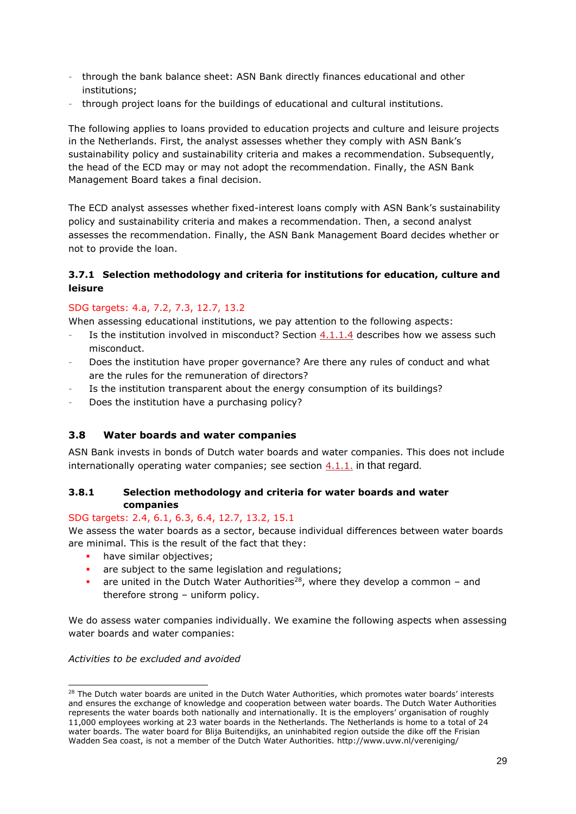- through the bank balance sheet: ASN Bank directly finances educational and other institutions;
- through project loans for the buildings of educational and cultural institutions.

The following applies to loans provided to education projects and culture and leisure projects in the Netherlands. First, the analyst assesses whether they comply with ASN Bank's sustainability policy and sustainability criteria and makes a recommendation. Subsequently, the head of the ECD may or may not adopt the recommendation. Finally, the ASN Bank Management Board takes a final decision.

The ECD analyst assesses whether fixed-interest loans comply with ASN Bank's sustainability policy and sustainability criteria and makes a recommendation. Then, a second analyst assesses the recommendation. Finally, the ASN Bank Management Board decides whether or not to provide the loan.

# <span id="page-28-0"></span>**3.7.1 Selection methodology and criteria for institutions for education, culture and leisure**

# SDG targets: 4.a, 7.2, 7.3, 12.7, 13.2

When assessing educational institutions, we pay attention to the following aspects:

- Is the institution involved in misconduct? Section  $4.1.1.4$  describes how we assess such misconduct.
- Does the institution have proper governance? Are there any rules of conduct and what are the rules for the remuneration of directors?
- Is the institution transparent about the energy consumption of its buildings?
- Does the institution have a purchasing policy?

# <span id="page-28-1"></span>**3.8 Water boards and water companies**

ASN Bank invests in bonds of Dutch water boards and water companies. This does not include internationally operating water companies; see section  $4.1.1$ . in that regard.

### <span id="page-28-2"></span>**3.8.1 Selection methodology and criteria for water boards and water companies**

# SDG targets: 2.4, 6.1, 6.3, 6.4, 12.7, 13.2, 15.1

We assess the water boards as a sector, because individual differences between water boards are minimal. This is the result of the fact that they:

- **•** have similar objectives:
- are subject to the same legislation and regulations;
- **•** are united in the Dutch Water Authorities<sup>28</sup>, where they develop a common and therefore strong – uniform policy.

We do assess water companies individually. We examine the following aspects when assessing water boards and water companies:

### *Activities to be excluded and avoided*

<sup>&</sup>lt;sup>28</sup> The Dutch water boards are united in the Dutch Water Authorities, which promotes water boards' interests and ensures the exchange of knowledge and cooperation between water boards. The Dutch Water Authorities represents the water boards both nationally and internationally. It is the employers' organisation of roughly 11,000 employees working at 23 water boards in the Netherlands. The Netherlands is home to a total of 24 water boards. The water board for Blija Buitendijks, an uninhabited region outside the dike off the Frisian Wadden Sea coast, is not a member of the Dutch Water Authorities. http://www.uvw.nl/vereniging/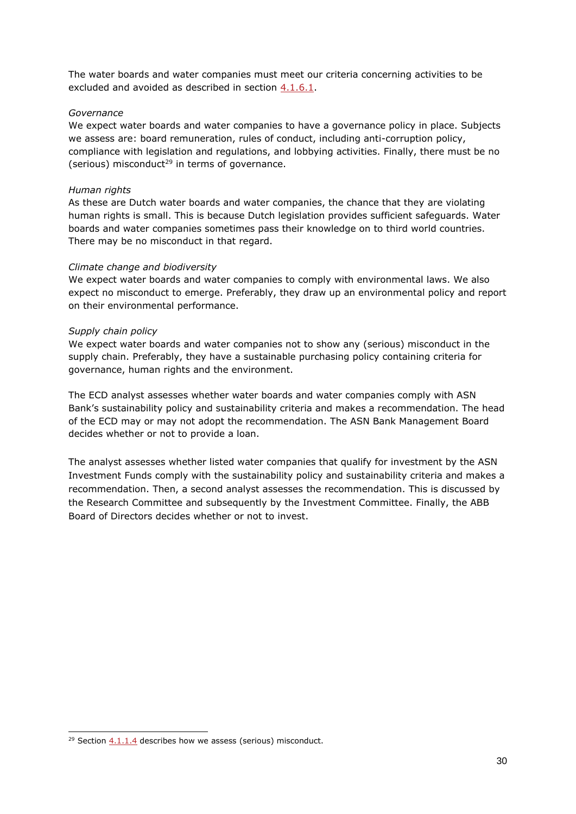The water boards and water companies must meet our criteria concerning activities to be excluded and avoided as described in section [4.1.6.1.](#page-39-2)

#### *Governance*

We expect water boards and water companies to have a governance policy in place. Subjects we assess are: board remuneration, rules of conduct, including anti-corruption policy, compliance with legislation and regulations, and lobbying activities. Finally, there must be no (serious) misconduct<sup>29</sup> in terms of governance.

#### *Human rights*

As these are Dutch water boards and water companies, the chance that they are violating human rights is small. This is because Dutch legislation provides sufficient safeguards. Water boards and water companies sometimes pass their knowledge on to third world countries. There may be no misconduct in that regard.

#### *Climate change and biodiversity*

We expect water boards and water companies to comply with environmental laws. We also expect no misconduct to emerge. Preferably, they draw up an environmental policy and report on their environmental performance.

#### *Supply chain policy*

We expect water boards and water companies not to show any (serious) misconduct in the supply chain. Preferably, they have a sustainable purchasing policy containing criteria for governance, human rights and the environment.

The ECD analyst assesses whether water boards and water companies comply with ASN Bank's sustainability policy and sustainability criteria and makes a recommendation. The head of the ECD may or may not adopt the recommendation. The ASN Bank Management Board decides whether or not to provide a loan.

The analyst assesses whether listed water companies that qualify for investment by the ASN Investment Funds comply with the sustainability policy and sustainability criteria and makes a recommendation. Then, a second analyst assesses the recommendation. This is discussed by the Research Committee and subsequently by the Investment Committee. Finally, the ABB Board of Directors decides whether or not to invest.

<sup>&</sup>lt;sup>29</sup> Section  $4.1.1.4$  describes how we assess (serious) misconduct.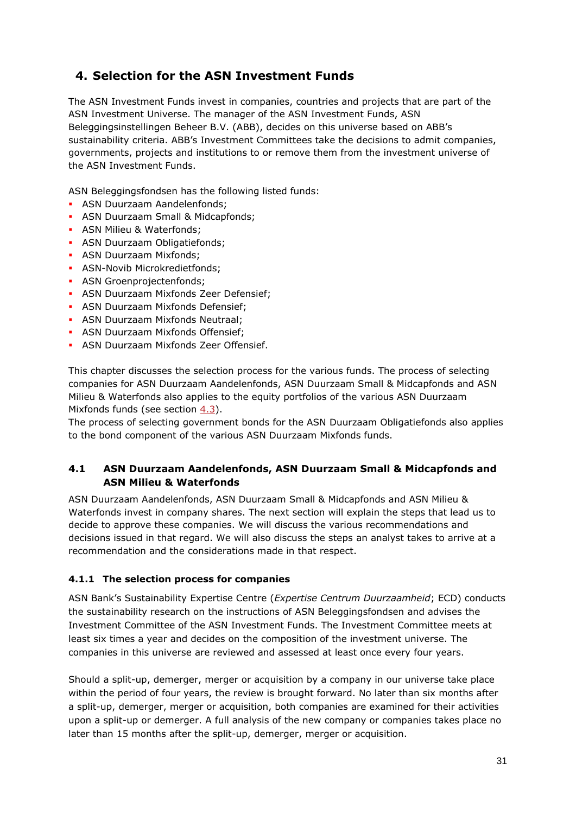# <span id="page-30-0"></span>**4. Selection for the ASN Investment Funds**

The ASN Investment Funds invest in companies, countries and projects that are part of the ASN Investment Universe. The manager of the ASN Investment Funds, ASN Beleggingsinstellingen Beheer B.V. (ABB), decides on this universe based on ABB's sustainability criteria. ABB's Investment Committees take the decisions to admit companies, governments, projects and institutions to or remove them from the investment universe of the ASN Investment Funds.

ASN Beleggingsfondsen has the following listed funds:

- **ASN Duurzaam Aandelenfonds;**
- **ASN Duurzaam Small & Midcapfonds;**
- **ASN Milieu & Waterfonds;**
- **ASN Duurzaam Obligatiefonds:**
- **ASN Duurzaam Mixfonds:**
- **ASN-Novib Microkredietfonds;**
- **ASN Groenprojectenfonds:**
- **ASN Duurzaam Mixfonds Zeer Defensief;**
- **ASN Duurzaam Mixfonds Defensief;**
- **ASN Duurzaam Mixfonds Neutraal;**
- **ASN Duurzaam Mixfonds Offensief;**
- **ASN Duurzaam Mixfonds Zeer Offensief.**

This chapter discusses the selection process for the various funds. The process of selecting companies for ASN Duurzaam Aandelenfonds, ASN Duurzaam Small & Midcapfonds and ASN Milieu & Waterfonds also applies to the equity portfolios of the various ASN Duurzaam Mixfonds funds (see section [4.3\)](#page-69-1).

The process of selecting government bonds for the ASN Duurzaam Obligatiefonds also applies to the bond component of the various ASN Duurzaam Mixfonds funds.

# <span id="page-30-1"></span>**4.1 ASN Duurzaam Aandelenfonds, ASN Duurzaam Small & Midcapfonds and ASN Milieu & Waterfonds**

ASN Duurzaam Aandelenfonds, ASN Duurzaam Small & Midcapfonds and ASN Milieu & Waterfonds invest in company shares. The next section will explain the steps that lead us to decide to approve these companies. We will discuss the various recommendations and decisions issued in that regard. We will also discuss the steps an analyst takes to arrive at a recommendation and the considerations made in that respect.

# <span id="page-30-2"></span>**4.1.1 The selection process for companies**

ASN Bank's Sustainability Expertise Centre (*Expertise Centrum Duurzaamheid*; ECD) conducts the sustainability research on the instructions of ASN Beleggingsfondsen and advises the Investment Committee of the ASN Investment Funds. The Investment Committee meets at least six times a year and decides on the composition of the investment universe. The companies in this universe are reviewed and assessed at least once every four years.

Should a split-up, demerger, merger or acquisition by a company in our universe take place within the period of four years, the review is brought forward. No later than six months after a split-up, demerger, merger or acquisition, both companies are examined for their activities upon a split-up or demerger. A full analysis of the new company or companies takes place no later than 15 months after the split-up, demerger, merger or acquisition.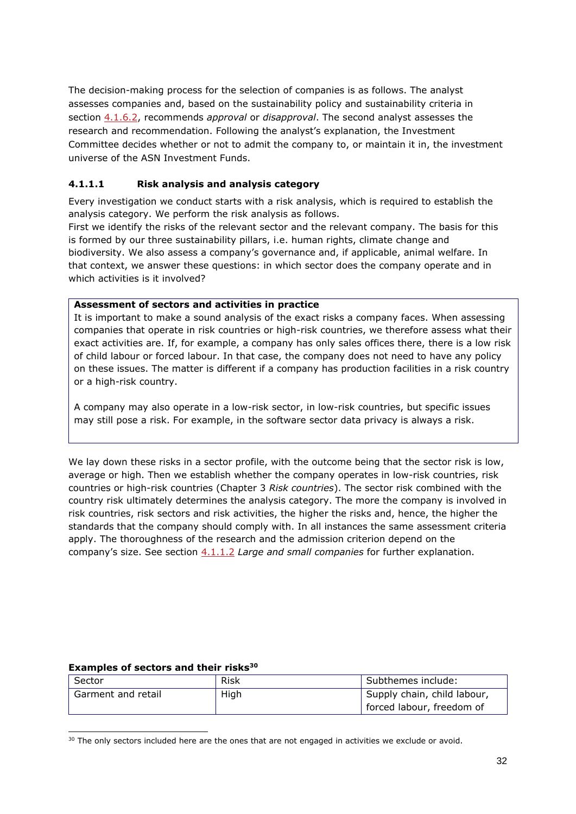The decision-making process for the selection of companies is as follows. The analyst assesses companies and, based on the sustainability policy and sustainability criteria in section [4.1.6.2,](#page-53-0) recommends *approval* or *disapproval*. The second analyst assesses the research and recommendation. Following the analyst's explanation, the Investment Committee decides whether or not to admit the company to, or maintain it in, the investment universe of the ASN Investment Funds.

# <span id="page-31-0"></span>**4.1.1.1 Risk analysis and analysis category**

Every investigation we conduct starts with a risk analysis, which is required to establish the analysis category. We perform the risk analysis as follows.

First we identify the risks of the relevant sector and the relevant company. The basis for this is formed by our three sustainability pillars, i.e. human rights, climate change and biodiversity. We also assess a company's governance and, if applicable, animal welfare. In that context, we answer these questions: in which sector does the company operate and in which activities is it involved?

### **Assessment of sectors and activities in practice**

It is important to make a sound analysis of the exact risks a company faces. When assessing companies that operate in risk countries or high-risk countries, we therefore assess what their exact activities are. If, for example, a company has only sales offices there, there is a low risk of child labour or forced labour. In that case, the company does not need to have any policy on these issues. The matter is different if a company has production facilities in a risk country or a high-risk country.

A company may also operate in a low-risk sector, in low-risk countries, but specific issues may still pose a risk. For example, in the software sector data privacy is always a risk.

We lay down these risks in a sector profile, with the outcome being that the sector risk is low, average or high. Then we establish whether the company operates in low-risk countries, risk countries or high-risk countries (Chapter 3 *Risk countries*). The sector risk combined with the country risk ultimately determines the analysis category. The more the company is involved in risk countries, risk sectors and risk activities, the higher the risks and, hence, the higher the standards that the company should comply with. In all instances the same assessment criteria apply. The thoroughness of the research and the admission criterion depend on the company's size. See section [4.1.1.2](#page-33-0) *Large and small companies* for further explanation.

### **Examples of sectors and their risks<sup>30</sup>**

| Sector             | Risk | Subthemes include:          |
|--------------------|------|-----------------------------|
| Garment and retail | High | Supply chain, child labour, |
|                    |      | forced labour, freedom of   |

<sup>&</sup>lt;sup>30</sup> The only sectors included here are the ones that are not engaged in activities we exclude or avoid.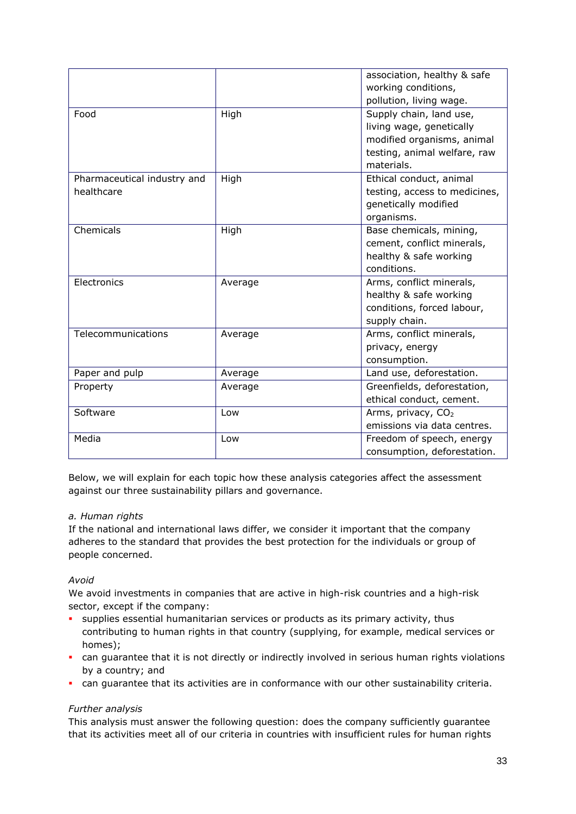|                                           |         | association, healthy & safe<br>working conditions,<br>pollution, living wage.                                                   |
|-------------------------------------------|---------|---------------------------------------------------------------------------------------------------------------------------------|
| Food                                      | High    | Supply chain, land use,<br>living wage, genetically<br>modified organisms, animal<br>testing, animal welfare, raw<br>materials. |
| Pharmaceutical industry and<br>healthcare | High    | Ethical conduct, animal<br>testing, access to medicines,<br>genetically modified<br>organisms.                                  |
| Chemicals                                 | High    | Base chemicals, mining,<br>cement, conflict minerals,<br>healthy & safe working<br>conditions.                                  |
| Electronics                               | Average | Arms, conflict minerals,<br>healthy & safe working<br>conditions, forced labour,<br>supply chain.                               |
| Telecommunications                        | Average | Arms, conflict minerals,<br>privacy, energy<br>consumption.                                                                     |
| Paper and pulp                            | Average | Land use, deforestation.                                                                                                        |
| Property                                  | Average | Greenfields, deforestation,<br>ethical conduct, cement.                                                                         |
| Software                                  | Low     | Arms, privacy, CO <sub>2</sub><br>emissions via data centres.                                                                   |
| Media                                     | Low     | Freedom of speech, energy<br>consumption, deforestation.                                                                        |

Below, we will explain for each topic how these analysis categories affect the assessment against our three sustainability pillars and governance.

### *a. Human rights*

If the national and international laws differ, we consider it important that the company adheres to the standard that provides the best protection for the individuals or group of people concerned.

# *Avoid*

We avoid investments in companies that are active in high-risk countries and a high-risk sector, except if the company:

- supplies essential humanitarian services or products as its primary activity, thus contributing to human rights in that country (supplying, for example, medical services or homes);
- can guarantee that it is not directly or indirectly involved in serious human rights violations by a country; and
- can guarantee that its activities are in conformance with our other sustainability criteria.

### *Further analysis*

This analysis must answer the following question: does the company sufficiently guarantee that its activities meet all of our criteria in countries with insufficient rules for human rights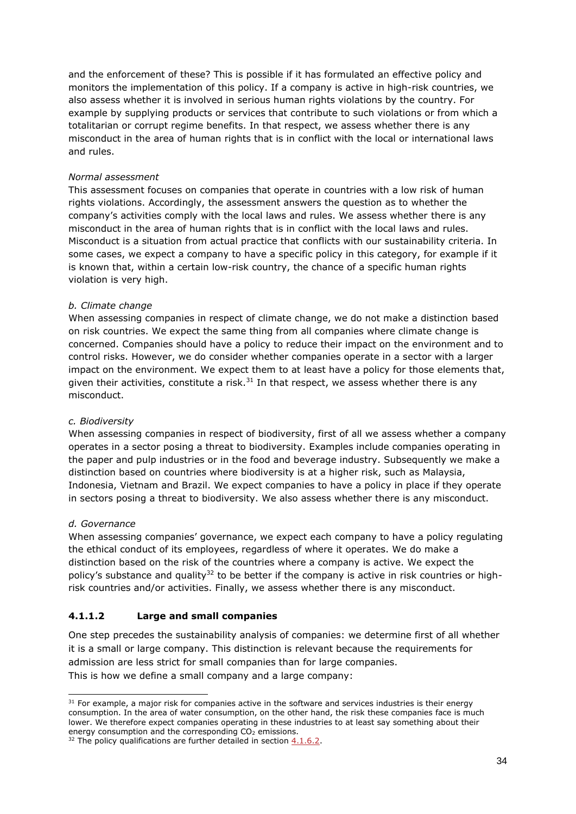and the enforcement of these? This is possible if it has formulated an effective policy and monitors the implementation of this policy. If a company is active in high-risk countries, we also assess whether it is involved in serious human rights violations by the country. For example by supplying products or services that contribute to such violations or from which a totalitarian or corrupt regime benefits. In that respect, we assess whether there is any misconduct in the area of human rights that is in conflict with the local or international laws and rules.

### *Normal assessment*

This assessment focuses on companies that operate in countries with a low risk of human rights violations. Accordingly, the assessment answers the question as to whether the company's activities comply with the local laws and rules. We assess whether there is any misconduct in the area of human rights that is in conflict with the local laws and rules. Misconduct is a situation from actual practice that conflicts with our sustainability criteria. In some cases, we expect a company to have a specific policy in this category, for example if it is known that, within a certain low-risk country, the chance of a specific human rights violation is very high.

### *b. Climate change*

When assessing companies in respect of climate change, we do not make a distinction based on risk countries. We expect the same thing from all companies where climate change is concerned. Companies should have a policy to reduce their impact on the environment and to control risks. However, we do consider whether companies operate in a sector with a larger impact on the environment. We expect them to at least have a policy for those elements that, given their activities, constitute a risk. $31$  In that respect, we assess whether there is any misconduct.

### *c. Biodiversity*

When assessing companies in respect of biodiversity, first of all we assess whether a company operates in a sector posing a threat to biodiversity. Examples include companies operating in the paper and pulp industries or in the food and beverage industry. Subsequently we make a distinction based on countries where biodiversity is at a higher risk, such as Malaysia, Indonesia, Vietnam and Brazil. We expect companies to have a policy in place if they operate in sectors posing a threat to biodiversity. We also assess whether there is any misconduct.

### *d. Governance*

When assessing companies' governance, we expect each company to have a policy regulating the ethical conduct of its employees, regardless of where it operates. We do make a distinction based on the risk of the countries where a company is active. We expect the policy's substance and quality $32$  to be better if the company is active in risk countries or highrisk countries and/or activities. Finally, we assess whether there is any misconduct.

# <span id="page-33-0"></span>**4.1.1.2 Large and small companies**

One step precedes the sustainability analysis of companies: we determine first of all whether it is a small or large company. This distinction is relevant because the requirements for admission are less strict for small companies than for large companies. This is how we define a small company and a large company:

 $31$  For example, a major risk for companies active in the software and services industries is their energy consumption. In the area of water consumption, on the other hand, the risk these companies face is much lower. We therefore expect companies operating in these industries to at least say something about their energy consumption and the corresponding  $CO<sub>2</sub>$  emissions.

 $32$  The policy qualifications are further detailed in section  $4.1.6.2$ .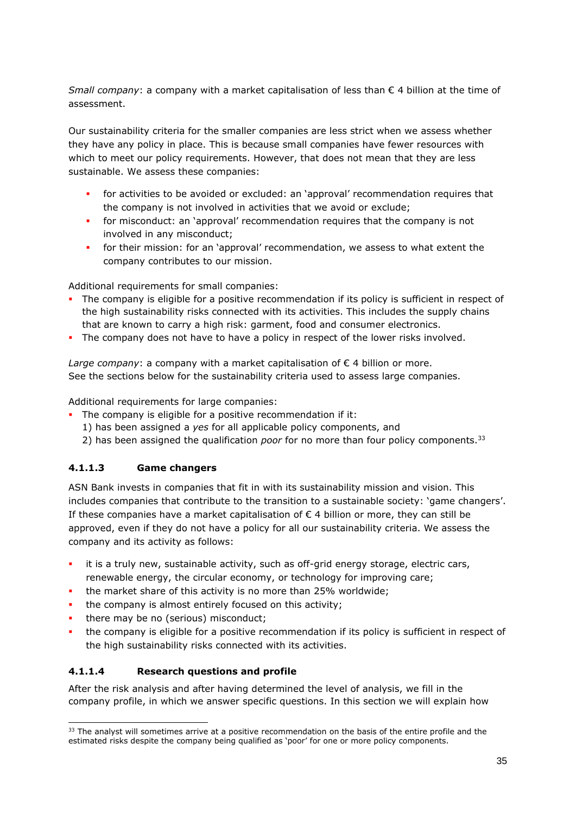*Small company*: a company with a market capitalisation of less than € 4 billion at the time of assessment.

Our sustainability criteria for the smaller companies are less strict when we assess whether they have any policy in place. This is because small companies have fewer resources with which to meet our policy requirements. However, that does not mean that they are less sustainable. We assess these companies:

- for activities to be avoided or excluded: an 'approval' recommendation requires that the company is not involved in activities that we avoid or exclude;
- **•** for misconduct: an 'approval' recommendation requires that the company is not involved in any misconduct;
- **·** for their mission: for an 'approval' recommendation, we assess to what extent the company contributes to our mission.

Additional requirements for small companies:

- The company is eligible for a positive recommendation if its policy is sufficient in respect of the high sustainability risks connected with its activities. This includes the supply chains that are known to carry a high risk: garment, food and consumer electronics.
- The company does not have to have a policy in respect of the lower risks involved.

*Large company*: a company with a market capitalisation of  $\epsilon$  4 billion or more. See the sections below for the sustainability criteria used to assess large companies.

Additional requirements for large companies:

- **•** The company is eligible for a positive recommendation if it:
	- 1) has been assigned a *yes* for all applicable policy components, and
	- 2) has been assigned the qualification *poor* for no more than four policy components.<sup>33</sup>

# <span id="page-34-0"></span>**4.1.1.3 Game changers**

ASN Bank invests in companies that fit in with its sustainability mission and vision. This includes companies that contribute to the transition to a sustainable society: 'game changers'. If these companies have a market capitalisation of  $\epsilon$  4 billion or more, they can still be approved, even if they do not have a policy for all our sustainability criteria. We assess the company and its activity as follows:

- it is a truly new, sustainable activity, such as off-grid energy storage, electric cars, renewable energy, the circular economy, or technology for improving care;
- the market share of this activity is no more than 25% worldwide;
- the company is almost entirely focused on this activity;
- there may be no (serious) misconduct;
- the company is eligible for a positive recommendation if its policy is sufficient in respect of the high sustainability risks connected with its activities.

# <span id="page-34-1"></span>**4.1.1.4 Research questions and profile**

After the risk analysis and after having determined the level of analysis, we fill in the company profile, in which we answer specific questions. In this section we will explain how

<sup>&</sup>lt;sup>33</sup> The analyst will sometimes arrive at a positive recommendation on the basis of the entire profile and the estimated risks despite the company being qualified as 'poor' for one or more policy components.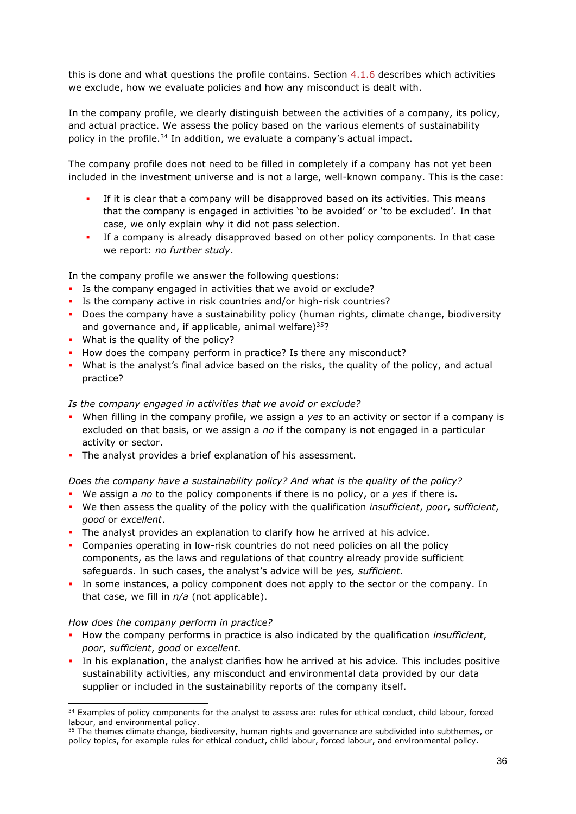this is done and what questions the profile contains. Section  $4.1.6$  describes which activities we exclude, how we evaluate policies and how any misconduct is dealt with.

In the company profile, we clearly distinguish between the activities of a company, its policy, and actual practice. We assess the policy based on the various elements of sustainability policy in the profile.<sup>34</sup> In addition, we evaluate a company's actual impact.

The company profile does not need to be filled in completely if a company has not yet been included in the investment universe and is not a large, well-known company. This is the case:

- If it is clear that a company will be disapproved based on its activities. This means that the company is engaged in activities 'to be avoided' or 'to be excluded'. In that case, we only explain why it did not pass selection.
- If a company is already disapproved based on other policy components. In that case we report: *no further study*.

In the company profile we answer the following questions:

- **EXTENCE 15 the company engaged in activities that we avoid or exclude?**
- Is the company active in risk countries and/or high-risk countries?
- **•** Does the company have a sustainability policy (human rights, climate change, biodiversity and governance and, if applicable, animal welfare) $35$ ?
- What is the quality of the policy?
- How does the company perform in practice? Is there any misconduct?
- **•** What is the analyst's final advice based on the risks, the quality of the policy, and actual practice?

### *Is the company engaged in activities that we avoid or exclude?*

- When filling in the company profile, we assign a *yes* to an activity or sector if a company is excluded on that basis, or we assign a *no* if the company is not engaged in a particular activity or sector.
- **•** The analyst provides a brief explanation of his assessment.

### *Does the company have a sustainability policy? And what is the quality of the policy?*

- We assign a *no* to the policy components if there is no policy, or a *yes* if there is.
- We then assess the quality of the policy with the qualification *insufficient*, *poor*, *sufficient*, *good* or *excellent*.
- **·** The analyst provides an explanation to clarify how he arrived at his advice.
- Companies operating in low-risk countries do not need policies on all the policy components, as the laws and regulations of that country already provide sufficient safeguards. In such cases, the analyst's advice will be *yes, sufficient*.
- In some instances, a policy component does not apply to the sector or the company. In that case, we fill in *n/a* (not applicable).

### *How does the company perform in practice?*

- How the company performs in practice is also indicated by the qualification *insufficient*, *poor*, *sufficient*, *good* or *excellent*.
- **.** In his explanation, the analyst clarifies how he arrived at his advice. This includes positive sustainability activities, any misconduct and environmental data provided by our data supplier or included in the sustainability reports of the company itself.

<sup>&</sup>lt;sup>34</sup> Examples of policy components for the analyst to assess are: rules for ethical conduct, child labour, forced labour, and environmental policy.

<sup>&</sup>lt;sup>35</sup> The themes climate change, biodiversity, human rights and governance are subdivided into subthemes, or policy topics, for example rules for ethical conduct, child labour, forced labour, and environmental policy.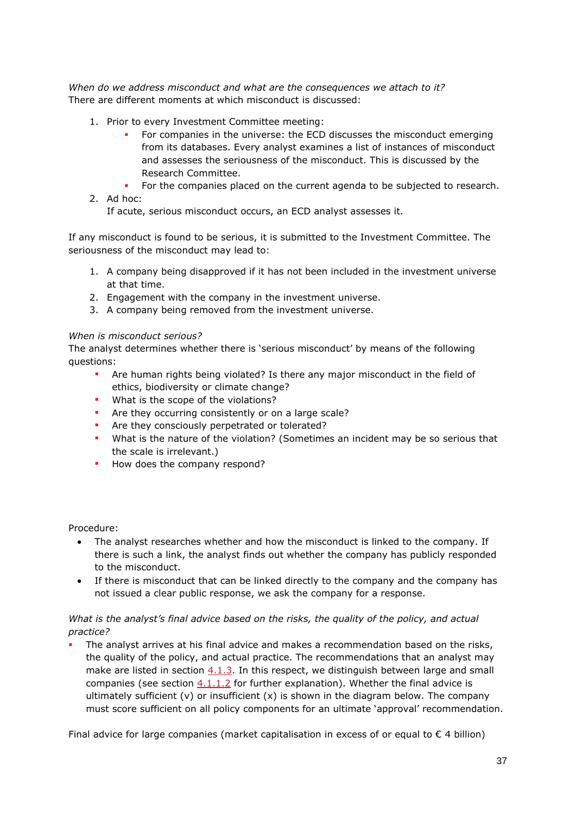*When do we address misconduct and what are the consequences we attach to it?*  There are different moments at which misconduct is discussed:

- 1. Prior to every Investment Committee meeting:
	- For companies in the universe: the ECD discusses the misconduct emerging from its databases. Every analyst examines a list of instances of misconduct and assesses the seriousness of the misconduct. This is discussed by the Research Committee.
	- For the companies placed on the current agenda to be subjected to research.
- 2. Ad hoc:

If acute, serious misconduct occurs, an ECD analyst assesses it.

If any misconduct is found to be serious, it is submitted to the Investment Committee. The seriousness of the misconduct may lead to:

- 1. A company being disapproved if it has not been included in the investment universe at that time.
- 2. Engagement with the company in the investment universe.
- 3. A company being removed from the investment universe.

### *When is misconduct serious?*

The analyst determines whether there is 'serious misconduct' by means of the following questions:

- Are human rights being violated? Is there any major misconduct in the field of ethics, biodiversity or climate change?
- What is the scope of the violations?
- Are they occurring consistently or on a large scale?
- **•** Are they consciously perpetrated or tolerated?
- What is the nature of the violation? (Sometimes an incident may be so serious that the scale is irrelevant.)
- How does the company respond?

Procedure:

- The analyst researches whether and how the misconduct is linked to the company. If there is such a link, the analyst finds out whether the company has publicly responded to the misconduct.
- If there is misconduct that can be linked directly to the company and the company has not issued a clear public response, we ask the company for a response.

### *What is the analyst's final advice based on the risks, the quality of the policy, and actual practice?*

The analyst arrives at his final advice and makes a recommendation based on the risks, the quality of the policy, and actual practice. The recommendations that an analyst may make are listed in section [4.1.3.](#page-37-0) In this respect, we distinguish between large and small companies (see section  $4.1.1.2$  for further explanation). Whether the final advice is ultimately sufficient  $(v)$  or insufficient  $(x)$  is shown in the diagram below. The company must score sufficient on all policy components for an ultimate 'approval' recommendation.

Final advice for large companies (market capitalisation in excess of or equal to  $\epsilon$  4 billion)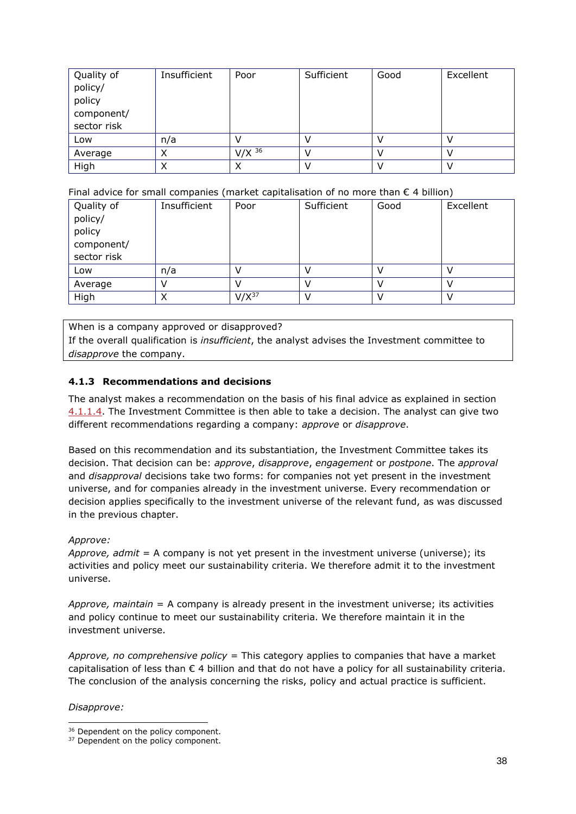| Quality of<br>policy/<br>policy<br>component/<br>sector risk | Insufficient | Poor     | Sufficient | Good | Excellent |
|--------------------------------------------------------------|--------------|----------|------------|------|-----------|
| Low                                                          | n/a          |          |            |      |           |
|                                                              |              | $V/X$ 36 |            |      |           |
| Average                                                      | ↗            |          |            |      |           |
| High                                                         |              | X        |            |      |           |

Final advice for small companies (market capitalisation of no more than  $\epsilon$  4 billion)

| Quality of  | Insufficient | Poor       | Sufficient | Good | Excellent |
|-------------|--------------|------------|------------|------|-----------|
| policy/     |              |            |            |      |           |
| policy      |              |            |            |      |           |
| component/  |              |            |            |      |           |
| sector risk |              |            |            |      |           |
| Low         | n/a          |            |            |      |           |
| Average     |              |            |            |      |           |
| High        | ⌒            | $V/X^{37}$ |            |      |           |

When is a company approved or disapproved?

If the overall qualification is *insufficient*, the analyst advises the Investment committee to *disapprove* the company.

## <span id="page-37-0"></span>**4.1.3 Recommendations and decisions**

The analyst makes a recommendation on the basis of his final advice as explained in section [4.1.1.4.](#page-34-0) The Investment Committee is then able to take a decision. The analyst can give two different recommendations regarding a company: *approve* or *disapprove*.

Based on this recommendation and its substantiation, the Investment Committee takes its decision. That decision can be: *approve*, *disapprove*, *engagement* or *postpone*. The *approval* and *disapproval* decisions take two forms: for companies not yet present in the investment universe, and for companies already in the investment universe. Every recommendation or decision applies specifically to the investment universe of the relevant fund, as was discussed in the previous chapter.

## *Approve:*

*Approve, admit* = A company is not yet present in the investment universe (universe); its activities and policy meet our sustainability criteria. We therefore admit it to the investment universe.

*Approve, maintain* = A company is already present in the investment universe; its activities and policy continue to meet our sustainability criteria. We therefore maintain it in the investment universe.

*Approve, no comprehensive policy* = This category applies to companies that have a market capitalisation of less than  $\epsilon$  4 billion and that do not have a policy for all sustainability criteria. The conclusion of the analysis concerning the risks, policy and actual practice is sufficient.

*Disapprove:* 

<sup>&</sup>lt;sup>36</sup> Dependent on the policy component.

<sup>&</sup>lt;sup>37</sup> Dependent on the policy component.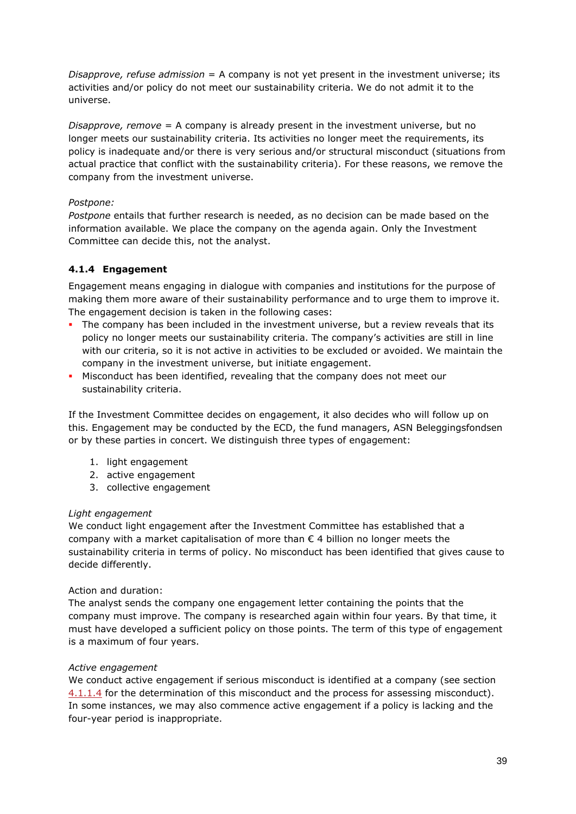*Disapprove, refuse admission* = A company is not yet present in the investment universe; its activities and/or policy do not meet our sustainability criteria. We do not admit it to the universe.

*Disapprove, remove* = A company is already present in the investment universe, but no longer meets our sustainability criteria. Its activities no longer meet the requirements, its policy is inadequate and/or there is very serious and/or structural misconduct (situations from actual practice that conflict with the sustainability criteria). For these reasons, we remove the company from the investment universe.

## *Postpone:*

*Postpone* entails that further research is needed, as no decision can be made based on the information available. We place the company on the agenda again. Only the Investment Committee can decide this, not the analyst.

# **4.1.4 Engagement**

Engagement means engaging in dialogue with companies and institutions for the purpose of making them more aware of their sustainability performance and to urge them to improve it. The engagement decision is taken in the following cases:

- The company has been included in the investment universe, but a review reveals that its policy no longer meets our sustainability criteria. The company's activities are still in line with our criteria, so it is not active in activities to be excluded or avoided. We maintain the company in the investment universe, but initiate engagement.
- Misconduct has been identified, revealing that the company does not meet our sustainability criteria.

If the Investment Committee decides on engagement, it also decides who will follow up on this. Engagement may be conducted by the ECD, the fund managers, ASN Beleggingsfondsen or by these parties in concert. We distinguish three types of engagement:

- 1. light engagement
- 2. active engagement
- 3. collective engagement

## *Light engagement*

We conduct light engagement after the Investment Committee has established that a company with a market capitalisation of more than  $\epsilon$  4 billion no longer meets the sustainability criteria in terms of policy. No misconduct has been identified that gives cause to decide differently.

### Action and duration:

The analyst sends the company one engagement letter containing the points that the company must improve. The company is researched again within four years. By that time, it must have developed a sufficient policy on those points. The term of this type of engagement is a maximum of four years.

## *Active engagement*

We conduct active engagement if serious misconduct is identified at a company (see section [4.1.1.4](#page-34-0) for the determination of this misconduct and the process for assessing misconduct). In some instances, we may also commence active engagement if a policy is lacking and the four-year period is inappropriate.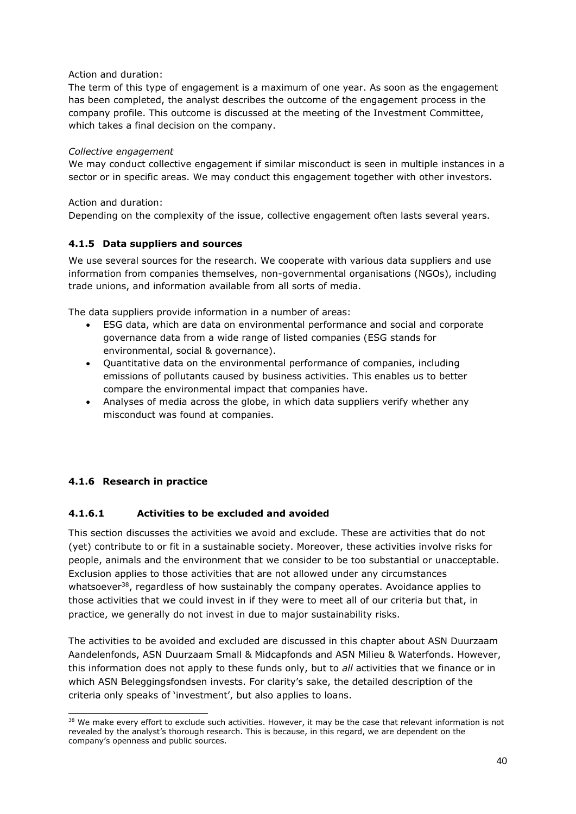Action and duration:

The term of this type of engagement is a maximum of one year. As soon as the engagement has been completed, the analyst describes the outcome of the engagement process in the company profile. This outcome is discussed at the meeting of the Investment Committee, which takes a final decision on the company.

### *Collective engagement*

We may conduct collective engagement if similar misconduct is seen in multiple instances in a sector or in specific areas. We may conduct this engagement together with other investors.

### Action and duration:

Depending on the complexity of the issue, collective engagement often lasts several years.

## **4.1.5 Data suppliers and sources**

We use several sources for the research. We cooperate with various data suppliers and use information from companies themselves, non-governmental organisations (NGOs), including trade unions, and information available from all sorts of media.

The data suppliers provide information in a number of areas:

- ESG data, which are data on environmental performance and social and corporate governance data from a wide range of listed companies (ESG stands for environmental, social & governance).
- Quantitative data on the environmental performance of companies, including emissions of pollutants caused by business activities. This enables us to better compare the environmental impact that companies have.
- Analyses of media across the globe, in which data suppliers verify whether any misconduct was found at companies.

# **4.1.6 Research in practice**

## <span id="page-39-0"></span>**4.1.6.1 Activities to be excluded and avoided**

This section discusses the activities we avoid and exclude. These are activities that do not (yet) contribute to or fit in a sustainable society. Moreover, these activities involve risks for people, animals and the environment that we consider to be too substantial or unacceptable. Exclusion applies to those activities that are not allowed under any circumstances whatsoever<sup>38</sup>, regardless of how sustainably the company operates. Avoidance applies to those activities that we could invest in if they were to meet all of our criteria but that, in practice, we generally do not invest in due to major sustainability risks.

The activities to be avoided and excluded are discussed in this chapter about ASN Duurzaam Aandelenfonds, ASN Duurzaam Small & Midcapfonds and ASN Milieu & Waterfonds. However, this information does not apply to these funds only, but to *all* activities that we finance or in which ASN Beleggingsfondsen invests. For clarity's sake, the detailed description of the criteria only speaks of 'investment', but also applies to loans.

<sup>&</sup>lt;sup>38</sup> We make every effort to exclude such activities. However, it may be the case that relevant information is not revealed by the analyst's thorough research. This is because, in this regard, we are dependent on the company's openness and public sources.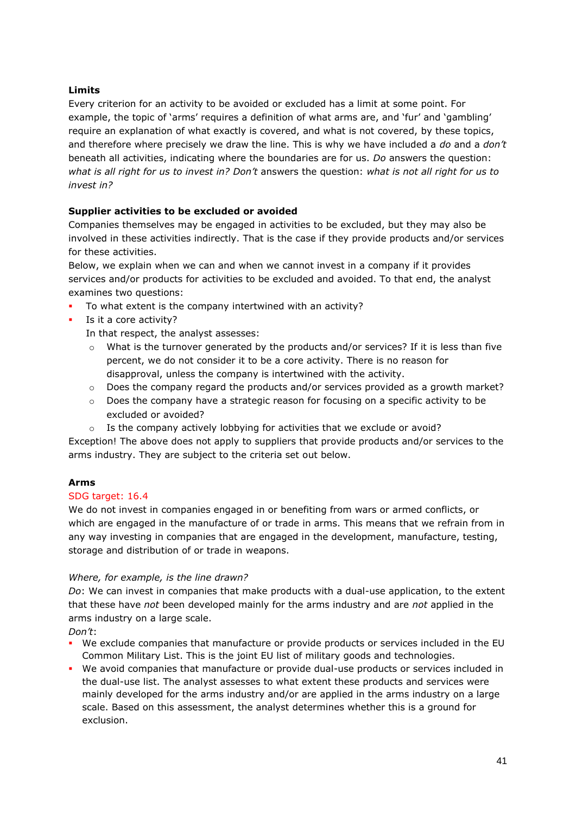## **Limits**

Every criterion for an activity to be avoided or excluded has a limit at some point. For example, the topic of 'arms' requires a definition of what arms are, and 'fur' and 'gambling' require an explanation of what exactly is covered, and what is not covered, by these topics, and therefore where precisely we draw the line. This is why we have included a *do* and a *don't* beneath all activities, indicating where the boundaries are for us. *Do* answers the question: *what is all right for us to invest in? Don't* answers the question: *what is not all right for us to invest in?*

## **Supplier activities to be excluded or avoided**

Companies themselves may be engaged in activities to be excluded, but they may also be involved in these activities indirectly. That is the case if they provide products and/or services for these activities.

Below, we explain when we can and when we cannot invest in a company if it provides services and/or products for activities to be excluded and avoided. To that end, the analyst examines two questions:

- To what extent is the company intertwined with an activity?
- Is it a core activity?
	- In that respect, the analyst assesses:
	- What is the turnover generated by the products and/or services? If it is less than five percent, we do not consider it to be a core activity. There is no reason for disapproval, unless the company is intertwined with the activity.
	- $\circ$  Does the company regard the products and/or services provided as a growth market?
	- $\circ$  Does the company have a strategic reason for focusing on a specific activity to be excluded or avoided?
	- o Is the company actively lobbying for activities that we exclude or avoid?

Exception! The above does not apply to suppliers that provide products and/or services to the arms industry. They are subject to the criteria set out below.

## **Arms**

## SDG target: 16.4

We do not invest in companies engaged in or benefiting from wars or armed conflicts, or which are engaged in the manufacture of or trade in arms. This means that we refrain from in any way investing in companies that are engaged in the development, manufacture, testing, storage and distribution of or trade in weapons.

## *Where, for example, is the line drawn?*

*Do*: We can invest in companies that make products with a dual-use application, to the extent that these have *not* been developed mainly for the arms industry and are *not* applied in the arms industry on a large scale.

*Don't*:

- We exclude companies that manufacture or provide products or services included in the EU Common Military List. This is the joint EU list of military goods and technologies.
- We avoid companies that manufacture or provide dual-use products or services included in the dual-use list. The analyst assesses to what extent these products and services were mainly developed for the arms industry and/or are applied in the arms industry on a large scale. Based on this assessment, the analyst determines whether this is a ground for exclusion.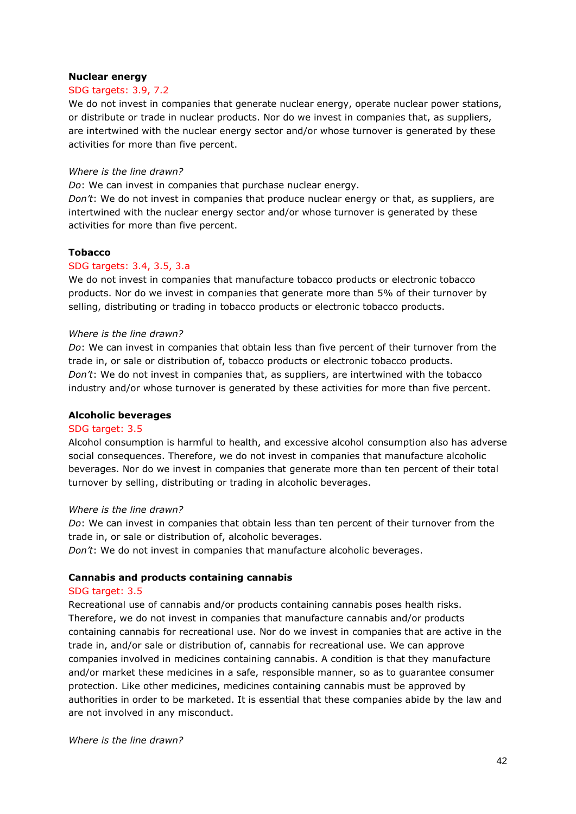### **Nuclear energy**

#### SDG targets: 3.9, 7.2

We do not invest in companies that generate nuclear energy, operate nuclear power stations, or distribute or trade in nuclear products. Nor do we invest in companies that, as suppliers, are intertwined with the nuclear energy sector and/or whose turnover is generated by these activities for more than five percent.

#### *Where is the line drawn?*

*Do*: We can invest in companies that purchase nuclear energy.

*Don't*: We do not invest in companies that produce nuclear energy or that, as suppliers, are intertwined with the nuclear energy sector and/or whose turnover is generated by these activities for more than five percent.

### **Tobacco**

#### SDG targets: 3.4, 3.5, 3.a

We do not invest in companies that manufacture tobacco products or electronic tobacco products. Nor do we invest in companies that generate more than 5% of their turnover by selling, distributing or trading in tobacco products or electronic tobacco products.

#### *Where is the line drawn?*

*Do*: We can invest in companies that obtain less than five percent of their turnover from the trade in, or sale or distribution of, tobacco products or electronic tobacco products. *Don't*: We do not invest in companies that, as suppliers, are intertwined with the tobacco industry and/or whose turnover is generated by these activities for more than five percent.

### **Alcoholic beverages**

#### SDG target: 3.5

Alcohol consumption is harmful to health, and excessive alcohol consumption also has adverse social consequences. Therefore, we do not invest in companies that manufacture alcoholic beverages. Nor do we invest in companies that generate more than ten percent of their total turnover by selling, distributing or trading in alcoholic beverages.

#### *Where is the line drawn?*

*Do*: We can invest in companies that obtain less than ten percent of their turnover from the trade in, or sale or distribution of, alcoholic beverages.

*Don't*: We do not invest in companies that manufacture alcoholic beverages.

### **Cannabis and products containing cannabis**

#### SDG target: 3.5

Recreational use of cannabis and/or products containing cannabis poses health risks. Therefore, we do not invest in companies that manufacture cannabis and/or products containing cannabis for recreational use. Nor do we invest in companies that are active in the trade in, and/or sale or distribution of, cannabis for recreational use. We can approve companies involved in medicines containing cannabis. A condition is that they manufacture and/or market these medicines in a safe, responsible manner, so as to guarantee consumer protection. Like other medicines, medicines containing cannabis must be approved by authorities in order to be marketed. It is essential that these companies abide by the law and are not involved in any misconduct.

*Where is the line drawn?*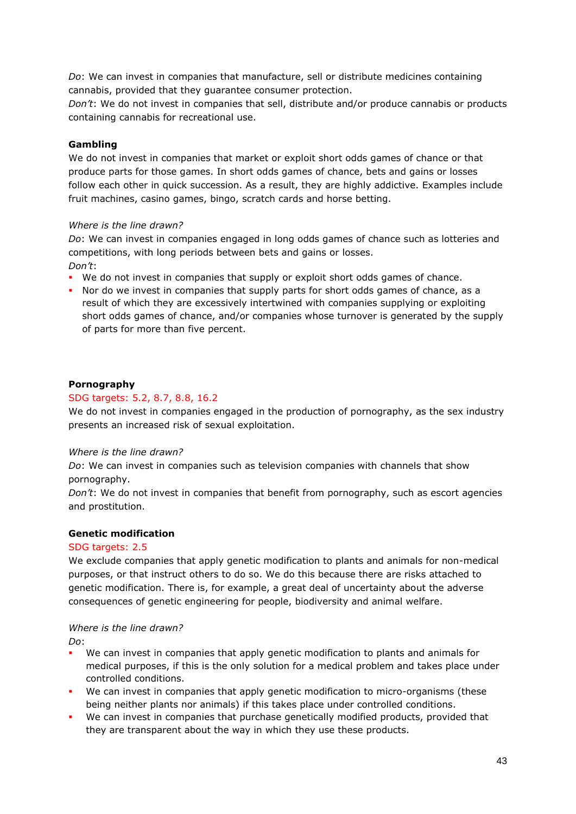*Do*: We can invest in companies that manufacture, sell or distribute medicines containing cannabis, provided that they guarantee consumer protection.

*Don't*: We do not invest in companies that sell, distribute and/or produce cannabis or products containing cannabis for recreational use.

## **Gambling**

We do not invest in companies that market or exploit short odds games of chance or that produce parts for those games. In short odds games of chance, bets and gains or losses follow each other in quick succession. As a result, they are highly addictive. Examples include fruit machines, casino games, bingo, scratch cards and horse betting.

### *Where is the line drawn?*

*Do*: We can invest in companies engaged in long odds games of chance such as lotteries and competitions, with long periods between bets and gains or losses.

*Don't*:

- We do not invest in companies that supply or exploit short odds games of chance.
- Nor do we invest in companies that supply parts for short odds games of chance, as a result of which they are excessively intertwined with companies supplying or exploiting short odds games of chance, and/or companies whose turnover is generated by the supply of parts for more than five percent.

## **Pornography**

### SDG targets: 5.2, 8.7, 8.8, 16.2

We do not invest in companies engaged in the production of pornography, as the sex industry presents an increased risk of sexual exploitation.

### *Where is the line drawn?*

*Do*: We can invest in companies such as television companies with channels that show pornography.

*Don't*: We do not invest in companies that benefit from pornography, such as escort agencies and prostitution.

### **Genetic modification**

### SDG targets: 2.5

We exclude companies that apply genetic modification to plants and animals for non-medical purposes, or that instruct others to do so. We do this because there are risks attached to genetic modification. There is, for example, a great deal of uncertainty about the adverse consequences of genetic engineering for people, biodiversity and animal welfare.

### *Where is the line drawn?*

*Do*:

- We can invest in companies that apply genetic modification to plants and animals for medical purposes, if this is the only solution for a medical problem and takes place under controlled conditions.
- We can invest in companies that apply genetic modification to micro-organisms (these being neither plants nor animals) if this takes place under controlled conditions.
- We can invest in companies that purchase genetically modified products, provided that they are transparent about the way in which they use these products.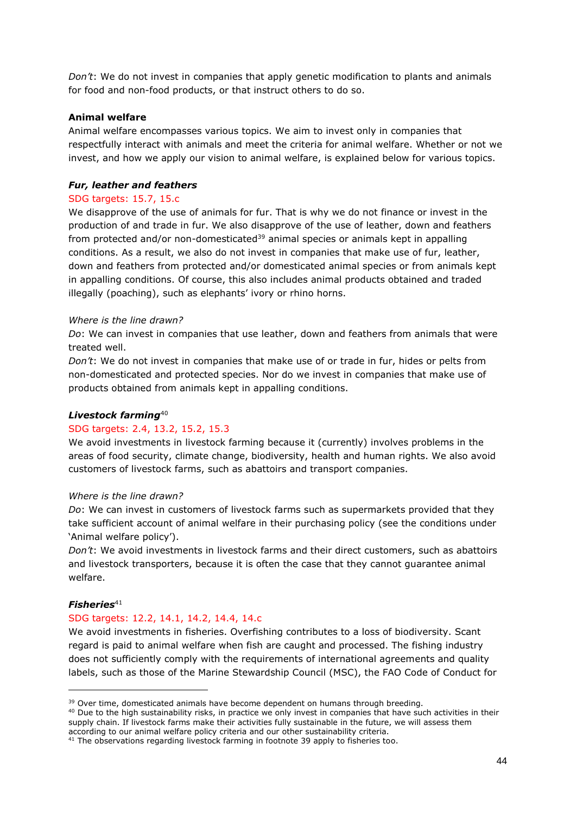*Don't*: We do not invest in companies that apply genetic modification to plants and animals for food and non-food products, or that instruct others to do so.

### **Animal welfare**

Animal welfare encompasses various topics. We aim to invest only in companies that respectfully interact with animals and meet the criteria for animal welfare. Whether or not we invest, and how we apply our vision to animal welfare, is explained below for various topics.

#### *Fur, leather and feathers*

#### SDG targets: 15.7, 15.c

We disapprove of the use of animals for fur. That is why we do not finance or invest in the production of and trade in fur. We also disapprove of the use of leather, down and feathers from protected and/or non-domesticated<sup>39</sup> animal species or animals kept in appalling conditions. As a result, we also do not invest in companies that make use of fur, leather, down and feathers from protected and/or domesticated animal species or from animals kept in appalling conditions. Of course, this also includes animal products obtained and traded illegally (poaching), such as elephants' ivory or rhino horns.

#### *Where is the line drawn?*

*Do*: We can invest in companies that use leather, down and feathers from animals that were treated well.

*Don't*: We do not invest in companies that make use of or trade in fur, hides or pelts from non-domesticated and protected species. Nor do we invest in companies that make use of products obtained from animals kept in appalling conditions.

#### *Livestock farming*<sup>40</sup>

### SDG targets: 2.4, 13.2, 15.2, 15.3

We avoid investments in livestock farming because it (currently) involves problems in the areas of food security, climate change, biodiversity, health and human rights. We also avoid customers of livestock farms, such as abattoirs and transport companies.

#### *Where is the line drawn?*

*Do*: We can invest in customers of livestock farms such as supermarkets provided that they take sufficient account of animal welfare in their purchasing policy (see the conditions under 'Animal welfare policy').

*Don't*: We avoid investments in livestock farms and their direct customers, such as abattoirs and livestock transporters, because it is often the case that they cannot guarantee animal welfare.

### $$

#### SDG targets: 12.2, 14.1, 14.2, 14.4, 14.c

We avoid investments in fisheries. Overfishing contributes to a loss of biodiversity. Scant regard is paid to animal welfare when fish are caught and processed. The fishing industry does not sufficiently comply with the requirements of international agreements and quality labels, such as those of the Marine Stewardship Council (MSC), the FAO Code of Conduct for

<sup>&</sup>lt;sup>39</sup> Over time, domesticated animals have become dependent on humans through breeding.

<sup>&</sup>lt;sup>40</sup> Due to the high sustainability risks, in practice we only invest in companies that have such activities in their supply chain. If livestock farms make their activities fully sustainable in the future, we will assess them according to our animal welfare policy criteria and our other sustainability criteria.

<sup>&</sup>lt;sup>41</sup> The observations regarding livestock farming in footnote 39 apply to fisheries too.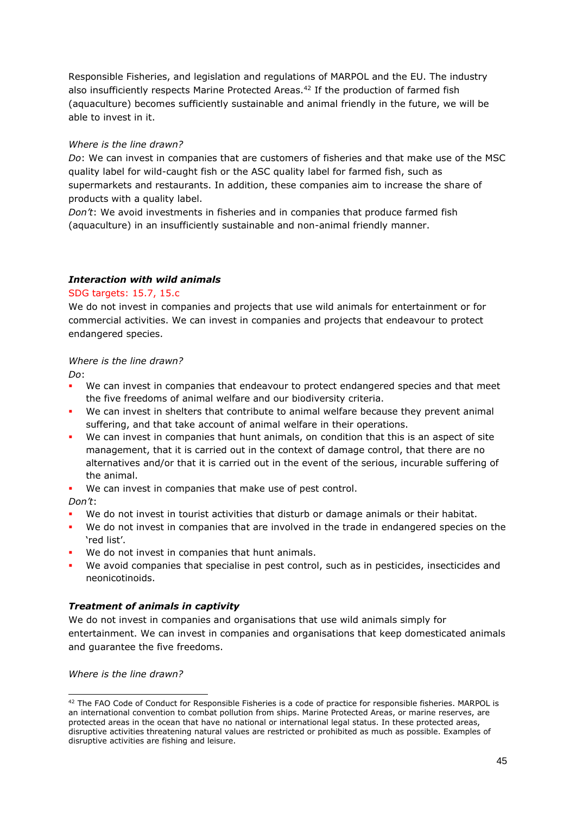Responsible Fisheries, and legislation and regulations of MARPOL and the EU. The industry also insufficiently respects Marine Protected Areas.<sup>42</sup> If the production of farmed fish (aquaculture) becomes sufficiently sustainable and animal friendly in the future, we will be able to invest in it.

### *Where is the line drawn?*

*Do*: We can invest in companies that are customers of fisheries and that make use of the MSC quality label for wild-caught fish or the ASC quality label for farmed fish, such as supermarkets and restaurants. In addition, these companies aim to increase the share of products with a quality label.

*Don't*: We avoid investments in fisheries and in companies that produce farmed fish (aquaculture) in an insufficiently sustainable and non-animal friendly manner.

### *Interaction with wild animals*

### SDG targets: 15.7, 15.c

We do not invest in companies and projects that use wild animals for entertainment or for commercial activities. We can invest in companies and projects that endeavour to protect endangered species.

### *Where is the line drawn?*

*Do*:

- We can invest in companies that endeavour to protect endangered species and that meet the five freedoms of animal welfare and our biodiversity criteria.
- We can invest in shelters that contribute to animal welfare because they prevent animal suffering, and that take account of animal welfare in their operations.
- We can invest in companies that hunt animals, on condition that this is an aspect of site management, that it is carried out in the context of damage control, that there are no alternatives and/or that it is carried out in the event of the serious, incurable suffering of the animal.
- We can invest in companies that make use of pest control.

*Don't*:

- We do not invest in tourist activities that disturb or damage animals or their habitat.
- We do not invest in companies that are involved in the trade in endangered species on the 'red list'.
- We do not invest in companies that hunt animals.
- We avoid companies that specialise in pest control, such as in pesticides, insecticides and neonicotinoids.

## *Treatment of animals in captivity*

We do not invest in companies and organisations that use wild animals simply for entertainment. We can invest in companies and organisations that keep domesticated animals and guarantee the five freedoms.

*Where is the line drawn?*

 $42$  The FAO Code of Conduct for Responsible Fisheries is a code of practice for responsible fisheries. MARPOL is an international convention to combat pollution from ships. Marine Protected Areas, or marine reserves, are protected areas in the ocean that have no national or international legal status. In these protected areas, disruptive activities threatening natural values are restricted or prohibited as much as possible. Examples of disruptive activities are fishing and leisure.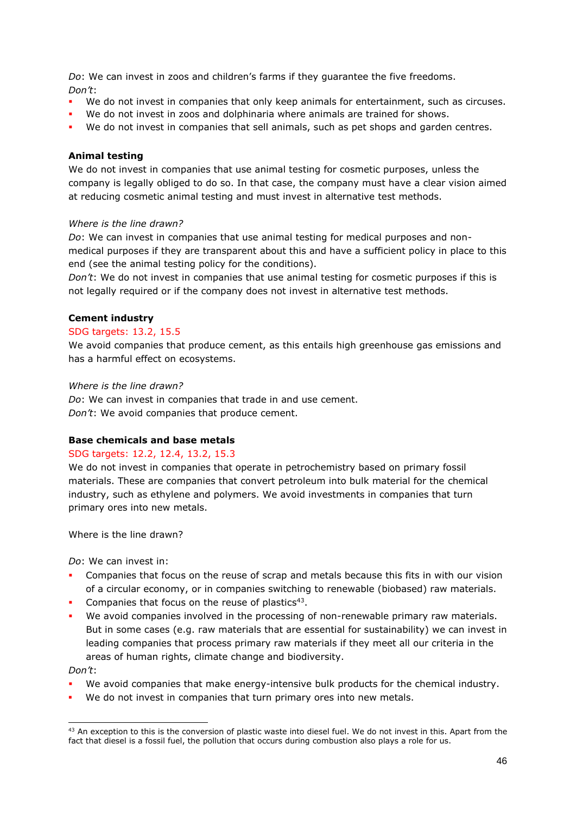*Do*: We can invest in zoos and children's farms if they guarantee the five freedoms. *Don't*:

- We do not invest in companies that only keep animals for entertainment, such as circuses.
- We do not invest in zoos and dolphinaria where animals are trained for shows.
- We do not invest in companies that sell animals, such as pet shops and garden centres.

#### **Animal testing**

We do not invest in companies that use animal testing for cosmetic purposes, unless the company is legally obliged to do so. In that case, the company must have a clear vision aimed at reducing cosmetic animal testing and must invest in alternative test methods.

#### *Where is the line drawn?*

*Do*: We can invest in companies that use animal testing for medical purposes and nonmedical purposes if they are transparent about this and have a sufficient policy in place to this end (see the animal testing policy for the conditions).

*Don't*: We do not invest in companies that use animal testing for cosmetic purposes if this is not legally required or if the company does not invest in alternative test methods.

#### **Cement industry**

#### SDG targets: 13.2, 15.5

We avoid companies that produce cement, as this entails high greenhouse gas emissions and has a harmful effect on ecosystems.

#### *Where is the line drawn?*

*Do*: We can invest in companies that trade in and use cement. *Don't*: We avoid companies that produce cement.

### **Base chemicals and base metals**

#### SDG targets: 12.2, 12.4, 13.2, 15.3

We do not invest in companies that operate in petrochemistry based on primary fossil materials. These are companies that convert petroleum into bulk material for the chemical industry, such as ethylene and polymers. We avoid investments in companies that turn primary ores into new metals.

Where is the line drawn?

*Do*: We can invest in:

- Companies that focus on the reuse of scrap and metals because this fits in with our vision of a circular economy, or in companies switching to renewable (biobased) raw materials.
- **•** Companies that focus on the reuse of plastics<sup>43</sup>.
- We avoid companies involved in the processing of non-renewable primary raw materials. But in some cases (e.g. raw materials that are essential for sustainability) we can invest in leading companies that process primary raw materials if they meet all our criteria in the areas of human rights, climate change and biodiversity.

*Don't*:

- We avoid companies that make energy-intensive bulk products for the chemical industry.
- We do not invest in companies that turn primary ores into new metals.

<sup>&</sup>lt;sup>43</sup> An exception to this is the conversion of plastic waste into diesel fuel. We do not invest in this. Apart from the fact that diesel is a fossil fuel, the pollution that occurs during combustion also plays a role for us.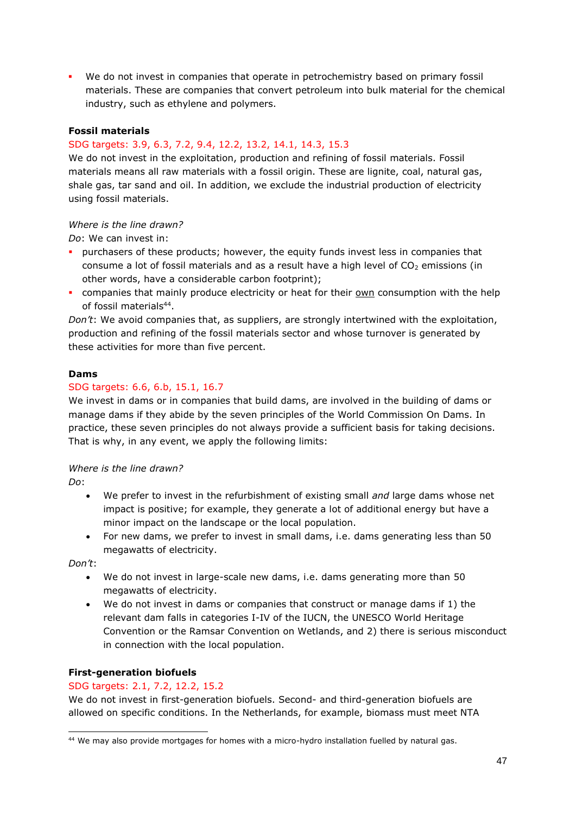▪ We do not invest in companies that operate in petrochemistry based on primary fossil materials. These are companies that convert petroleum into bulk material for the chemical industry, such as ethylene and polymers.

### **Fossil materials**

## SDG targets: 3.9, 6.3, 7.2, 9.4, 12.2, 13.2, 14.1, 14.3, 15.3

We do not invest in the exploitation, production and refining of fossil materials. Fossil materials means all raw materials with a fossil origin. These are lignite, coal, natural gas, shale gas, tar sand and oil. In addition, we exclude the industrial production of electricity using fossil materials.

### *Where is the line drawn?*

*Do*: We can invest in:

- **•** purchasers of these products; however, the equity funds invest less in companies that consume a lot of fossil materials and as a result have a high level of  $CO<sub>2</sub>$  emissions (in other words, have a considerable carbon footprint);
- companies that mainly produce electricity or heat for their own consumption with the help of fossil materials<sup>44</sup>.

*Don't*: We avoid companies that, as suppliers, are strongly intertwined with the exploitation, production and refining of the fossil materials sector and whose turnover is generated by these activities for more than five percent.

## **Dams**

### SDG targets: 6.6, 6.b, 15.1, 16.7

We invest in dams or in companies that build dams, are involved in the building of dams or manage dams if they abide by the seven principles of the World Commission On Dams. In practice, these seven principles do not always provide a sufficient basis for taking decisions. That is why, in any event, we apply the following limits:

### *Where is the line drawn?*

*Do*:

- We prefer to invest in the refurbishment of existing small *and* large dams whose net impact is positive; for example, they generate a lot of additional energy but have a minor impact on the landscape or the local population.
- For new dams, we prefer to invest in small dams, i.e. dams generating less than 50 megawatts of electricity.

*Don't*:

- We do not invest in large-scale new dams, i.e. dams generating more than 50 megawatts of electricity.
- We do not invest in dams or companies that construct or manage dams if 1) the relevant dam falls in categories I-IV of the IUCN, the UNESCO World Heritage Convention or the Ramsar Convention on Wetlands, and 2) there is serious misconduct in connection with the local population.

### **First-generation biofuels**

### SDG targets: 2.1, 7.2, 12.2, 15.2

We do not invest in first-generation biofuels. Second- and third-generation biofuels are allowed on specific conditions. In the Netherlands, for example, biomass must meet NTA

<sup>44</sup> We may also provide mortgages for homes with a micro-hydro installation fuelled by natural gas.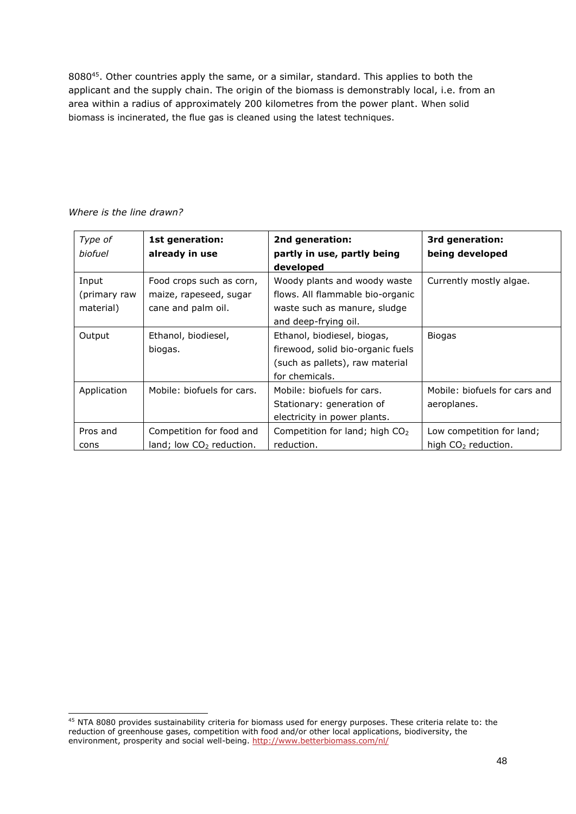8080<sup>45</sup>. Other countries apply the same, or a similar, standard. This applies to both the applicant and the supply chain. The origin of the biomass is demonstrably local, i.e. from an area within a radius of approximately 200 kilometres from the power plant. When solid biomass is incinerated, the flue gas is cleaned using the latest techniques.

| Type of<br>biofuel                 | 1st generation:<br>already in use                                        | 2nd generation:<br>partly in use, partly being<br>developed                                                              | 3rd generation:<br>being developed                           |
|------------------------------------|--------------------------------------------------------------------------|--------------------------------------------------------------------------------------------------------------------------|--------------------------------------------------------------|
| Input<br>(primary raw<br>material) | Food crops such as corn,<br>maize, rapeseed, sugar<br>cane and palm oil. | Woody plants and woody waste<br>flows. All flammable bio-organic<br>waste such as manure, sludge<br>and deep-frying oil. | Currently mostly algae.                                      |
| Output                             | Ethanol, biodiesel,<br>biogas.                                           | Ethanol, biodiesel, biogas,<br>firewood, solid bio-organic fuels<br>(such as pallets), raw material<br>for chemicals.    | <b>Biogas</b>                                                |
| Application                        | Mobile: biofuels for cars.                                               | Mobile: biofuels for cars.<br>Stationary: generation of<br>electricity in power plants.                                  | Mobile: biofuels for cars and<br>aeroplanes.                 |
| Pros and<br>cons                   | Competition for food and<br>$land;$ low $CO2$ reduction.                 | Competition for land; high CO <sub>2</sub><br>reduction.                                                                 | Low competition for land;<br>high CO <sub>2</sub> reduction. |

*Where is the line drawn?*

<sup>&</sup>lt;sup>45</sup> NTA 8080 provides sustainability criteria for biomass used for energy purposes. These criteria relate to: the reduction of greenhouse gases, competition with food and/or other local applications, biodiversity, the environment, prosperity and social well-being.<http://www.betterbiomass.com/nl/>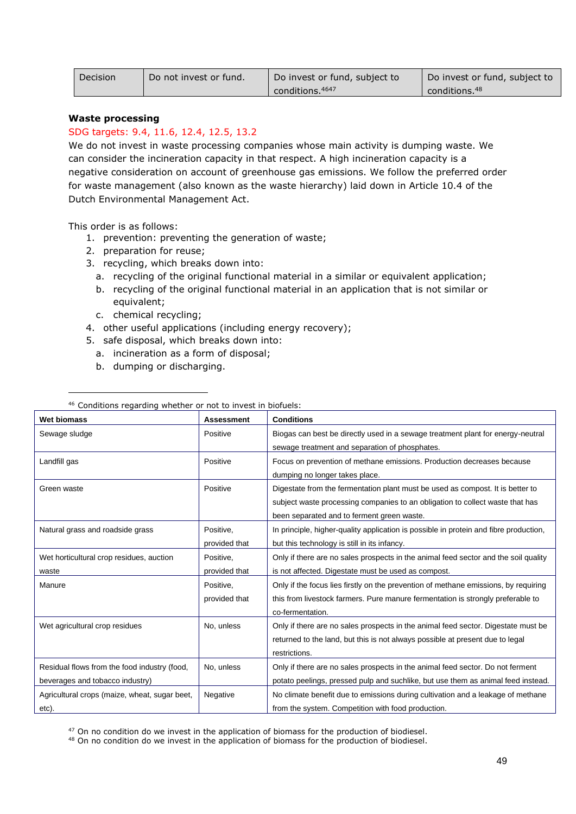| Decision | Do not invest or fund. | Do invest or fund, subject to | Do invest or fund, subject to |
|----------|------------------------|-------------------------------|-------------------------------|
|          |                        | conditions. 4647              | conditions. <sup>48</sup>     |

#### **Waste processing**

### SDG targets: 9.4, 11.6, 12.4, 12.5, 13.2

We do not invest in waste processing companies whose main activity is dumping waste. We can consider the incineration capacity in that respect. A high incineration capacity is a negative consideration on account of greenhouse gas emissions. We follow the preferred order for waste management (also known as the waste hierarchy) laid down in Article 10.4 of the Dutch Environmental Management Act.

This order is as follows:

- 1. prevention: preventing the generation of waste;
- 2. preparation for reuse;
- 3. recycling, which breaks down into:
	- a. recycling of the original functional material in a similar or equivalent application;
	- b. recycling of the original functional material in an application that is not similar or equivalent;
	- c. chemical recycling;
- 4. other useful applications (including energy recovery);
- 5. safe disposal, which breaks down into:
- a. incineration as a form of disposal;
- b. dumping or discharging.

| Wet biomass                                   | <b>Assessment</b> | <b>Conditions</b>                                                                     |
|-----------------------------------------------|-------------------|---------------------------------------------------------------------------------------|
| Sewage sludge                                 | Positive          | Biogas can best be directly used in a sewage treatment plant for energy-neutral       |
|                                               |                   | sewage treatment and separation of phosphates.                                        |
| Landfill gas                                  | Positive          | Focus on prevention of methane emissions. Production decreases because                |
|                                               |                   | dumping no longer takes place.                                                        |
| Green waste                                   | Positive          | Digestate from the fermentation plant must be used as compost. It is better to        |
|                                               |                   | subject waste processing companies to an obligation to collect waste that has         |
|                                               |                   | been separated and to ferment green waste.                                            |
| Natural grass and roadside grass              | Positive,         | In principle, higher-quality application is possible in protein and fibre production, |
|                                               | provided that     | but this technology is still in its infancy.                                          |
| Wet horticultural crop residues, auction      | Positive.         | Only if there are no sales prospects in the animal feed sector and the soil quality   |
| waste                                         | provided that     | is not affected. Digestate must be used as compost.                                   |
| Manure                                        | Positive,         | Only if the focus lies firstly on the prevention of methane emissions, by requiring   |
|                                               | provided that     | this from livestock farmers. Pure manure fermentation is strongly preferable to       |
|                                               |                   | co-fermentation.                                                                      |
| Wet agricultural crop residues                | No, unless        | Only if there are no sales prospects in the animal feed sector. Digestate must be     |
|                                               |                   | returned to the land, but this is not always possible at present due to legal         |
|                                               |                   | restrictions.                                                                         |
| Residual flows from the food industry (food,  | No, unless        | Only if there are no sales prospects in the animal feed sector. Do not ferment        |
| beverages and tobacco industry)               |                   | potato peelings, pressed pulp and suchlike, but use them as animal feed instead.      |
| Agricultural crops (maize, wheat, sugar beet, | Negative          | No climate benefit due to emissions during cultivation and a leakage of methane       |
| etc).                                         |                   | from the system. Competition with food production.                                    |

<sup>46</sup> Conditions regarding whether or not to invest in biofuels:

<sup>47</sup> On no condition do we invest in the application of biomass for the production of biodiesel.

<sup>48</sup> On no condition do we invest in the application of biomass for the production of biodiesel.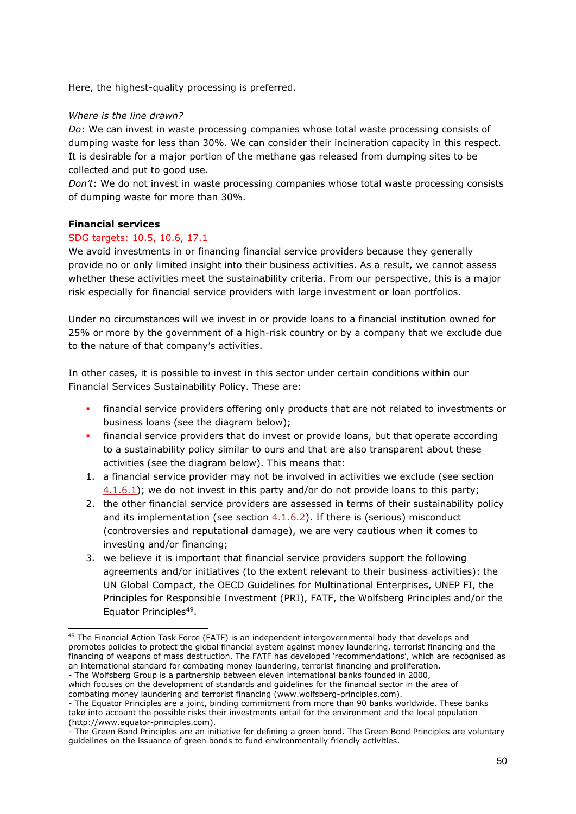Here, the highest-quality processing is preferred.

## *Where is the line drawn?*

*Do*: We can invest in waste processing companies whose total waste processing consists of dumping waste for less than 30%. We can consider their incineration capacity in this respect. It is desirable for a major portion of the methane gas released from dumping sites to be collected and put to good use.

*Don't*: We do not invest in waste processing companies whose total waste processing consists of dumping waste for more than 30%.

### **Financial services**

### SDG targets: 10.5, 10.6, 17.1

We avoid investments in or financing financial service providers because they generally provide no or only limited insight into their business activities. As a result, we cannot assess whether these activities meet the sustainability criteria. From our perspective, this is a major risk especially for financial service providers with large investment or loan portfolios.

Under no circumstances will we invest in or provide loans to a financial institution owned for 25% or more by the government of a high-risk country or by a company that we exclude due to the nature of that company's activities.

In other cases, it is possible to invest in this sector under certain conditions within our Financial Services Sustainability Policy. These are:

- **.** financial service providers offering only products that are not related to investments or business loans (see the diagram below);
- **.** financial service providers that do invest or provide loans, but that operate according to a sustainability policy similar to ours and that are also transparent about these activities (see the diagram below). This means that:
- 1. a financial service provider may not be involved in activities we exclude (see section [4.1.6.1\)](#page-39-0); we do not invest in this party and/or do not provide loans to this party;
- 2. the other financial service providers are assessed in terms of their sustainability policy and its implementation (see section  $4.1.6.2$ ). If there is (serious) misconduct (controversies and reputational damage), we are very cautious when it comes to investing and/or financing;
- 3. we believe it is important that financial service providers support the following agreements and/or initiatives (to the extent relevant to their business activities): the UN Global Compact, the OECD Guidelines for Multinational Enterprises, UNEP FI, the Principles for Responsible Investment (PRI), FATF, the Wolfsberg Principles and/or the Equator Principles<sup>49</sup>.

<sup>&</sup>lt;sup>49</sup> The Financial Action Task Force (FATF) is an independent intergovernmental body that develops and promotes policies to protect the global financial system against money laundering, terrorist financing and the financing of weapons of mass destruction. The FATF has developed 'recommendations', which are recognised as an international standard for combating money laundering, terrorist financing and proliferation. - The Wolfsberg Group is a partnership between eleven international banks founded in 2000,

which focuses on the development of standards and guidelines for the financial sector in the area of combating money laundering and terrorist financing (www.wolfsberg-principles.com).

<sup>-</sup> The Equator Principles are a joint, binding commitment from more than 90 banks worldwide. These banks take into account the possible risks their investments entail for the environment and the local population (http://www.equator-principles.com).

<sup>-</sup> The Green Bond Principles are an initiative for defining a green bond. The Green Bond Principles are voluntary guidelines on the issuance of green bonds to fund environmentally friendly activities.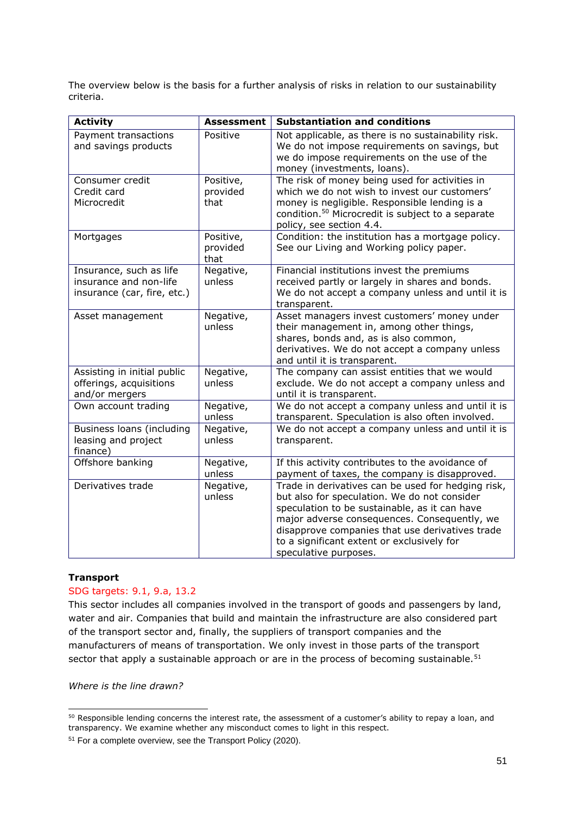The overview below is the basis for a further analysis of risks in relation to our sustainability criteria.

| <b>Activity</b>                                                                  | <b>Assessment</b>             | <b>Substantiation and conditions</b>                                                                                                                                                                                                                                                                                          |
|----------------------------------------------------------------------------------|-------------------------------|-------------------------------------------------------------------------------------------------------------------------------------------------------------------------------------------------------------------------------------------------------------------------------------------------------------------------------|
| Payment transactions<br>and savings products                                     | Positive                      | Not applicable, as there is no sustainability risk.<br>We do not impose requirements on savings, but<br>we do impose requirements on the use of the<br>money (investments, loans).                                                                                                                                            |
| Consumer credit<br>Credit card<br>Microcredit                                    | Positive,<br>provided<br>that | The risk of money being used for activities in<br>which we do not wish to invest our customers'<br>money is negligible. Responsible lending is a<br>condition. <sup>50</sup> Microcredit is subject to a separate<br>policy, see section 4.4.                                                                                 |
| Mortgages                                                                        | Positive,<br>provided<br>that | Condition: the institution has a mortgage policy.<br>See our Living and Working policy paper.                                                                                                                                                                                                                                 |
| Insurance, such as life<br>insurance and non-life<br>insurance (car, fire, etc.) | Negative,<br>unless           | Financial institutions invest the premiums<br>received partly or largely in shares and bonds.<br>We do not accept a company unless and until it is<br>transparent.                                                                                                                                                            |
| Asset management                                                                 | Negative,<br>unless           | Asset managers invest customers' money under<br>their management in, among other things,<br>shares, bonds and, as is also common,<br>derivatives. We do not accept a company unless<br>and until it is transparent.                                                                                                           |
| Assisting in initial public<br>offerings, acquisitions<br>and/or mergers         | Negative,<br>unless           | The company can assist entities that we would<br>exclude. We do not accept a company unless and<br>until it is transparent.                                                                                                                                                                                                   |
| Own account trading                                                              | Negative,<br>unless           | We do not accept a company unless and until it is<br>transparent. Speculation is also often involved.                                                                                                                                                                                                                         |
| Business loans (including<br>leasing and project<br>finance)                     | Negative,<br>unless           | We do not accept a company unless and until it is<br>transparent.                                                                                                                                                                                                                                                             |
| Offshore banking                                                                 | Negative,<br>unless           | If this activity contributes to the avoidance of<br>payment of taxes, the company is disapproved.                                                                                                                                                                                                                             |
| Derivatives trade                                                                | Negative,<br>unless           | Trade in derivatives can be used for hedging risk,<br>but also for speculation. We do not consider<br>speculation to be sustainable, as it can have<br>major adverse consequences. Consequently, we<br>disapprove companies that use derivatives trade<br>to a significant extent or exclusively for<br>speculative purposes. |

### **Transport**

### SDG targets: 9.1, 9.a, 13.2

This sector includes all companies involved in the transport of goods and passengers by land, water and air. Companies that build and maintain the infrastructure are also considered part of the transport sector and, finally, the suppliers of transport companies and the manufacturers of means of transportation. We only invest in those parts of the transport sector that apply a sustainable approach or are in the process of becoming sustainable.<sup>51</sup>

*Where is the line drawn?*

<sup>&</sup>lt;sup>50</sup> Responsible lending concerns the interest rate, the assessment of a customer's ability to repay a loan, and transparency. We examine whether any misconduct comes to light in this respect.

<sup>51</sup> For a complete overview, see the Transport Policy (2020).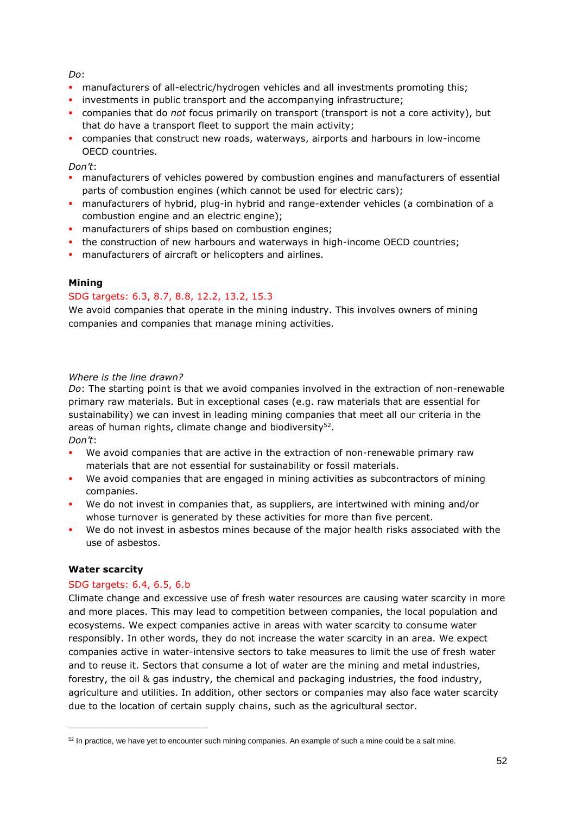*Do*:

- manufacturers of all-electric/hydrogen vehicles and all investments promoting this;
- **·** investments in public transport and the accompanying infrastructure;
- companies that do *not* focus primarily on transport (transport is not a core activity), but that do have a transport fleet to support the main activity;
- companies that construct new roads, waterways, airports and harbours in low-income OECD countries.

### *Don't*:

- **manufacturers of vehicles powered by combustion engines and manufacturers of essential** parts of combustion engines (which cannot be used for electric cars);
- manufacturers of hybrid, plug-in hybrid and range-extender vehicles (a combination of a combustion engine and an electric engine);
- **·** manufacturers of ships based on combustion engines;
- . the construction of new harbours and waterways in high-income OECD countries;
- **·** manufacturers of aircraft or helicopters and airlines.

### **Mining**

## SDG targets: 6.3, 8.7, 8.8, 12.2, 13.2, 15.3

We avoid companies that operate in the mining industry. This involves owners of mining companies and companies that manage mining activities.

### *Where is the line drawn?*

*Do*: The starting point is that we avoid companies involved in the extraction of non-renewable primary raw materials. But in exceptional cases (e.g. raw materials that are essential for sustainability) we can invest in leading mining companies that meet all our criteria in the areas of human rights, climate change and biodiversity $52$ . *Don't*:

- We avoid companies that are active in the extraction of non-renewable primary raw materials that are not essential for sustainability or fossil materials.
- We avoid companies that are engaged in mining activities as subcontractors of mining companies.
- We do not invest in companies that, as suppliers, are intertwined with mining and/or whose turnover is generated by these activities for more than five percent.
- We do not invest in asbestos mines because of the major health risks associated with the use of asbestos.

### **Water scarcity**

### SDG targets: 6.4, 6.5, 6.b

Climate change and excessive use of fresh water resources are causing water scarcity in more and more places. This may lead to competition between companies, the local population and ecosystems. We expect companies active in areas with water scarcity to consume water responsibly. In other words, they do not increase the water scarcity in an area. We expect companies active in water-intensive sectors to take measures to limit the use of fresh water and to reuse it. Sectors that consume a lot of water are the mining and metal industries, forestry, the oil & gas industry, the chemical and packaging industries, the food industry, agriculture and utilities. In addition, other sectors or companies may also face water scarcity due to the location of certain supply chains, such as the agricultural sector.

 $52$  In practice, we have yet to encounter such mining companies. An example of such a mine could be a salt mine.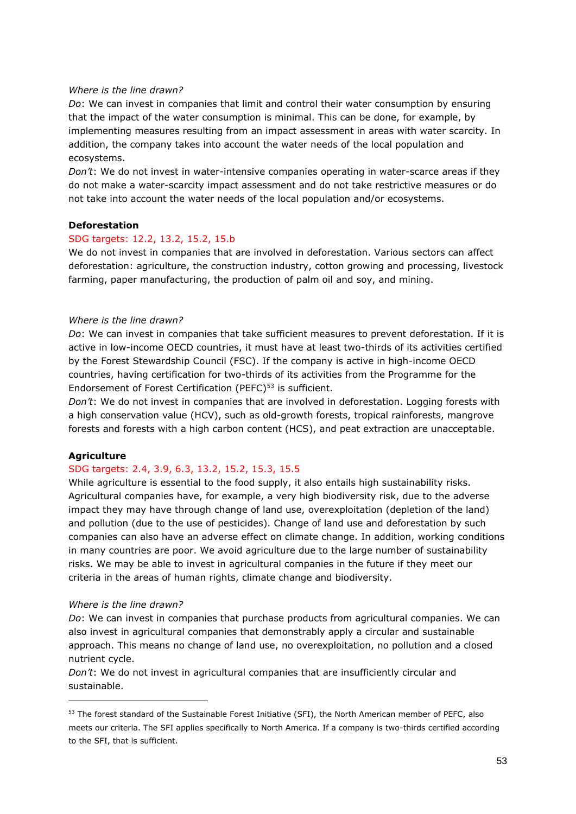#### *Where is the line drawn?*

*Do*: We can invest in companies that limit and control their water consumption by ensuring that the impact of the water consumption is minimal. This can be done, for example, by implementing measures resulting from an impact assessment in areas with water scarcity. In addition, the company takes into account the water needs of the local population and ecosystems.

*Don't*: We do not invest in water-intensive companies operating in water-scarce areas if they do not make a water-scarcity impact assessment and do not take restrictive measures or do not take into account the water needs of the local population and/or ecosystems.

#### **Deforestation**

#### SDG targets: 12.2, 13.2, 15.2, 15.b

We do not invest in companies that are involved in deforestation. Various sectors can affect deforestation: agriculture, the construction industry, cotton growing and processing, livestock farming, paper manufacturing, the production of palm oil and soy, and mining.

#### *Where is the line drawn?*

*Do*: We can invest in companies that take sufficient measures to prevent deforestation. If it is active in low-income OECD countries, it must have at least two-thirds of its activities certified by the Forest Stewardship Council (FSC). If the company is active in high-income OECD countries, having certification for two-thirds of its activities from the Programme for the Endorsement of Forest Certification (PEFC)<sup>53</sup> is sufficient.

*Don't*: We do not invest in companies that are involved in deforestation. Logging forests with a high conservation value (HCV), such as old-growth forests, tropical rainforests, mangrove forests and forests with a high carbon content (HCS), and peat extraction are unacceptable.

### **Agriculture**

### SDG targets: 2.4, 3.9, 6.3, 13.2, 15.2, 15.3, 15.5

While agriculture is essential to the food supply, it also entails high sustainability risks. Agricultural companies have, for example, a very high biodiversity risk, due to the adverse impact they may have through change of land use, overexploitation (depletion of the land) and pollution (due to the use of pesticides). Change of land use and deforestation by such companies can also have an adverse effect on climate change. In addition, working conditions in many countries are poor. We avoid agriculture due to the large number of sustainability risks. We may be able to invest in agricultural companies in the future if they meet our criteria in the areas of human rights, climate change and biodiversity.

#### *Where is the line drawn?*

*Do*: We can invest in companies that purchase products from agricultural companies. We can also invest in agricultural companies that demonstrably apply a circular and sustainable approach. This means no change of land use, no overexploitation, no pollution and a closed nutrient cycle.

*Don't*: We do not invest in agricultural companies that are insufficiently circular and sustainable.

<sup>53</sup> The forest standard of the Sustainable Forest Initiative (SFI), the North American member of PEFC, also meets our criteria. The SFI applies specifically to North America. If a company is two-thirds certified according to the SFI, that is sufficient.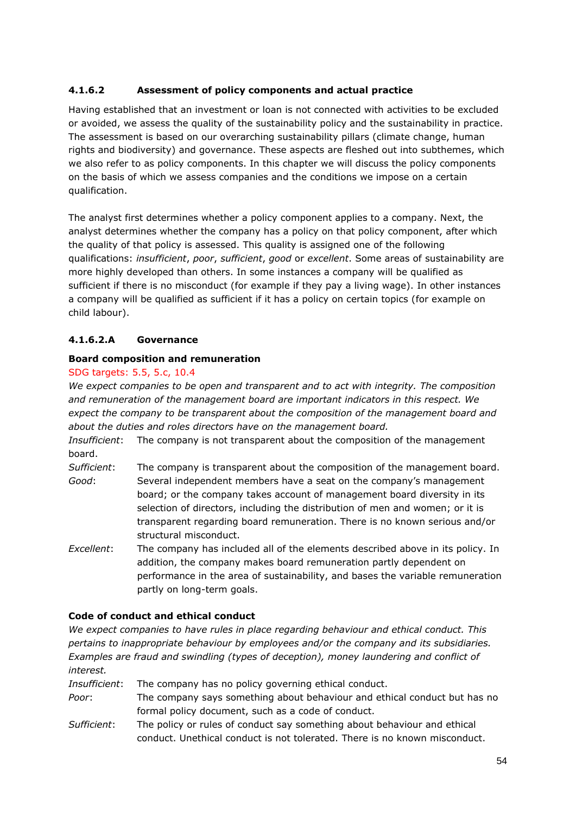# <span id="page-53-0"></span>**4.1.6.2 Assessment of policy components and actual practice**

Having established that an investment or loan is not connected with activities to be excluded or avoided, we assess the quality of the sustainability policy and the sustainability in practice. The assessment is based on our overarching sustainability pillars (climate change, human rights and biodiversity) and governance. These aspects are fleshed out into subthemes, which we also refer to as policy components. In this chapter we will discuss the policy components on the basis of which we assess companies and the conditions we impose on a certain qualification.

The analyst first determines whether a policy component applies to a company. Next, the analyst determines whether the company has a policy on that policy component, after which the quality of that policy is assessed. This quality is assigned one of the following qualifications: *insufficient*, *poor*, *sufficient*, *good* or *excellent*. Some areas of sustainability are more highly developed than others. In some instances a company will be qualified as sufficient if there is no misconduct (for example if they pay a living wage). In other instances a company will be qualified as sufficient if it has a policy on certain topics (for example on child labour).

## **4.1.6.2.A Governance**

### **Board composition and remuneration**

### SDG targets: 5.5, 5.c, 10.4

*We expect companies to be open and transparent and to act with integrity. The composition and remuneration of the management board are important indicators in this respect. We*  expect the company to be transparent about the composition of the management board and *about the duties and roles directors have on the management board.* 

*Insufficient*: The company is not transparent about the composition of the management board.

- *Sufficient*: The company is transparent about the composition of the management board. *Good*: Several independent members have a seat on the company's management board; or the company takes account of management board diversity in its selection of directors, including the distribution of men and women; or it is transparent regarding board remuneration. There is no known serious and/or structural misconduct.
- *Excellent*: The company has included all of the elements described above in its policy. In addition, the company makes board remuneration partly dependent on performance in the area of sustainability, and bases the variable remuneration partly on long-term goals.

## **Code of conduct and ethical conduct**

*We expect companies to have rules in place regarding behaviour and ethical conduct. This pertains to inappropriate behaviour by employees and/or the company and its subsidiaries. Examples are fraud and swindling (types of deception), money laundering and conflict of interest.* 

*Insufficient*: The company has no policy governing ethical conduct. *Poor*: The company says something about behaviour and ethical conduct but has no formal policy document, such as a code of conduct. *Sufficient*: The policy or rules of conduct say something about behaviour and ethical

conduct. Unethical conduct is not tolerated. There is no known misconduct.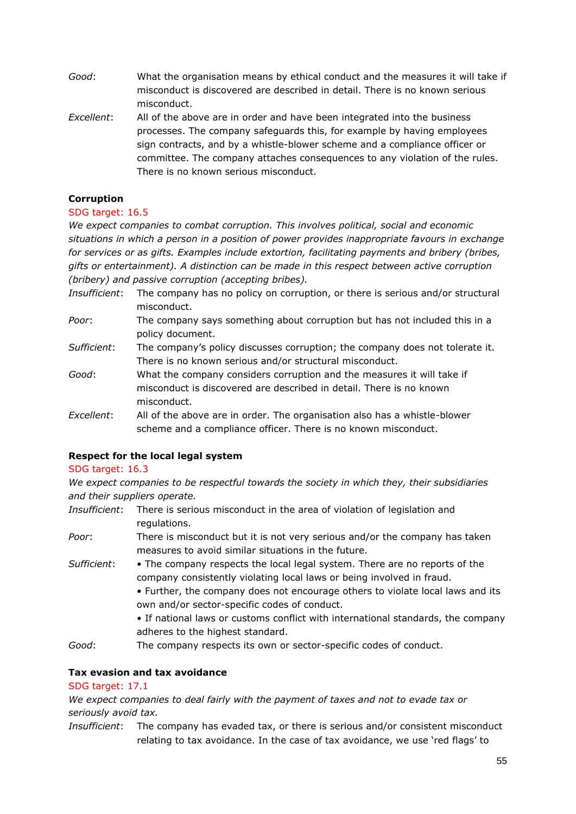- *Good*: What the organisation means by ethical conduct and the measures it will take if misconduct is discovered are described in detail. There is no known serious misconduct.
- *Excellent*: All of the above are in order and have been integrated into the business processes. The company safeguards this, for example by having employees sign contracts, and by a whistle-blower scheme and a compliance officer or committee. The company attaches consequences to any violation of the rules. There is no known serious misconduct.

### **Corruption**

### SDG target: 16.5

*We expect companies to combat corruption. This involves political, social and economic situations in which a person in a position of power provides inappropriate favours in exchange for services or as gifts. Examples include extortion, facilitating payments and bribery (bribes, gifts or entertainment). A distinction can be made in this respect between active corruption (bribery) and passive corruption (accepting bribes).* 

- *Insufficient*: The company has no policy on corruption, or there is serious and/or structural misconduct.
- *Poor*: The company says something about corruption but has not included this in a policy document.
- *Sufficient*: The company's policy discusses corruption; the company does not tolerate it. There is no known serious and/or structural misconduct.
- *Good*: What the company considers corruption and the measures it will take if misconduct is discovered are described in detail. There is no known misconduct.
- *Excellent*: All of the above are in order. The organisation also has a whistle-blower scheme and a compliance officer. There is no known misconduct.

## **Respect for the local legal system**

### SDG target: 16.3

*We expect companies to be respectful towards the society in which they, their subsidiaries and their suppliers operate.* 

- *Insufficient*: There is serious misconduct in the area of violation of legislation and regulations.
- *Poor*: There is misconduct but it is not very serious and/or the company has taken measures to avoid similar situations in the future.
- *Sufficient*: The company respects the local legal system. There are no reports of the company consistently violating local laws or being involved in fraud.
	- Further, the company does not encourage others to violate local laws and its own and/or sector-specific codes of conduct.
	- If national laws or customs conflict with international standards, the company adheres to the highest standard.
- *Good*: The company respects its own or sector-specific codes of conduct.

## **Tax evasion and tax avoidance**

## SDG target: 17.1

*We expect companies to deal fairly with the payment of taxes and not to evade tax or seriously avoid tax.*

*Insufficient*: The company has evaded tax, or there is serious and/or consistent misconduct relating to tax avoidance. In the case of tax avoidance, we use 'red flags' to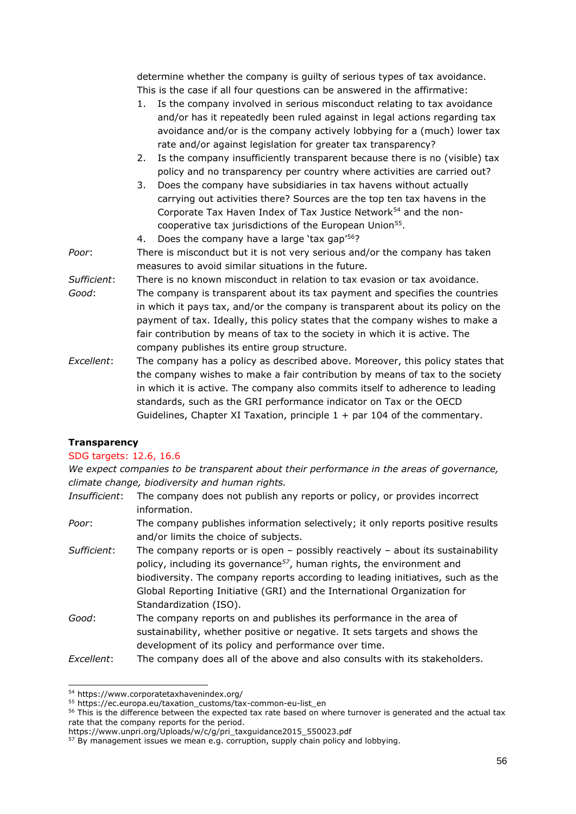determine whether the company is guilty of serious types of tax avoidance. This is the case if all four questions can be answered in the affirmative:

- 1. Is the company involved in serious misconduct relating to tax avoidance and/or has it repeatedly been ruled against in legal actions regarding tax avoidance and/or is the company actively lobbying for a (much) lower tax rate and/or against legislation for greater tax transparency?
- 2. Is the company insufficiently transparent because there is no (visible) tax policy and no transparency per country where activities are carried out?
- 3. Does the company have subsidiaries in tax havens without actually carrying out activities there? Sources are the top ten tax havens in the Corporate Tax Haven Index of Tax Justice Network<sup>54</sup> and the noncooperative tax jurisdictions of the European Union<sup>55</sup>.
- 4. Does the company have a large 'tax gap'<sup>56</sup>?
- *Poor*: There is misconduct but it is not very serious and/or the company has taken measures to avoid similar situations in the future.
- *Sufficient*: There is no known misconduct in relation to tax evasion or tax avoidance. *Good*: The company is transparent about its tax payment and specifies the countries in which it pays tax, and/or the company is transparent about its policy on the payment of tax. Ideally, this policy states that the company wishes to make a fair contribution by means of tax to the society in which it is active. The company publishes its entire group structure.
- *Excellent*: The company has a policy as described above. Moreover, this policy states that the company wishes to make a fair contribution by means of tax to the society in which it is active. The company also commits itself to adherence to leading standards, such as the GRI performance indicator on Tax or the OECD Guidelines, Chapter XI Taxation, principle  $1 +$  par 104 of the commentary.

## **Transparency**

### SDG targets: 12.6, 16.6

*We expect companies to be transparent about their performance in the areas of governance, climate change, biodiversity and human rights.*

- *Insufficient*: The company does not publish any reports or policy, or provides incorrect information.
- *Poor*: The company publishes information selectively; it only reports positive results and/or limits the choice of subjects.
- *Sufficient*: The company reports or is open possibly reactively about its sustainability policy, including its governance*<sup>57</sup>*, human rights, the environment and biodiversity. The company reports according to leading initiatives, such as the Global Reporting Initiative (GRI) and the International Organization for Standardization (ISO).
- *Good*: The company reports on and publishes its performance in the area of sustainability, whether positive or negative. It sets targets and shows the development of its policy and performance over time.
- *Excellent*: The company does all of the above and also consults with its stakeholders.

<sup>54</sup> https://www.corporatetaxhavenindex.org/

 $\frac{55}{2}$  https://ec.europa.eu/taxation\_customs/tax-common-eu-list\_en

<sup>&</sup>lt;sup>56</sup> This is the difference between the expected tax rate based on where turnover is generated and the actual tax rate that the company reports for the period.

https://www.unpri.org/Uploads/w/c/g/pri\_taxguidance2015\_550023.pdf

 $57$  By management issues we mean e.g. corruption, supply chain policy and lobbying.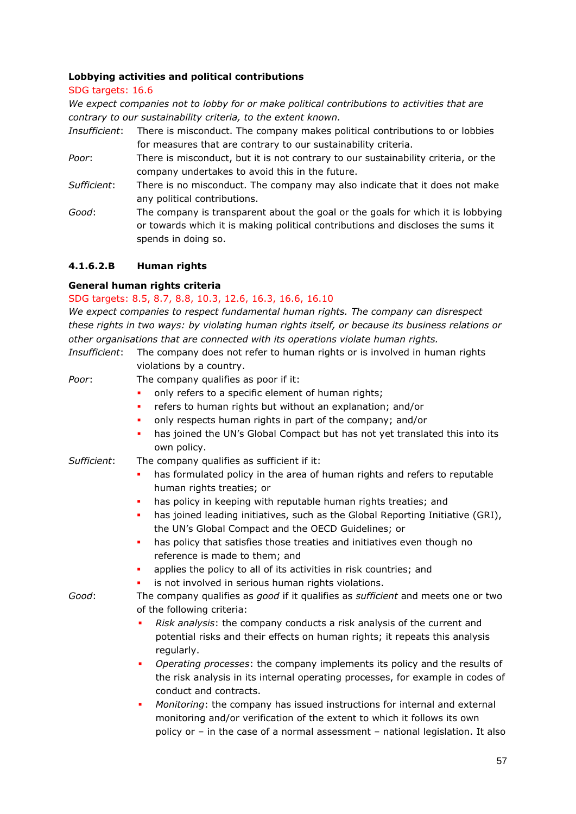### **Lobbying activities and political contributions**

SDG targets: 16.6

*We expect companies not to lobby for or make political contributions to activities that are contrary to our sustainability criteria, to the extent known.* 

- *Insufficient*: There is misconduct. The company makes political contributions to or lobbies for measures that are contrary to our sustainability criteria.
- *Poor*: There is misconduct, but it is not contrary to our sustainability criteria, or the company undertakes to avoid this in the future.
- *Sufficient*: There is no misconduct. The company may also indicate that it does not make any political contributions.
- *Good*: The company is transparent about the goal or the goals for which it is lobbying or towards which it is making political contributions and discloses the sums it spends in doing so.

## **4.1.6.2.B Human rights**

### **General human rights criteria**

## SDG targets: 8.5, 8.7, 8.8, 10.3, 12.6, 16.3, 16.6, 16.10

*We expect companies to respect fundamental human rights. The company can disrespect these rights in two ways: by violating human rights itself, or because its business relations or other organisations that are connected with its operations violate human rights.*

- *Insufficient*: The company does not refer to human rights or is involved in human rights violations by a country. *Poor*: The company qualifies as poor if it: only refers to a specific element of human rights; refers to human rights but without an explanation; and/or only respects human rights in part of the company; and/or has joined the UN's Global Compact but has not yet translated this into its own policy. *Sufficient*: The company qualifies as sufficient if it: has formulated policy in the area of human rights and refers to reputable human rights treaties; or has policy in keeping with reputable human rights treaties; and has joined leading initiatives, such as the Global Reporting Initiative (GRI), the UN's Global Compact and the OECD Guidelines; or has policy that satisfies those treaties and initiatives even though no reference is made to them; and applies the policy to all of its activities in risk countries; and is not involved in serious human rights violations. *Good*: The company qualifies as *good* if it qualifies as *sufficient* and meets one or two of the following criteria: ▪ *Risk analysis*: the company conducts a risk analysis of the current and potential risks and their effects on human rights; it repeats this analysis regularly. ▪ *Operating processes*: the company implements its policy and the results of the risk analysis in its internal operating processes, for example in codes of conduct and contracts. *Monitoring*: the company has issued instructions for internal and external
	- monitoring and/or verification of the extent to which it follows its own policy or – in the case of a normal assessment – national legislation. It also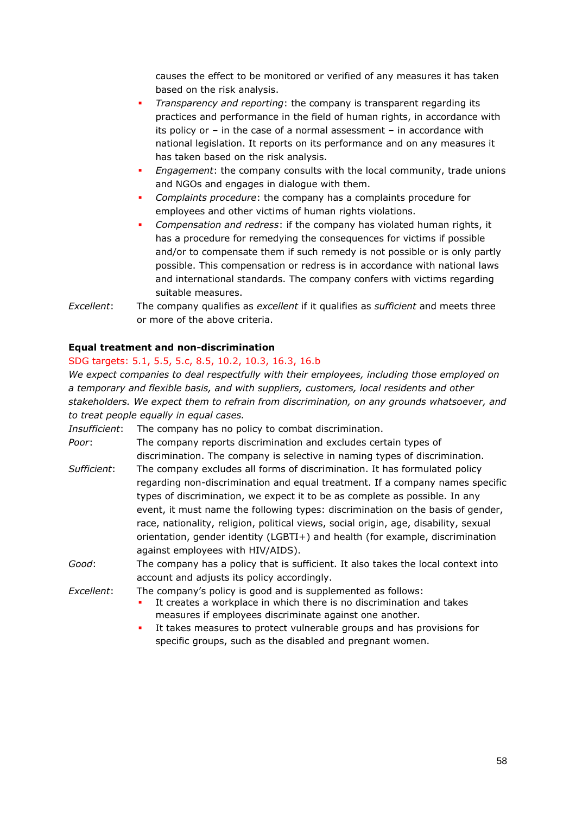causes the effect to be monitored or verified of any measures it has taken based on the risk analysis.

- *Transparency and reporting*: the company is transparent regarding its practices and performance in the field of human rights, in accordance with its policy or – in the case of a normal assessment – in accordance with national legislation. It reports on its performance and on any measures it has taken based on the risk analysis.
- *Engagement*: the company consults with the local community, trade unions and NGOs and engages in dialogue with them.
- *Complaints procedure*: the company has a complaints procedure for employees and other victims of human rights violations.
- *Compensation and redress*: if the company has violated human rights, it has a procedure for remedying the consequences for victims if possible and/or to compensate them if such remedy is not possible or is only partly possible. This compensation or redress is in accordance with national laws and international standards. The company confers with victims regarding suitable measures.
- *Excellent*: The company qualifies as *excellent* if it qualifies as *sufficient* and meets three or more of the above criteria.

### **Equal treatment and non-discrimination**

### SDG targets: 5.1, 5.5, 5.c, 8.5, 10.2, 10.3, 16.3, 16.b

*We expect companies to deal respectfully with their employees, including those employed on a temporary and flexible basis, and with suppliers, customers, local residents and other stakeholders. We expect them to refrain from discrimination, on any grounds whatsoever, and to treat people equally in equal cases.* 

*Insufficient*: The company has no policy to combat discrimination.

*Poor*: The company reports discrimination and excludes certain types of discrimination. The company is selective in naming types of discrimination.

- *Sufficient*: The company excludes all forms of discrimination. It has formulated policy regarding non-discrimination and equal treatment. If a company names specific types of discrimination, we expect it to be as complete as possible. In any event, it must name the following types: discrimination on the basis of gender, race, nationality, religion, political views, social origin, age, disability, sexual orientation, gender identity (LGBTI+) and health (for example, discrimination against employees with HIV/AIDS).
- *Good*: The company has a policy that is sufficient. It also takes the local context into account and adjusts its policy accordingly.

*Excellent*: The company's policy is good and is supplemented as follows:

- It creates a workplace in which there is no discrimination and takes measures if employees discriminate against one another.
- It takes measures to protect vulnerable groups and has provisions for specific groups, such as the disabled and pregnant women.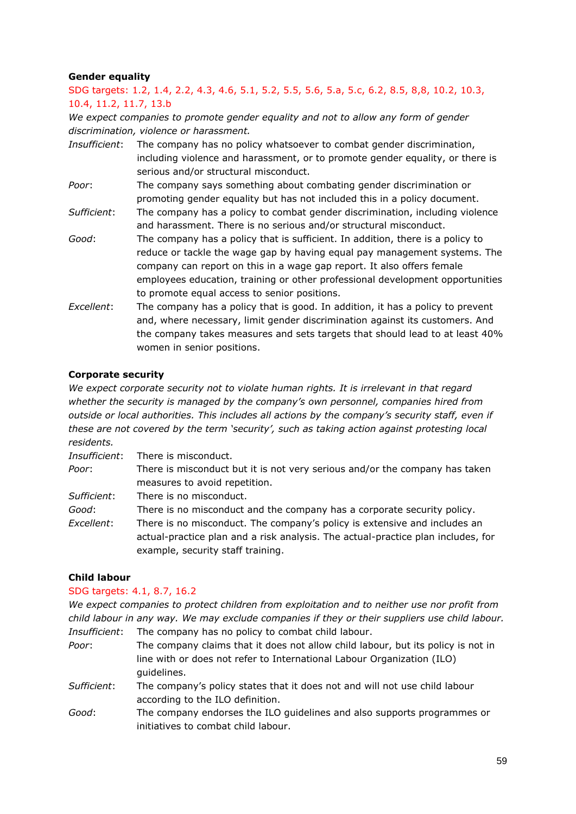## **Gender equality**

SDG targets: 1.2, 1.4, 2.2, 4.3, 4.6, 5.1, 5.2, 5.5, 5.6, 5.a, 5.c, 6.2, 8.5, 8,8, 10.2, 10.3, 10.4, 11.2, 11.7, 13.b

*We expect companies to promote gender equality and not to allow any form of gender discrimination, violence or harassment.*

- *Insufficient*: The company has no policy whatsoever to combat gender discrimination, including violence and harassment, or to promote gender equality, or there is serious and/or structural misconduct.
- *Poor*: The company says something about combating gender discrimination or promoting gender equality but has not included this in a policy document.
- *Sufficient*: The company has a policy to combat gender discrimination, including violence and harassment. There is no serious and/or structural misconduct.
- *Good*: The company has a policy that is sufficient. In addition, there is a policy to reduce or tackle the wage gap by having equal pay management systems. The company can report on this in a wage gap report. It also offers female employees education, training or other professional development opportunities to promote equal access to senior positions.
- *Excellent*: The company has a policy that is good. In addition, it has a policy to prevent and, where necessary, limit gender discrimination against its customers. And the company takes measures and sets targets that should lead to at least 40% women in senior positions.

### **Corporate security**

*We expect corporate security not to violate human rights. It is irrelevant in that regard whether the security is managed by the company's own personnel, companies hired from outside or local authorities. This includes all actions by the company's security staff, even if these are not covered by the term 'security', such as taking action against protesting local residents.*

*Insufficient*: There is misconduct. *Poor*: There is misconduct but it is not very serious and/or the company has taken measures to avoid repetition. *Sufficient*: There is no misconduct. *Good*: There is no misconduct and the company has a corporate security policy. *Excellent*: There is no misconduct. The company's policy is extensive and includes an actual-practice plan and a risk analysis. The actual-practice plan includes, for example, security staff training.

### **Child labour**

### SDG targets: 4.1, 8.7, 16.2

*We expect companies to protect children from exploitation and to neither use nor profit from child labour in any way. We may exclude companies if they or their suppliers use child labour. Insufficient*: The company has no policy to combat child labour.

- *Poor*: The company claims that it does not allow child labour, but its policy is not in line with or does not refer to International Labour Organization (ILO) guidelines.
- *Sufficient*: The company's policy states that it does not and will not use child labour according to the ILO definition.
- *Good*: The company endorses the ILO guidelines and also supports programmes or initiatives to combat child labour.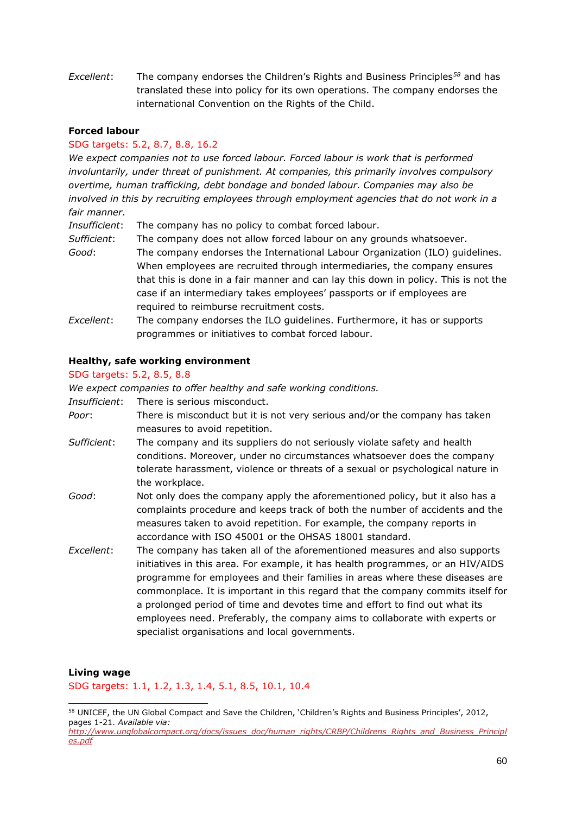*Excellent*: The company endorses the Children's Rights and Business Principles*<sup>58</sup>* and has translated these into policy for its own operations. The company endorses the international Convention on the Rights of the Child.

#### **Forced labour**

#### SDG targets: 5.2, 8.7, 8.8, 16.2

*We expect companies not to use forced labour. Forced labour is work that is performed involuntarily, under threat of punishment. At companies, this primarily involves compulsory overtime, human trafficking, debt bondage and bonded labour. Companies may also be involved in this by recruiting employees through employment agencies that do not work in a fair manner.*

*Insufficient*: The company has no policy to combat forced labour.

- *Sufficient*: The company does not allow forced labour on any grounds whatsoever. *Good*: The company endorses the International Labour Organization (ILO) guidelines. When employees are recruited through intermediaries, the company ensures that this is done in a fair manner and can lay this down in policy. This is not the case if an intermediary takes employees' passports or if employees are required to reimburse recruitment costs.
- *Excellent*: The company endorses the ILO guidelines. Furthermore, it has or supports programmes or initiatives to combat forced labour.

#### **Healthy, safe working environment**

### SDG targets: 5.2, 8.5, 8.8

*We expect companies to offer healthy and safe working conditions.*

*Insufficient*: There is serious misconduct.

- *Poor*: There is misconduct but it is not very serious and/or the company has taken measures to avoid repetition.
- *Sufficient*: The company and its suppliers do not seriously violate safety and health conditions. Moreover, under no circumstances whatsoever does the company tolerate harassment, violence or threats of a sexual or psychological nature in the workplace.
- *Good*: Not only does the company apply the aforementioned policy, but it also has a complaints procedure and keeps track of both the number of accidents and the measures taken to avoid repetition. For example, the company reports in accordance with ISO 45001 or the OHSAS 18001 standard.
- *Excellent*: The company has taken all of the aforementioned measures and also supports initiatives in this area. For example, it has health programmes, or an HIV/AIDS programme for employees and their families in areas where these diseases are commonplace. It is important in this regard that the company commits itself for a prolonged period of time and devotes time and effort to find out what its employees need. Preferably, the company aims to collaborate with experts or specialist organisations and local governments.

#### **Living wage**

SDG targets: 1.1, 1.2, 1.3, 1.4, 5.1, 8.5, 10.1, 10.4

<sup>&</sup>lt;sup>58</sup> UNICEF, the UN Global Compact and Save the Children, 'Children's Rights and Business Principles', 2012, pages 1-21. *Available via: [http://www.unglobalcompact.org/docs/issues\\_doc/human\\_rights/CRBP/Childrens\\_Rights\\_and\\_Business\\_Principl](http://www.unglobalcompact.org/docs/issues_doc/human_rights/CRBP/Childrens_Rights_and_Business_Principles.pdf)*

*[es.pdf](http://www.unglobalcompact.org/docs/issues_doc/human_rights/CRBP/Childrens_Rights_and_Business_Principles.pdf)*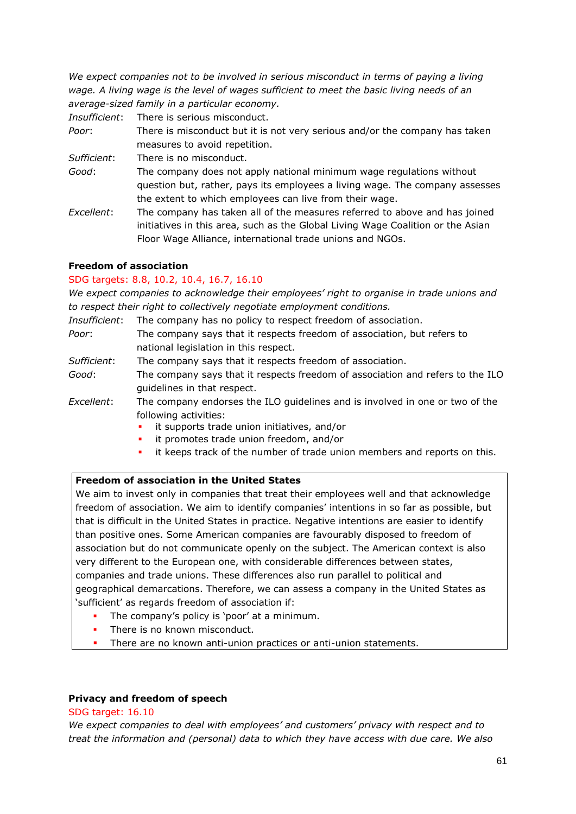*We expect companies not to be involved in serious misconduct in terms of paying a living wage. A living wage is the level of wages sufficient to meet the basic living needs of an average-sized family in a particular economy.*

*Insufficient*: There is serious misconduct.

*Poor*: There is misconduct but it is not very serious and/or the company has taken measures to avoid repetition.

*Sufficient*: There is no misconduct.

- *Good*: The company does not apply national minimum wage regulations without question but, rather, pays its employees a living wage. The company assesses the extent to which employees can live from their wage.
- *Excellent*: The company has taken all of the measures referred to above and has joined initiatives in this area, such as the Global Living Wage Coalition or the Asian Floor Wage Alliance, international trade unions and NGOs.

## **Freedom of association**

### SDG targets: 8.8, 10.2, 10.4, 16.7, 16.10

*We expect companies to acknowledge their employees' right to organise in trade unions and to respect their right to collectively negotiate employment conditions.*

|             | <i>Insufficient</i> : The company has no policy to respect freedom of association. |  |  |  |
|-------------|------------------------------------------------------------------------------------|--|--|--|
| Poor:       | The company says that it respects freedom of association, but refers to            |  |  |  |
|             | national legislation in this respect.                                              |  |  |  |
| Sufficient: | The company says that it respects freedom of association.                          |  |  |  |

- *Good*: The company says that it respects freedom of association and refers to the ILO guidelines in that respect.
- *Excellent*: The company endorses the ILO guidelines and is involved in one or two of the following activities:
	- it supports trade union initiatives, and/or
	- it promotes trade union freedom, and/or
	- it keeps track of the number of trade union members and reports on this.

## **Freedom of association in the United States**

We aim to invest only in companies that treat their employees well and that acknowledge freedom of association. We aim to identify companies' intentions in so far as possible, but that is difficult in the United States in practice. Negative intentions are easier to identify than positive ones. Some American companies are favourably disposed to freedom of association but do not communicate openly on the subject. The American context is also very different to the European one, with considerable differences between states, companies and trade unions. These differences also run parallel to political and geographical demarcations. Therefore, we can assess a company in the United States as 'sufficient' as regards freedom of association if:

- The company's policy is 'poor' at a minimum.
- There is no known misconduct.
- There are no known anti-union practices or anti-union statements.

### **Privacy and freedom of speech**

### SDG target: 16.10

*We expect companies to deal with employees' and customers' privacy with respect and to treat the information and (personal) data to which they have access with due care. We also*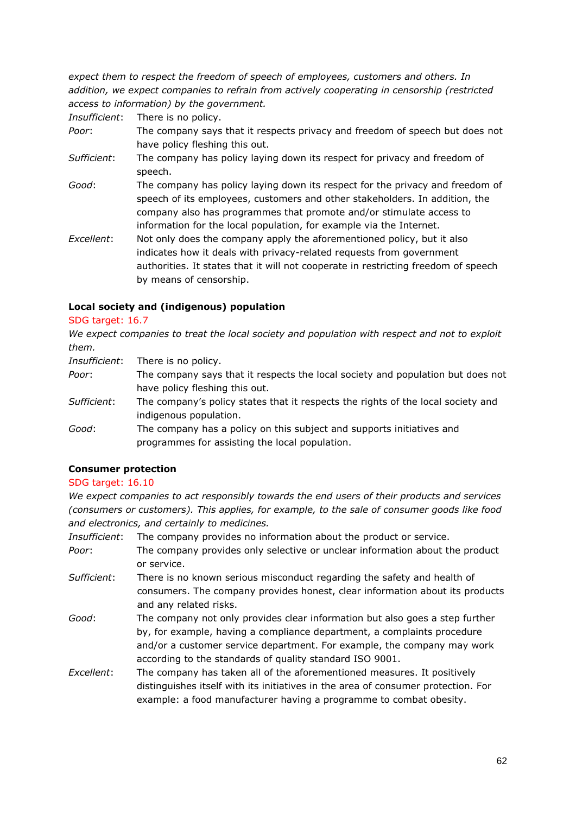*expect them to respect the freedom of speech of employees, customers and others. In addition, we expect companies to refrain from actively cooperating in censorship (restricted access to information) by the government.*

*Insufficient*: There is no policy.

- *Poor*: The company says that it respects privacy and freedom of speech but does not have policy fleshing this out.
- *Sufficient*: The company has policy laying down its respect for privacy and freedom of speech.
- *Good*: The company has policy laying down its respect for the privacy and freedom of speech of its employees, customers and other stakeholders. In addition, the company also has programmes that promote and/or stimulate access to information for the local population, for example via the Internet.
- *Excellent*: Not only does the company apply the aforementioned policy, but it also indicates how it deals with privacy-related requests from government authorities. It states that it will not cooperate in restricting freedom of speech by means of censorship.

### **Local society and (indigenous) population**

### SDG target: 16.7

*We expect companies to treat the local society and population with respect and not to exploit them.* 

*Insufficient*: There is no policy.

- *Poor*: The company says that it respects the local society and population but does not have policy fleshing this out.
- *Sufficient*: The company's policy states that it respects the rights of the local society and indigenous population.
- *Good*: The company has a policy on this subject and supports initiatives and programmes for assisting the local population.

### **Consumer protection**

### SDG target: 16.10

*We expect companies to act responsibly towards the end users of their products and services (consumers or customers). This applies, for example, to the sale of consumer goods like food and electronics, and certainly to medicines.* 

*Insufficient*: The company provides no information about the product or service.

- *Poor*: The company provides only selective or unclear information about the product or service.
- *Sufficient*: There is no known serious misconduct regarding the safety and health of consumers. The company provides honest, clear information about its products and any related risks.
- *Good*: The company not only provides clear information but also goes a step further by, for example, having a compliance department, a complaints procedure and/or a customer service department. For example, the company may work according to the standards of quality standard ISO 9001.
- *Excellent*: The company has taken all of the aforementioned measures. It positively distinguishes itself with its initiatives in the area of consumer protection. For example: a food manufacturer having a programme to combat obesity.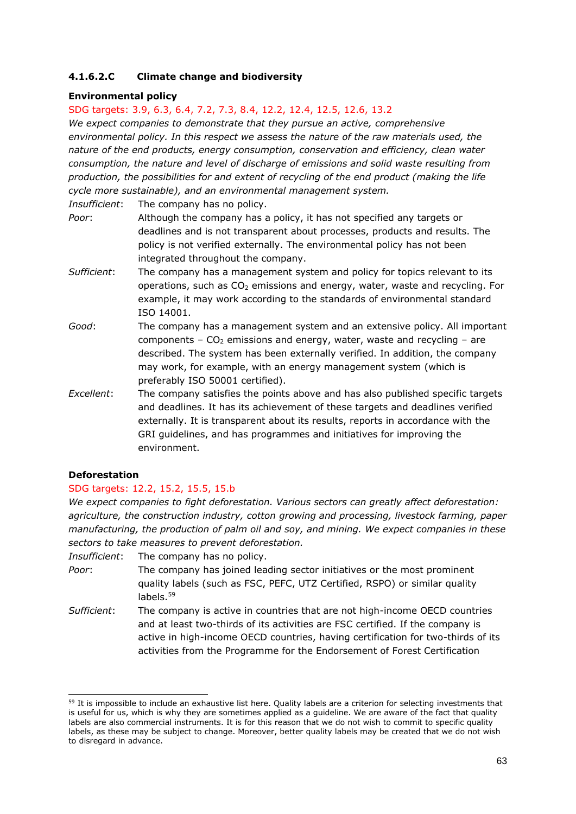## **4.1.6.2.C Climate change and biodiversity**

### **Environmental policy**

### SDG targets: 3.9, 6.3, 6.4, 7.2, 7.3, 8.4, 12.2, 12.4, 12.5, 12.6, 13.2

*We expect companies to demonstrate that they pursue an active, comprehensive environmental policy. In this respect we assess the nature of the raw materials used, the nature of the end products, energy consumption, conservation and efficiency, clean water consumption, the nature and level of discharge of emissions and solid waste resulting from production, the possibilities for and extent of recycling of the end product (making the life cycle more sustainable), and an environmental management system.* 

*Insufficient*: The company has no policy.

- *Poor*: Although the company has a policy, it has not specified any targets or deadlines and is not transparent about processes, products and results. The policy is not verified externally. The environmental policy has not been integrated throughout the company.
- *Sufficient*: The company has a management system and policy for topics relevant to its operations, such as  $CO<sub>2</sub>$  emissions and energy, water, waste and recycling. For example, it may work according to the standards of environmental standard ISO 14001.
- *Good*: The company has a management system and an extensive policy. All important components –  $CO<sub>2</sub>$  emissions and energy, water, waste and recycling – are described. The system has been externally verified. In addition, the company may work, for example, with an energy management system (which is preferably ISO 50001 certified).
- *Excellent*: The company satisfies the points above and has also published specific targets and deadlines. It has its achievement of these targets and deadlines verified externally. It is transparent about its results, reports in accordance with the GRI guidelines, and has programmes and initiatives for improving the environment.

### **Deforestation**

### SDG targets: 12.2, 15.2, 15.5, 15.b

*We expect companies to fight deforestation. Various sectors can greatly affect deforestation: agriculture, the construction industry, cotton growing and processing, livestock farming, paper manufacturing, the production of palm oil and soy, and mining. We expect companies in these sectors to take measures to prevent deforestation.*

*Insufficient*: The company has no policy.

- *Poor*: The company has joined leading sector initiatives or the most prominent quality labels (such as FSC, PEFC, UTZ Certified, RSPO) or similar quality labels.<sup>59</sup>
- *Sufficient*: The company is active in countries that are not high-income OECD countries and at least two-thirds of its activities are FSC certified. If the company is active in high-income OECD countries, having certification for two-thirds of its activities from the Programme for the Endorsement of Forest Certification

<sup>&</sup>lt;sup>59</sup> It is impossible to include an exhaustive list here. Quality labels are a criterion for selecting investments that is useful for us, which is why they are sometimes applied as a guideline. We are aware of the fact that quality labels are also commercial instruments. It is for this reason that we do not wish to commit to specific quality labels, as these may be subject to change. Moreover, better quality labels may be created that we do not wish to disregard in advance.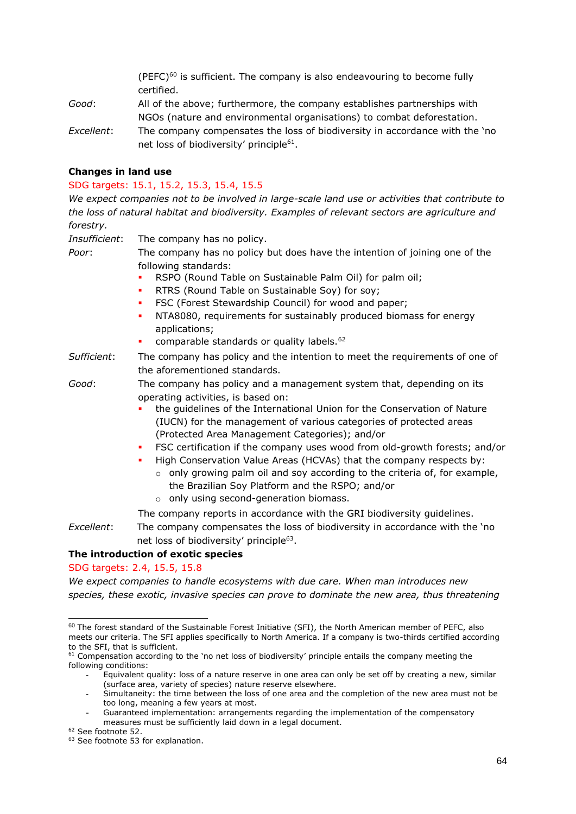(PEFC) $60$  is sufficient. The company is also endeavouring to become fully certified.

- *Good*: All of the above; furthermore, the company establishes partnerships with NGOs (nature and environmental organisations) to combat deforestation.
- *Excellent*: The company compensates the loss of biodiversity in accordance with the 'no net loss of biodiversity' principle<sup>61</sup>.

### **Changes in land use**

#### SDG targets: 15.1, 15.2, 15.3, 15.4, 15.5

*We expect companies not to be involved in large-scale land use or activities that contribute to the loss of natural habitat and biodiversity. Examples of relevant sectors are agriculture and forestry.* 

*Insufficient*: The company has no policy. *Poor*: The company has no policy but does have the intention of joining one of the following standards: RSPO (Round Table on Sustainable Palm Oil) for palm oil; RTRS (Round Table on Sustainable Soy) for soy; **• FSC (Forest Stewardship Council) for wood and paper; • NTA8080, requirements for sustainably produced biomass for energy** applications; comparable standards or quality labels.<sup>62</sup> *Sufficient*: The company has policy and the intention to meet the requirements of one of the aforementioned standards. *Good*: The company has policy and a management system that, depending on its operating activities, is based on: the quidelines of the International Union for the Conservation of Nature (IUCN) for the management of various categories of protected areas (Protected Area Management Categories); and/or ▪ FSC certification if the company uses wood from old-growth forests; and/or High Conservation Value Areas (HCVAs) that the company respects by:  $\circ$  only growing palm oil and soy according to the criteria of, for example, the Brazilian Soy Platform and the RSPO; and/or o only using second-generation biomass. The company reports in accordance with the GRI biodiversity guidelines. *Excellent*: The company compensates the loss of biodiversity in accordance with the 'no net loss of biodiversity' principle<sup>63</sup>.

### **The introduction of exotic species**

### SDG targets: 2.4, 15.5, 15.8

*We expect companies to handle ecosystems with due care. When man introduces new species, these exotic, invasive species can prove to dominate the new area, thus threatening* 

<sup>&</sup>lt;sup>60</sup> The forest standard of the Sustainable Forest Initiative (SFI), the North American member of PEFC, also meets our criteria. The SFI applies specifically to North America. If a company is two-thirds certified according to the SFI, that is sufficient.

<sup>&</sup>lt;sup>61</sup> Compensation according to the 'no net loss of biodiversity' principle entails the company meeting the following conditions:

Equivalent quality: loss of a nature reserve in one area can only be set off by creating a new, similar (surface area, variety of species) nature reserve elsewhere.

Simultaneity: the time between the loss of one area and the completion of the new area must not be too long, meaning a few years at most.

Guaranteed implementation: arrangements regarding the implementation of the compensatory measures must be sufficiently laid down in a legal document.

<sup>62</sup> See footnote 52.

<sup>&</sup>lt;sup>63</sup> See footnote 53 for explanation.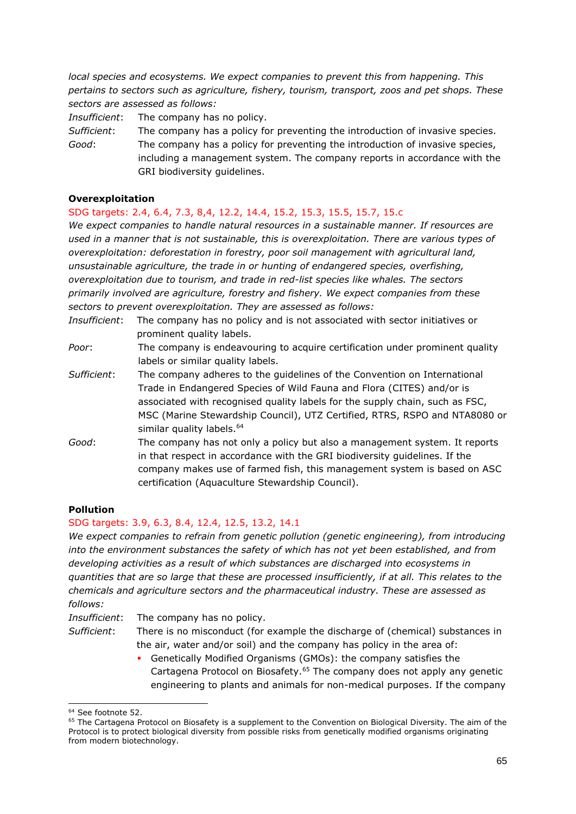*local species and ecosystems. We expect companies to prevent this from happening. This pertains to sectors such as agriculture, fishery, tourism, transport, zoos and pet shops. These sectors are assessed as follows:* 

*Insufficient*: The company has no policy.

*Sufficient*: The company has a policy for preventing the introduction of invasive species.

*Good*: The company has a policy for preventing the introduction of invasive species, including a management system. The company reports in accordance with the GRI biodiversity guidelines.

#### **Overexploitation**

### SDG targets: 2.4, 6.4, 7.3, 8,4, 12.2, 14.4, 15.2, 15.3, 15.5, 15.7, 15.c

*We expect companies to handle natural resources in a sustainable manner. If resources are used in a manner that is not sustainable, this is overexploitation. There are various types of overexploitation: deforestation in forestry, poor soil management with agricultural land, unsustainable agriculture, the trade in or hunting of endangered species, overfishing, overexploitation due to tourism, and trade in red-list species like whales. The sectors primarily involved are agriculture, forestry and fishery. We expect companies from these sectors to prevent overexploitation. They are assessed as follows:*

- *Insufficient*: The company has no policy and is not associated with sector initiatives or prominent quality labels.
- *Poor*: The company is endeavouring to acquire certification under prominent quality labels or similar quality labels.
- *Sufficient*: The company adheres to the guidelines of the Convention on International Trade in Endangered Species of Wild Fauna and Flora (CITES) and/or is associated with recognised quality labels for the supply chain, such as FSC, MSC (Marine Stewardship Council), UTZ Certified, RTRS, RSPO and NTA8080 or similar quality labels.<sup>64</sup>
- *Good*: The company has not only a policy but also a management system. It reports in that respect in accordance with the GRI biodiversity guidelines. If the company makes use of farmed fish, this management system is based on ASC certification (Aquaculture Stewardship Council).

### **Pollution**

### SDG targets: 3.9, 6.3, 8.4, 12.4, 12.5, 13.2, 14.1

*We expect companies to refrain from genetic pollution (genetic engineering), from introducing into the environment substances the safety of which has not yet been established, and from developing activities as a result of which substances are discharged into ecosystems in quantities that are so large that these are processed insufficiently, if at all. This relates to the chemicals and agriculture sectors and the pharmaceutical industry. These are assessed as follows:*

*Insufficient*: The company has no policy.

*Sufficient*: There is no misconduct (for example the discharge of (chemical) substances in the air, water and/or soil) and the company has policy in the area of:

> ▪ Genetically Modified Organisms (GMOs): the company satisfies the Cartagena Protocol on Biosafety.<sup>65</sup> The company does not apply any genetic engineering to plants and animals for non-medical purposes. If the company

<sup>&</sup>lt;sup>64</sup> See footnote 52.

<sup>&</sup>lt;sup>65</sup> The Cartagena Protocol on Biosafety is a supplement to the Convention on Biological Diversity. The aim of the Protocol is to protect biological diversity from possible risks from genetically modified organisms originating from modern biotechnology.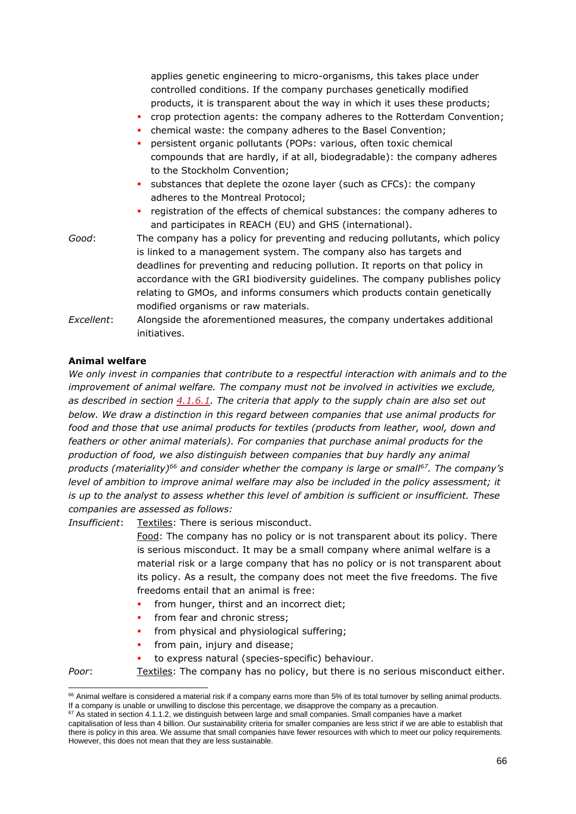applies genetic engineering to micro-organisms, this takes place under controlled conditions. If the company purchases genetically modified products, it is transparent about the way in which it uses these products;

- crop protection agents: the company adheres to the Rotterdam Convention;
- chemical waste: the company adheres to the Basel Convention;
- persistent organic pollutants (POPs: various, often toxic chemical compounds that are hardly, if at all, biodegradable): the company adheres to the Stockholm Convention;
- substances that deplete the ozone layer (such as CFCs): the company adheres to the Montreal Protocol;
- registration of the effects of chemical substances: the company adheres to and participates in REACH (EU) and GHS (international).
- *Good*: The company has a policy for preventing and reducing pollutants, which policy is linked to a management system. The company also has targets and deadlines for preventing and reducing pollution. It reports on that policy in accordance with the GRI biodiversity guidelines. The company publishes policy relating to GMOs, and informs consumers which products contain genetically modified organisms or raw materials.
- *Excellent*: Alongside the aforementioned measures, the company undertakes additional initiatives.

### **Animal welfare**

*We only invest in companies that contribute to a respectful interaction with animals and to the improvement of animal welfare. The company must not be involved in activities we exclude, as described in section [4.1.6.1.](#page-39-0) The criteria that apply to the supply chain are also set out below. We draw a distinction in this regard between companies that use animal products for food and those that use animal products for textiles (products from leather, wool, down and feathers or other animal materials). For companies that purchase animal products for the production of food, we also distinguish between companies that buy hardly any animal products (materiality)<sup>66</sup> and consider whether the company is large or small<sup>67</sup>. The company's level of ambition to improve animal welfare may also be included in the policy assessment; it is up to the analyst to assess whether this level of ambition is sufficient or insufficient. These companies are assessed as follows:*

*Insufficient*: Textiles: There is serious misconduct.

Food: The company has no policy or is not transparent about its policy. There is serious misconduct. It may be a small company where animal welfare is a material risk or a large company that has no policy or is not transparent about its policy. As a result, the company does not meet the five freedoms. The five freedoms entail that an animal is free:

- **•** from hunger, thirst and an incorrect diet;
- from fear and chronic stress;
- from physical and physiological suffering;
- from pain, injury and disease;
- to express natural (species-specific) behaviour.

*Poor*: Textiles: The company has no policy, but there is no serious misconduct either.

<sup>66</sup> Animal welfare is considered a material risk if a company earns more than 5% of its total turnover by selling animal products. If a company is unable or unwilling to disclose this percentage, we disapprove the company as a precaution.

 $67$  As stated in section 4.1.1.2, we distinguish between large and small companies. Small companies have a market

capitalisation of less than 4 billion. Our sustainability criteria for smaller companies are less strict if we are able to establish that there is policy in this area. We assume that small companies have fewer resources with which to meet our policy requirements. However, this does not mean that they are less sustainable.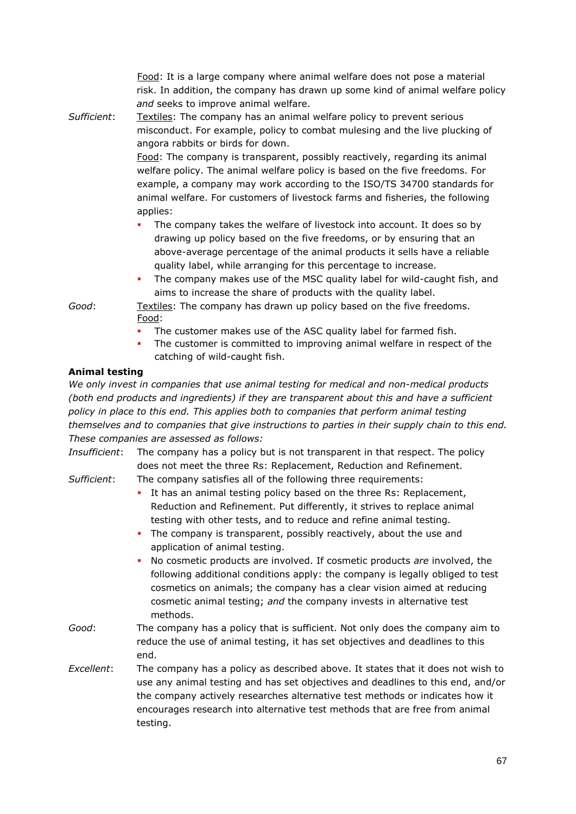Food: It is a large company where animal welfare does not pose a material risk. In addition, the company has drawn up some kind of animal welfare policy *and* seeks to improve animal welfare.

*Sufficient*: Textiles: The company has an animal welfare policy to prevent serious misconduct. For example, policy to combat mulesing and the live plucking of angora rabbits or birds for down.

Food: The company is transparent, possibly reactively, regarding its animal welfare policy. The animal welfare policy is based on the five freedoms. For example, a company may work according to the ISO/TS 34700 standards for animal welfare. For customers of livestock farms and fisheries, the following applies:

- The company takes the welfare of livestock into account. It does so by drawing up policy based on the five freedoms, or by ensuring that an above-average percentage of the animal products it sells have a reliable quality label, while arranging for this percentage to increase.
- The company makes use of the MSC quality label for wild-caught fish, and aims to increase the share of products with the quality label.

*Good*: Textiles: The company has drawn up policy based on the five freedoms. Food:

- The customer makes use of the ASC quality label for farmed fish.
- The customer is committed to improving animal welfare in respect of the catching of wild-caught fish.

### **Animal testing**

*We only invest in companies that use animal testing for medical and non-medical products (both end products and ingredients) if they are transparent about this and have a sufficient policy in place to this end. This applies both to companies that perform animal testing themselves and to companies that give instructions to parties in their supply chain to this end. These companies are assessed as follows:*

*Insufficient*: The company has a policy but is not transparent in that respect. The policy does not meet the three Rs: Replacement, Reduction and Refinement.

*Sufficient*: The company satisfies all of the following three requirements:

- It has an animal testing policy based on the three Rs: Replacement, Reduction and Refinement. Put differently, it strives to replace animal testing with other tests, and to reduce and refine animal testing.
- **•** The company is transparent, possibly reactively, about the use and application of animal testing.
- No cosmetic products are involved. If cosmetic products *are* involved, the following additional conditions apply: the company is legally obliged to test cosmetics on animals; the company has a clear vision aimed at reducing cosmetic animal testing; *and* the company invests in alternative test methods.
- *Good*: The company has a policy that is sufficient. Not only does the company aim to reduce the use of animal testing, it has set objectives and deadlines to this end.
- *Excellent*: The company has a policy as described above. It states that it does not wish to use any animal testing and has set objectives and deadlines to this end, and/or the company actively researches alternative test methods or indicates how it encourages research into alternative test methods that are free from animal testing.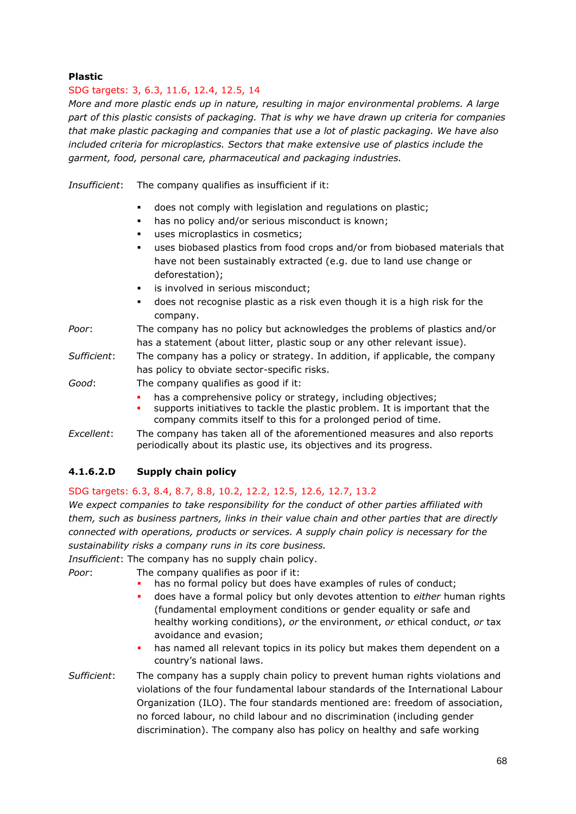## **Plastic**

## SDG targets: 3, 6.3, 11.6, 12.4, 12.5, 14

*More and more plastic ends up in nature, resulting in major environmental problems. A large part of this plastic consists of packaging. That is why we have drawn up criteria for companies that make plastic packaging and companies that use a lot of plastic packaging. We have also included criteria for microplastics. Sectors that make extensive use of plastics include the garment, food, personal care, pharmaceutical and packaging industries.* 

*Insufficient*: The company qualifies as insufficient if it:

- does not comply with legislation and regulations on plastic;
- has no policy and/or serious misconduct is known;
- uses microplastics in cosmetics;
- uses biobased plastics from food crops and/or from biobased materials that have not been sustainably extracted (e.g. due to land use change or deforestation);
- is involved in serious misconduct;
- does not recognise plastic as a risk even though it is a high risk for the company.
- *Poor*: The company has no policy but acknowledges the problems of plastics and/or has a statement (about litter, plastic soup or any other relevant issue).
- *Sufficient*: The company has a policy or strategy. In addition, if applicable, the company has policy to obviate sector-specific risks.

*Good*: The company qualifies as good if it:

- has a comprehensive policy or strategy, including objectives;
- supports initiatives to tackle the plastic problem. It is important that the company commits itself to this for a prolonged period of time.
- *Excellent*: The company has taken all of the aforementioned measures and also reports periodically about its plastic use, its objectives and its progress.

## **4.1.6.2.D Supply chain policy**

## SDG targets: 6.3, 8.4, 8.7, 8.8, 10.2, 12.2, 12.5, 12.6, 12.7, 13.2

*We expect companies to take responsibility for the conduct of other parties affiliated with them, such as business partners, links in their value chain and other parties that are directly connected with operations, products or services. A supply chain policy is necessary for the sustainability risks a company runs in its core business.* 

*Insufficient*: The company has no supply chain policy.

*Poor*: The company qualifies as poor if it:

- has no formal policy but does have examples of rules of conduct;
- does have a formal policy but only devotes attention to *either* human rights (fundamental employment conditions or gender equality or safe and healthy working conditions), *or* the environment, *or* ethical conduct, *or* tax avoidance and evasion;
- has named all relevant topics in its policy but makes them dependent on a country's national laws.
- *Sufficient*: The company has a supply chain policy to prevent human rights violations and violations of the four fundamental labour standards of the International Labour Organization (ILO). The four standards mentioned are: freedom of association, no forced labour, no child labour and no discrimination (including gender discrimination). The company also has policy on healthy and safe working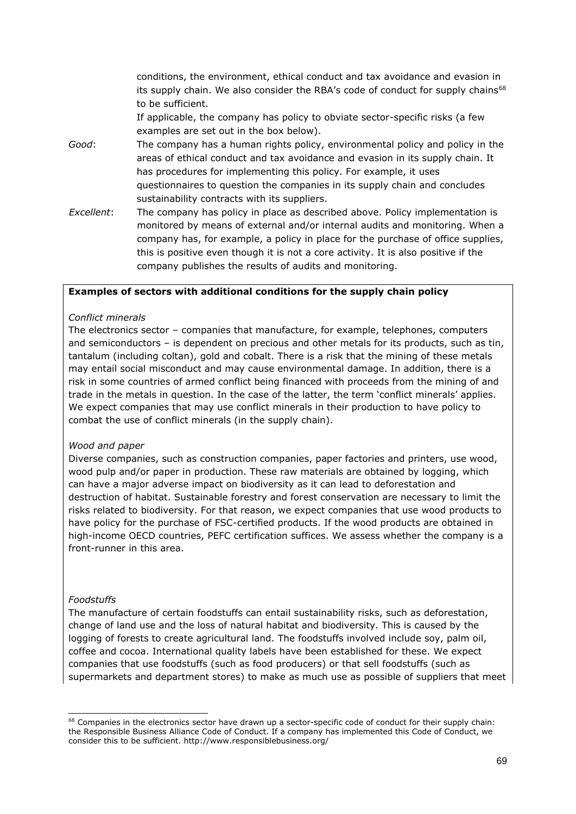conditions, the environment, ethical conduct and tax avoidance and evasion in its supply chain. We also consider the RBA's code of conduct for supply chains<sup>68</sup> to be sufficient.

If applicable, the company has policy to obviate sector-specific risks (a few examples are set out in the box below).

- *Good*: The company has a human rights policy, environmental policy and policy in the areas of ethical conduct and tax avoidance and evasion in its supply chain. It has procedures for implementing this policy. For example, it uses questionnaires to question the companies in its supply chain and concludes sustainability contracts with its suppliers.
- *Excellent*: The company has policy in place as described above. Policy implementation is monitored by means of external and/or internal audits and monitoring. When a company has, for example, a policy in place for the purchase of office supplies, this is positive even though it is not a core activity. It is also positive if the company publishes the results of audits and monitoring.

### **Examples of sectors with additional conditions for the supply chain policy**

#### *Conflict minerals*

The electronics sector – companies that manufacture, for example, telephones, computers and semiconductors – is dependent on precious and other metals for its products, such as tin, tantalum (including coltan), gold and cobalt. There is a risk that the mining of these metals may entail social misconduct and may cause environmental damage. In addition, there is a risk in some countries of armed conflict being financed with proceeds from the mining of and trade in the metals in question. In the case of the latter, the term 'conflict minerals' applies. We expect companies that may use conflict minerals in their production to have policy to combat the use of conflict minerals (in the supply chain).

#### *Wood and paper*

Diverse companies, such as construction companies, paper factories and printers, use wood, wood pulp and/or paper in production. These raw materials are obtained by logging, which can have a major adverse impact on biodiversity as it can lead to deforestation and destruction of habitat. Sustainable forestry and forest conservation are necessary to limit the risks related to biodiversity. For that reason, we expect companies that use wood products to have policy for the purchase of FSC-certified products. If the wood products are obtained in high-income OECD countries, PEFC certification suffices. We assess whether the company is a front-runner in this area.

#### *Foodstuffs*

The manufacture of certain foodstuffs can entail sustainability risks, such as deforestation, change of land use and the loss of natural habitat and biodiversity. This is caused by the logging of forests to create agricultural land. The foodstuffs involved include soy, palm oil, coffee and cocoa. International quality labels have been established for these. We expect companies that use foodstuffs (such as food producers) or that sell foodstuffs (such as supermarkets and department stores) to make as much use as possible of suppliers that meet

<sup>&</sup>lt;sup>68</sup> Companies in the electronics sector have drawn up a sector-specific code of conduct for their supply chain: the Responsible Business Alliance Code of Conduct. If a company has implemented this Code of Conduct, we consider this to be sufficient. http://www.responsiblebusiness.org/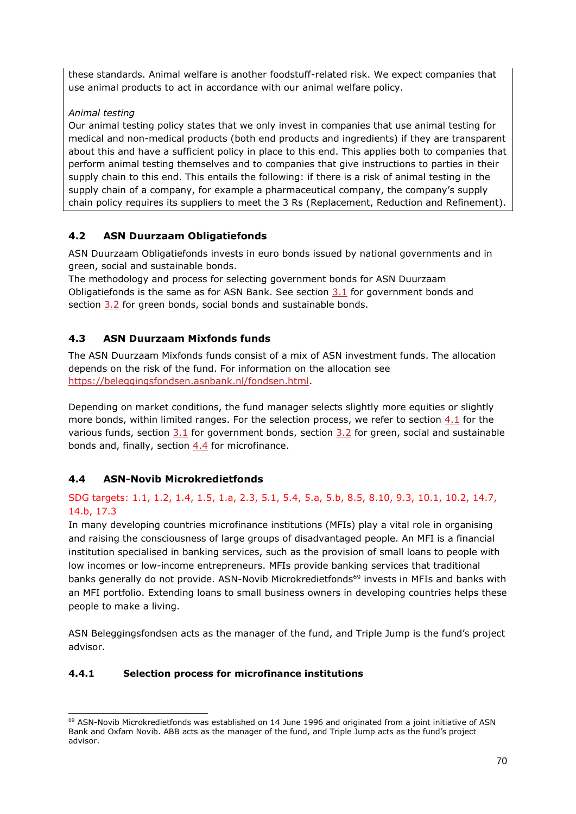these standards. Animal welfare is another foodstuff-related risk. We expect companies that use animal products to act in accordance with our animal welfare policy.

## *Animal testing*

Our animal testing policy states that we only invest in companies that use animal testing for medical and non-medical products (both end products and ingredients) if they are transparent about this and have a sufficient policy in place to this end. This applies both to companies that perform animal testing themselves and to companies that give instructions to parties in their supply chain to this end. This entails the following: if there is a risk of animal testing in the supply chain of a company, for example a pharmaceutical company, the company's supply chain policy requires its suppliers to meet the 3 Rs (Replacement, Reduction and Refinement).

# **4.2 ASN Duurzaam Obligatiefonds**

ASN Duurzaam Obligatiefonds invests in euro bonds issued by national governments and in green, social and sustainable bonds.

The methodology and process for selecting government bonds for ASN Duurzaam Obligatiefonds is the same as for ASN Bank. See section [3.1](#page-12-0) for government bonds and section [3.2](#page-16-0) for green bonds, social bonds and sustainable bonds.

# **4.3 ASN Duurzaam Mixfonds funds**

The ASN Duurzaam Mixfonds funds consist of a mix of ASN investment funds. The allocation depends on the risk of the fund. For information on the allocation see [https://beleggingsfondsen.asnbank.nl/fondsen.html.](https://beleggingsfondsen.asnbank.nl/fondsen.html)

Depending on market conditions, the fund manager selects slightly more equities or slightly more bonds, within limited ranges. For the selection process, we refer to section [4.1](#page-30-0) for the various funds, section  $3.1$  for government bonds, section  $3.2$  for green, social and sustainable bonds and, finally, section [4.4](#page-69-0) for microfinance.

# <span id="page-69-0"></span>**4.4 ASN-Novib Microkredietfonds**

# SDG targets: 1.1, 1.2, 1.4, 1.5, 1.a, 2.3, 5.1, 5.4, 5.a, 5.b, 8.5, 8.10, 9.3, 10.1, 10.2, 14.7, 14.b, 17.3

In many developing countries microfinance institutions (MFIs) play a vital role in organising and raising the consciousness of large groups of disadvantaged people. An MFI is a financial institution specialised in banking services, such as the provision of small loans to people with low incomes or low-income entrepreneurs. MFIs provide banking services that traditional banks generally do not provide. ASN-Novib Microkredietfonds<sup>69</sup> invests in MFIs and banks with an MFI portfolio. Extending loans to small business owners in developing countries helps these people to make a living.

ASN Beleggingsfondsen acts as the manager of the fund, and Triple Jump is the fund's project advisor.

# **4.4.1 Selection process for microfinance institutions**

<sup>&</sup>lt;sup>69</sup> ASN-Novib Microkredietfonds was established on 14 June 1996 and originated from a joint initiative of ASN Bank and Oxfam Novib. ABB acts as the manager of the fund, and Triple Jump acts as the fund's project advisor.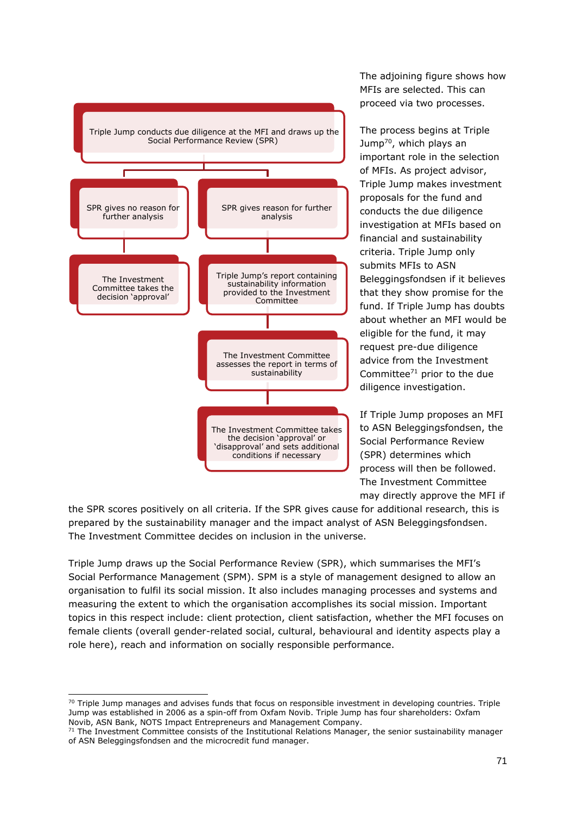

The adjoining figure shows how MFIs are selected. This can proceed via two processes.

The process begins at Triple Jump<sup>70</sup>, which plays an important role in the selection of MFIs. As project advisor, Triple Jump makes investment proposals for the fund and conducts the due diligence investigation at MFIs based on financial and sustainability criteria. Triple Jump only submits MFIs to ASN Beleggingsfondsen if it believes that they show promise for the fund. If Triple Jump has doubts about whether an MFI would be eligible for the fund, it may request pre-due diligence advice from the Investment Committee $71$  prior to the due diligence investigation.

If Triple Jump proposes an MFI to ASN Beleggingsfondsen, the Social Performance Review (SPR) determines which process will then be followed. The Investment Committee may directly approve the MFI if

the SPR scores positively on all criteria. If the SPR gives cause for additional research, this is prepared by the sustainability manager and the impact analyst of ASN Beleggingsfondsen. The Investment Committee decides on inclusion in the universe.

Triple Jump draws up the Social Performance Review (SPR), which summarises the MFI's Social Performance Management (SPM). SPM is a style of management designed to allow an organisation to fulfil its social mission. It also includes managing processes and systems and measuring the extent to which the organisation accomplishes its social mission. Important topics in this respect include: client protection, client satisfaction, whether the MFI focuses on female clients (overall gender-related social, cultural, behavioural and identity aspects play a role here), reach and information on socially responsible performance.

 $70$  Triple Jump manages and advises funds that focus on responsible investment in developing countries. Triple Jump was established in 2006 as a spin-off from Oxfam Novib. Triple Jump has four shareholders: Oxfam Novib, ASN Bank, NOTS Impact Entrepreneurs and Management Company.

 $71$  The Investment Committee consists of the Institutional Relations Manager, the senior sustainability manager of ASN Beleggingsfondsen and the microcredit fund manager.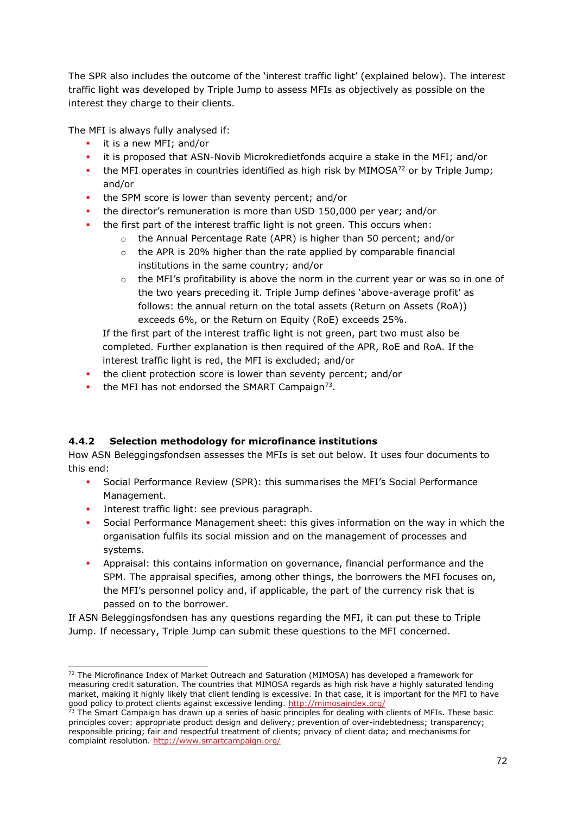The SPR also includes the outcome of the 'interest traffic light' (explained below). The interest traffic light was developed by Triple Jump to assess MFIs as objectively as possible on the interest they charge to their clients.

The MFI is always fully analysed if:

- **·** it is a new MFI; and/or
- it is proposed that ASN-Novib Microkredietfonds acquire a stake in the MFI; and/or
- **•** the MFI operates in countries identified as high risk by MIMOSA<sup>72</sup> or by Triple Jump; and/or
- the SPM score is lower than seventy percent; and/or
- the director's remuneration is more than USD 150,000 per year; and/or
- the first part of the interest traffic light is not green. This occurs when:
	- o the Annual Percentage Rate (APR) is higher than 50 percent; and/or
	- o the APR is 20% higher than the rate applied by comparable financial institutions in the same country; and/or
	- $\circ$  the MFI's profitability is above the norm in the current year or was so in one of the two years preceding it. Triple Jump defines 'above-average profit' as follows: the annual return on the total assets (Return on Assets (RoA)) exceeds 6%, or the Return on Equity (RoE) exceeds 25%.

If the first part of the interest traffic light is not green, part two must also be completed. Further explanation is then required of the APR, RoE and RoA. If the interest traffic light is red, the MFI is excluded; and/or

- **•** the client protection score is lower than seventy percent; and/or
- $\blacksquare$  the MFI has not endorsed the SMART Campaign<sup>73</sup>.

## **4.4.2 Selection methodology for microfinance institutions**

How ASN Beleggingsfondsen assesses the MFIs is set out below. It uses four documents to this end:

- Social Performance Review (SPR): this summarises the MFI's Social Performance Management.
- **·** Interest traffic light: see previous paragraph.
- **•** Social Performance Management sheet: this gives information on the way in which the organisation fulfils its social mission and on the management of processes and systems.
- Appraisal: this contains information on governance, financial performance and the SPM. The appraisal specifies, among other things, the borrowers the MFI focuses on, the MFI's personnel policy and, if applicable, the part of the currency risk that is passed on to the borrower.

If ASN Beleggingsfondsen has any questions regarding the MFI, it can put these to Triple Jump. If necessary, Triple Jump can submit these questions to the MFI concerned.

<sup>72</sup> The Microfinance Index of Market Outreach and Saturation (MIMOSA) has developed a framework for measuring credit saturation. The countries that MIMOSA regards as high risk have a highly saturated lending market, making it highly likely that client lending is excessive. In that case, it is important for the MFI to have good policy to protect clients against excessive lending.<http://mimosaindex.org/>

<sup>73</sup> The Smart Campaign has drawn up a series of basic principles for dealing with clients of MFIs. These basic principles cover: appropriate product design and delivery; prevention of over-indebtedness; transparency; responsible pricing; fair and respectful treatment of clients; privacy of client data; and mechanisms for complaint resolution.<http://www.smartcampaign.org/>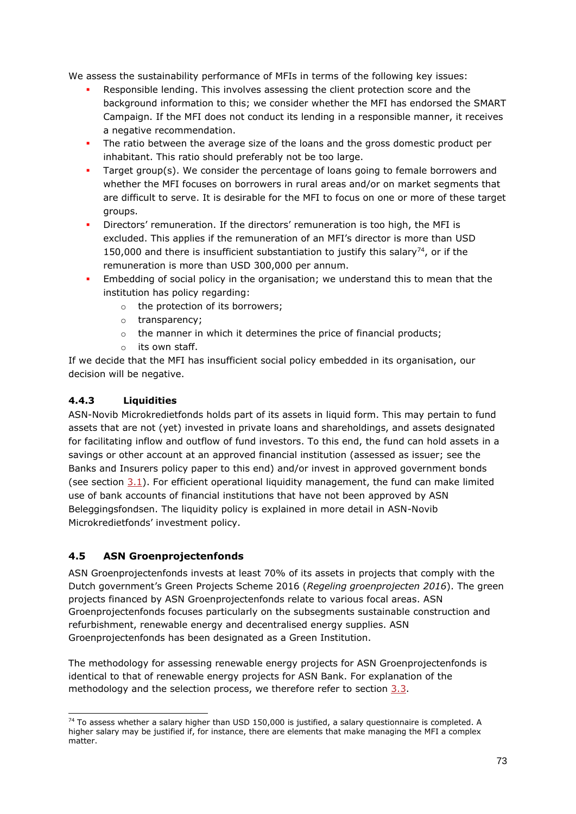We assess the sustainability performance of MFIs in terms of the following key issues:

- Responsible lending. This involves assessing the client protection score and the background information to this; we consider whether the MFI has endorsed the SMART Campaign. If the MFI does not conduct its lending in a responsible manner, it receives a negative recommendation.
- The ratio between the average size of the loans and the gross domestic product per inhabitant. This ratio should preferably not be too large.
- Target group(s). We consider the percentage of loans going to female borrowers and whether the MFI focuses on borrowers in rural areas and/or on market segments that are difficult to serve. It is desirable for the MFI to focus on one or more of these target groups.
- Directors' remuneration. If the directors' remuneration is too high, the MFI is excluded. This applies if the remuneration of an MFI's director is more than USD 150,000 and there is insufficient substantiation to justify this salary<sup>74</sup>, or if the remuneration is more than USD 300,000 per annum.
- Embedding of social policy in the organisation; we understand this to mean that the institution has policy regarding:
	- o the protection of its borrowers;
	- o transparency;
	- o the manner in which it determines the price of financial products;
	- its own staff.

If we decide that the MFI has insufficient social policy embedded in its organisation, our decision will be negative.

#### **4.4.3 Liquidities**

ASN-Novib Microkredietfonds holds part of its assets in liquid form. This may pertain to fund assets that are not (yet) invested in private loans and shareholdings, and assets designated for facilitating inflow and outflow of fund investors. To this end, the fund can hold assets in a savings or other account at an approved financial institution (assessed as issuer; see the Banks and Insurers policy paper to this end) and/or invest in approved government bonds (see section [3.1\)](#page-12-0). For efficient operational liquidity management, the fund can make limited use of bank accounts of financial institutions that have not been approved by ASN Beleggingsfondsen. The liquidity policy is explained in more detail in ASN-Novib Microkredietfonds' investment policy.

## **4.5 ASN Groenprojectenfonds**

ASN Groenprojectenfonds invests at least 70% of its assets in projects that comply with the Dutch government's Green Projects Scheme 2016 (*Regeling groenprojecten 2016*). The green projects financed by ASN Groenprojectenfonds relate to various focal areas. ASN Groenprojectenfonds focuses particularly on the subsegments sustainable construction and refurbishment, renewable energy and decentralised energy supplies. ASN Groenprojectenfonds has been designated as a Green Institution.

The methodology for assessing renewable energy projects for ASN Groenprojectenfonds is identical to that of renewable energy projects for ASN Bank. For explanation of the methodology and the selection process, we therefore refer to section  $3.3$ .

 $74$  To assess whether a salary higher than USD 150,000 is justified, a salary questionnaire is completed. A higher salary may be justified if, for instance, there are elements that make managing the MFI a complex matter.